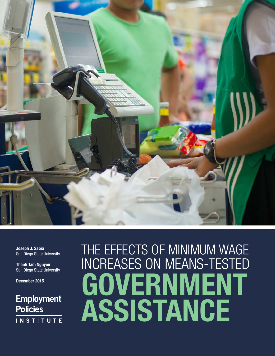

Joseph J. Sabia San Diego State University

Thanh Tam Nguyen San Diego State University

December 2015

# **Employment Policies INSTITUTE**

# THE EFFECTS OF MINIMUM WAGE INCREASES ON MEANS-TESTED **GOVERNMENT ASSISTANCE**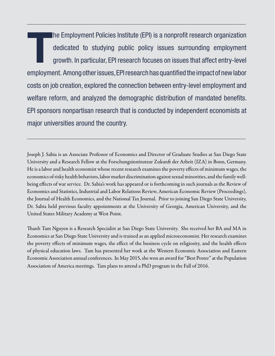The Employment Policies Institute (EPI) is a nonprofit research organization<br>dedicated to studying public policy issues surrounding employment<br>growth. In particular, EPI research focuses on issues that affect entry-level dedicated to studying public policy issues surrounding employment growth. In particular, EPI research focuses on issues that affect entry-level employment. Among other issues, EPI research has quantified the impact of new labor costs on job creation, explored the connection between entry-level employment and welfare reform, and analyzed the demographic distribution of mandated benefits. EPI sponsors nonpartisan research that is conducted by independent economists at major universities around the country.

Joseph J. Sabia is an Associate Professor of Economics and Director of Graduate Studies at San Diego State University and a Research Fellow at the Forschungsinstitutzur Zukunft der Arbeit (IZA) in Bonn, Germany. He is a labor and health economist whose recent research examines the poverty effects of minimum wages, the economics of risky health behaviors, labor market discrimination against sexual minorities, and the family wellbeing effects of war service. Dr. Sabia's work has appeared or is forthcoming in such journals as the Review of Economics and Statistics, Industrial and Labor Relations Review, American Economic Review (Proceedings), the Journal of Health Economics, and the National Tax Journal. Prior to joining San Diego State University, Dr. Sabia held previous faculty appointments at the University of Georgia, American University, and the United States Military Academy at West Point.

Thanh Tam Nguyen is a Research Specialist at San Diego State University. She received her BA and MA in Economics at San Diego State University and is trained as an applied microeconomist. Her research examines the poverty effects of minimum wages, the effect of the business cycle on religiosity, and the health effects of physical education laws. Tam has presented her work at the Western Economic Association and Eastern Economic Association annual conferences. In May 2015, she won an award for "Best Poster" at the Population Association of America meetings. Tam plans to attend a PhD program in the Fall of 2016.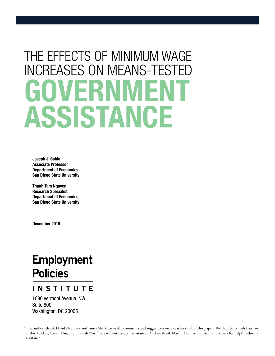# THE EFFECTS OF MINIMUM WAGE **INCREASES ON MEANS-TEST** VFRN ASSISTANCE

Joseph J. Sabia Associate Professor Department of Economics San Diego State University

Thanh Tam Nguyen Research Specialist Department of Economics San Diego State University

December 2015

# **Employment Policies**

## **INSTITUTE**

1090 Vermont Avenue, NW Suite 800 Washington, DC 20005

<sup>\*</sup> The authors thank David Neumark and James Sherk for useful comments and suggestions on an earlier draft of this paper. We also thank Josh Latshaw, Taylor Mackay, Carlos Hsu, and Usamah Wasif for excellent research assistance. And we thank Martin Helmke and Anthony Mosca for helpful editorial assistance.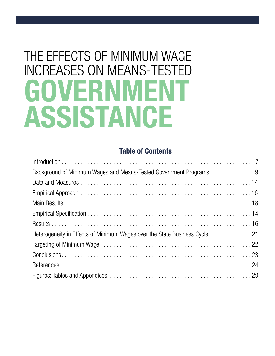# THE EFFECTS OF MINIMUM WAGE INCREASES ON MEANS-TESTED **GOVERNMENT** ASSISTANCE

## Table of Contents

| Background of Minimum Wages and Means-Tested Government Programs 9         |
|----------------------------------------------------------------------------|
|                                                                            |
|                                                                            |
|                                                                            |
|                                                                            |
|                                                                            |
| Heterogeneity in Effects of Minimum Wages over the State Business Cycle 21 |
|                                                                            |
|                                                                            |
|                                                                            |
|                                                                            |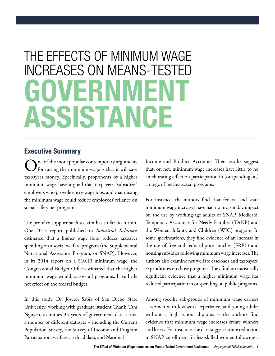# THE EFFECTS OF MINIMUM WAGE **INCREASES ON MEANS-TESTI** GOVERNMENT ASSISTANCE

#### Executive Summary

One of the more popular contemporary arguments for raising the minimum wage is that it will save taxpayers money. Specifically, proponents of a higher minimum wage have argued that taxpayers "subsidize" employers who provide entry-wage jobs, and that raising the minimum wage could reduce employees' reliance on social safety net programs.

The proof to support such a claim has so far been thin. One 2015 report published in *Industrial Relations*  estimated that a higher wage floor reduces taxpayer spending on a social welfare program (the Supplemental Nutritional Assistance Program, or SNAP). However, in its 2014 report on a \$10.10 minimum wage, the Congressional Budget Office estimated that the higher minimum wage would, across all programs, have little net effect on the federal budget.

In this study, Dr. Joseph Sabia of San Diego State University, working with graduate student Thanh Tam Nguyen, examines 35 years of government data across a number of different datasets – including the Current Population Survey, the Survey of Income and Program Participation, welfare caseload data, and National

Income and Product Accounts. Their results suggest that, on net, minimum wage increases have little to no ameliorating effect on participation in (or spending on) a range of means-tested programs.

For instance, the authors find that federal and state minimum wage increases have had no measurable impact on the use by working-age adults of SNAP, Medicaid, Temporary Assistance for Needy Families (TANF) and the Women, Infants, and Children (WIC) program. In some specifications, they find evidence of an increase in the use of free and reduced-price lunches (FRPL) and housing subsidies following minimum wage increases. The authors also examine net welfare caseloads and taxpayers' expenditures on those programs. They find no statistically significant evidence that a higher minimum wage has reduced participation in or spending on public programs.

Among specific sub-groups of minimum wage earners – women with less work experience, and young adults without a high school diploma – the authors find evidence that minimum wage increases create winners and losers. For instance, the data suggests some reduction in SNAP enrollment for less-skilled women following a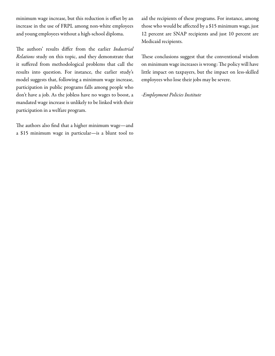minimum wage increase, but this reduction is offset by an increase in the use of FRPL among non-white employees and young employees without a high-school diploma.

The authors' results differ from the earlier *Industrial Relations* study on this topic, and they demonstrate that it suffered from methodological problems that call the results into question. For instance, the earlier study's model suggests that, following a minimum wage increase, participation in public programs falls among people who don't have a job. As the jobless have no wages to boost, a mandated wage increase is unlikely to be linked with their participation in a welfare program.

The authors also find that a higher minimum wage—and a \$15 minimum wage in particular—is a blunt tool to aid the recipients of these programs. For instance, among those who would be affected by a \$15 minimum wage, just 12 percent are SNAP recipients and just 10 percent are Medicaid recipients.

These conclusions suggest that the conventional wisdom on minimum wage increases is wrong: The policy will have little impact on taxpayers, but the impact on less-skilled employees who lose their jobs may be severe.

-*Employment Policies Institute*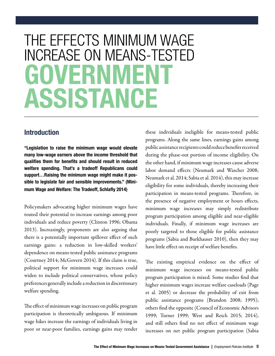# THE EFFECTS MINIMUM WAGE INCREASE ON MEANS-TESTED GOVERNMFN ASSISTANCE

#### Introduction

"Legislation to raise the minimum wage would elevate many low-wage earners above the income threshold that qualifies them for benefits and should result in reduced welfare spending. That's a tradeoff Republicans could support…Raising the minimum wage might make it possible to legislate fair and sensible improvements." (Minimum Wage and Welfare: The Tradeoff, Schlafly 2014)

Policymakers advocating higher minimum wages have touted their potential to increase earnings among poor individuals and reduce poverty (Clinton 1996; Obama 2013). Increasingly, proponents are also arguing that there is a potentially important spillover effect of such earnings gains: a reduction in low-skilled workers' dependence on means-tested public assistance programs (Courtney 2014; McGovern 2014). If this claim is true, political support for minimum wage increases could widen to include political conservatives, whose policy preferences generally include a reduction in discretionary welfare spending.

The effect of minimum wage increases on public program participation is theoretically ambiguous. If minimum wage hikes increase the earnings of individuals living in poor or near-poor families, earnings gains may render

these individuals ineligible for means-tested public programs. Along the same lines, earnings gains among public assistance recipients could reduce benefits received during the phase-out portion of income eligibility. On the other hand, if minimum wage increases cause adverse labor demand effects (Neumark and Wascher 2008; Neumark et al. 2014; Sabia et al. 2014), this may increase eligibility for some individuals, thereby increasing their participation in means-tested programs. Therefore, in the presence of negative employment or hours effects, minimum wage increases may simply redistribute program participation among eligible and near-eligible individuals. Finally, if minimum wage increases are poorly targeted to those eligible for public assistance programs (Sabia and Burkhauser 2010), then they may have little effect on receipt of welfare benefits.

The existing empirical evidence on the effect of minimum wage increases on means-tested public program participation is mixed. Some studies find that higher minimum wages increase welfare caseloads (Page et al. 2005) or decrease the probability of exit from public assistance programs (Brandon 2008; 1995); others find the opposite (Council of Economic Advisors 1999; Turner 1999; West and Reich 2015; 2014), and still others find no net effect of minimum wage increases on net public program participation (Sabia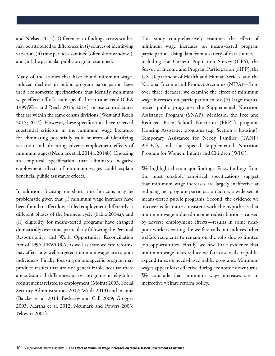and Nielsen 2015). Differences in findings across studies may be attributed to differences in (i) sources of identifying variation, (ii) time periods examined (often short windows), and (iii) the particular public program examined.

Many of the studies that have found minimum wageinduced declines in public program participation have used econometric specifications that identify minimum wage effects off of a state-specific linear time trend (CEA 1999;West and Reich 2015; 2014), or use control states that are within the same census divisions (West and Reich 2015; 2014). However, these specifications have received substantial criticism in the minimum wage literature for eliminating potentially valid sources of identifying variation and obscuring adverse employment effects of minimum wages (Neumark et al. 2014a, 2014b). Choosing an empirical specification that eliminates negative employment effects of minimum wages could explain beneficial public assistance effects.

In addition, focusing on short time horizons may be problematic given that (i) minimum wage increases have been found to affect low-skilled employment differently at different phases of the business cycle (Sabia 2014a), and (ii) eligibility for means-tested programs have changed dramatically over time, particularly following the Personal Responsibility and Work Opportunity Reconciliation Act of 1996. PRWORA, as well as state welfare reforms, may affect how well-targeted minimum wages are to poor individuals. Finally, focusing on one specific program may produce results that are not generalizable because there are substantial differences across programs in eligibility requirements related to employment (Moffitt 2003; Social Security Administrations 2012; Wilde 2013) and income (Baicker et al. 2014; Besharov and Call 2009; Grogger 2003; Martha et al. 2012; Neumark and Powers 2003; Yelowitz 2001).

This study comprehensively examines the effect of minimum wage increases on means-tested program participation. Using data from a variety of data sources including the Current Population Survey (CPS), the Survey of Income and Program Participation (SIPP), the U.S. Department of Health and Human Serices, and the National Income and Product Accounts (NIPA)—from over three decades, we examine the effect of minimum wage increases on participation in six (6) large meanstested public programs: the Supplemental Nutrition Assistance Program (SNAP), Medicaid, the Free and Reduced Price School Nutrition (FRPL) program, Housing Assistance programs (e.g. Section 8 housing), Temporary Assistance for Needy Families (TANF/ AFDC), and the Special Supplemental Nutrition Program for Women, Infants and Children (WIC).

We highlight three major findings. First, findings from the most credible empirical specifications suggest that minimum wage increases are largely ineffective at reducing net program participation across a wide set of means-tested public programs. Second, the evidence we uncover is far more consistent with the hypothesis that minimum wage-induced income redistribution—caused by adverse employment effects—results in some nearpoor workers exiting the welfare rolls but induces other welfare recipients to remain on the rolls due to limited job opportunities. Finally, we find little evidence that minimum wage hikes reduce welfare caseloads or public expenditures on needs-based public programs. Minimum wages appear least effective during economic downturns. We conclude that minimum wage increases are an ineffective welfare reform policy.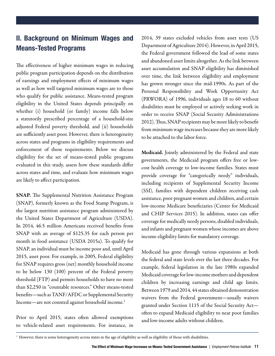#### II. Background on Minimum Wages and Means-Tested Programs

The effectiveness of higher minimum wages in reducing public program participation depends on the distribution of earnings and employment effects of minimum wages as well as how well targeted minimum wages are to those who qualify for public assistance. Means-tested program eligibility in the United States depends principally on whether (i) household (or family) income falls below a statutorily prescribed percentage of a household-size adjusted Federal poverty threshold, and (ii) households are sufficiently asset poor. However, there is heterogeneity across states and programs in eligibility requirements and enforcement of those requirements. Below we discuss eligibility for the set of means-tested public programs evaluated in this study, assess how these standards differ across states and time, and evaluate how minimum wages are likely to affect participation.

SNAP. The Supplemental Nutrition Assistance Program (SNAP), formerly known as the Food Stamp Program, is the largest nutrition assistance program administered by the United States Department of Agriculture (USDA). In 2014, 46.5 million Americans received benefits from SNAP with an average of \$125.35 for each person per month in food assistance (USDA 2015a). To qualify for SNAP, an individual must be income poor and, until April 2015, asset poor. For example, in 2005, Federal eligibility for SNAP requires gross (net) monthly household income to be below 130 (100) percent of the Federal poverty threshold (FTP) and permits households to have no more than \$2,250 in "countable resources." Other means-tested benefits—such as TANF/AFDC or Supplemental Security Income—are not counted against household income.1

Prior to April 2015, states often allowed exemptions to vehicle-related asset requirements. For instance, in 2014, 39 states excluded vehicles from asset tests (US Department of Agriculture 2014). However, in April 2015, the Federal government followed the lead of some states and abandoned asset limits altogether. As the link between asset accumulation and SNAP eligibility has diminished over time, the link between eligibility and employment has grown stronger since the mid-1990s. As part of the Personal Responsibility and Work Opportunity Act (PRWORA) of 1996, individuals ages 18 to 60 without disabilities must be employed or actively seeking work in order to receive SNAP (Social Security Administrations 2012). Thus, SNAP recipients may be more likely to benefit from minimum wage increases because they are more likely to be attached to the labor force.

Medicaid. Jointly administered by the Federal and state governments, the Medicaid program offers free or lowcost health coverage to low-income families. States must provide coverage for "categorically needy" individuals, including recipients of Supplemental Security Income (SSI), families with dependent children receiving cash assistance, poor pregnant women and children, and certain low-income Medicare beneficiaries (Center for Medicaid and CHIP Services 2015). In addition, states can offer coverage for medically needy persons, disabled individuals, and infants and pregnant women whose incomes are above income eligibility limits for mandatory coverage.

Medicaid has gone through various expansions at both the federal and state levels over the last three decades. For example, federal legislation in the late 1980s expanded Medicaid coverage for low-income mothers and dependent children by increasing earnings and child age limits. Between 1979 and 2014, 44 states obtained demonstration waivers from the Federal government—usually waivers granted under Section 1115 of the Social Security Act often to expand Medicaid eligibility to near poor families and low-income adults without children.

<sup>&</sup>lt;sup>1</sup> However, there is some heterogeneity across states in the age of eligibility as well as eligibility of those with disabilities.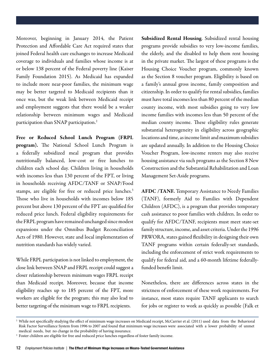Moreover, beginning in January 2014, the Patient Protection and Affordable Care Act required states that joined Federal health care exchanges to increase Medicaid coverage to individuals and families whose income is at or below 138 percent of the Federal poverty line (Kaiser Family Foundation 2015). As Medicaid has expanded to include more near-poor families, the minimum wage may be better targeted to Medicaid recipients than it once was, but the weak link between Medicaid receipt and employment suggests that there would be a weaker relationship between minimum wages and Medicaid participation than SNAP participation.2

Free or Reduced School Lunch Program (FRPL program). The National School Lunch Program is a federally subsidized meal program that provides nutritionally balanced, low-cost or free lunches to children each school day. Children living in households with incomes less than 130 percent of the FPT, or living in households receiving AFDC/TANF or SNAP/Food stamps, are eligible for free or reduced price lunches.<sup>3</sup> Those who live in households with incomes below 185 percent but above 130 percent of the FPT are qualified for reduced price lunch. Federal eligibility requirements for the FRPL program have remained unchanged since modest expansions under the Omnibus Budget Reconciliation Acts of 1980. However, state and local implementation of nutrition standards has widely varied.

While FRPL participation is not linked to employment, the close link between SNAP and FRPL receipt could suggest a closer relationship between minimum wages FRPL receipt than Medicaid receipt. Moreover, because that income eligibility reaches up to 185 percent of the FPT, more workers are eligible for the program; this may also lead to better targeting of the minimum wage to FRPL recipients.

Subsidized Rental Housing. Subsidized rental housing programs provide subsidies to very low-income families, the elderly, and the disabled to help them rent housing in the private market. The largest of these programs is the Housing Choice Voucher program, commonly known as the Section 8 voucher program. Eligibility is based on a family's annual gross income, family composition and citizenship. In order to qualify for rental subsidies, families must have total incomes less than 80 percent of the median county income, with most subsidies going to very low income families with incomes less than 50 percent of the median county income. These eligibility rules generate substantial heterogeneity in eligibility across geographic locations and time, as income limit and maximum subsidies are updated annually. In addition to the Housing Choice Voucher Program, low-income renters may also receive housing assistance via such programs as the Section 8 New Construction and the Substantial Rehabilitation and Loan Management Set-Aside programs.

AFDC /TANF. Temporary Assistance to Needy Families (TANF), formerly Aid to Families with Dependent Children (AFDC), is a program that provides temporary cash assistance to poor families with children. In order to qualify for AFDC/TANF, recipients must meet state-set family structure, income, and asset criteria. Under the 1996 PRWORA, states gained flexibility in designing their own TANF programs within certain federally-set standards, including the enforcement of strict work requirements to qualify for federal aid, and a 60-month lifetime federallyfunded benefit limit.

Nonetheless, there are differences across states in the strictness of enforcement of these work requirements. For instance, most states require TANF applicants to search for jobs or register to work as quickly as possible (Falk et

<sup>&</sup>lt;sup>2</sup> While not specifically studying the effect of minimum wage increases on Medicaid receipt, McCarrier et al. (2011) used data from the Behavioral Risk Factor Surveillance System from 1996 to 2007 and found that minimum wage increases were associated with a lower probability of unmet medical needs, but no change in the probability of having insurance.

<sup>&</sup>lt;sup>3</sup> Foster children are eligible for free and reduced price lunches regardless of foster family income.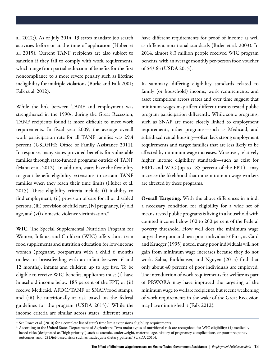al. 2012;). As of July 2014, 19 states mandate job search activities before or at the time of application (Huber et al. 2015). Current TANF recipients are also subject to sanction if they fail to comply with work requirements, which range from partial reduction of benefits for the first noncompliance to a more severe penalty such as lifetime ineligibility for multiple violations (Burke and Falk 2001; Falk et al. 2012).

While the link between TANF and employment was strengthened in the 1990s, during the Great Recession, TANF recipients found it more difficult to meet work requirements. In fiscal year 2009, the average overall work participation rate for all TANF families was 29.4 percent (USDHHS Office of Family Assistance 2011). In response, many states provided benefits for vulnerable families through state-funded programs outside of TANF (Hahn et al. 2012). In addition, states have the flexibility to grant benefit eligibility extensions to certain TANF families when they reach their time limits (Huber et al. 2015). These eligibility criteria include (i) inability to find employment, (ii) provision of care for ill or disabled persons, (iii) provision of child care, (iv) pregnancy, (v) old age, and (vi) domestic violence victimization.<sup>4</sup>

WIC. The Special Supplemental Nutrition Program for Women, Infants, and Children (WIC) offers short-term food supplements and nutrition education for low-income women (pregnant, postpartum with a child 6 months or less, or breastfeeding with an infant between 6 and 12 months), infants and children up to age five. To be eligible to receive WIC benefits, applicants must (i) have household income below 185 percent of the FPT, or (ii) receive Medicaid, AFDC/TANF or SNAP/food stamps, and (iii) be nutritionally at risk based on the federal guidelines for the program (USDA 2015).<sup>5</sup> While the income criteria are similar across states, different states

have different requirements for proof of income as well as different nutritional standards (Bitler et al. 2003). In 2014, almost 8.3 million people received WIC program benefits, with an average monthly per-person food voucher of \$43.65 (USDA 2015).

In summary, differing eligibility standards related to family (or household) income, work requirements, and asset exemptions across states and over time suggest that minimum wages may affect different means-tested public program participation differently. While some programs, such as SNAP are more closely linked to employment requirements, other programs—such as Medicaid, and subsidized rental housing—often lack strong employment requirements and target families that are less likely to be affected by minimum wage increases. Moreover, relatively higher income eligibility standards—such as exist for FRPL and WIC (up to 185 percent of the FPT)—may increase the likelihood that more minimum wage workers are affected by these programs.

Overall Targeting. With the above differences in mind, a necessary condition for eligibility for a wide set of means-tested public programs is living in a household with counted income below 100 to 200 percent of the Federal poverty threshold. How well does the minimum wage target these poor and near poor individuals? First, as Card and Krueger (1995) noted, many poor individuals will not gain from minimum wage increases because they do not work. Sabia, Burkhauser, and Nguyen (2015) find that only about 40 percent of poor individuals are employed. The introduction of work requirements for welfare as part of PRWORA may have improved the targeting of the minimum wage to welfare recipients, but recent weakening of work requirements in the wake of the Great Recession may have diminished it (Falk 2012).

<sup>&</sup>lt;sup>4</sup> See Rowe et al. (2010) for a complete list of state's time limit extensions eligibility requirements.

<sup>&</sup>lt;sup>5</sup> According to the United States Department of Agriculture, "two major types of nutritional risk are recognized for WIC eligibility: (1) medicallybased risks (designated as "high priority") such as anemia, underweight, maternal age, history of pregnancy complications, or poor pregnancy outcomes, and (2) Diet-based risks such as inadequate dietary pattern." (USDA 2010).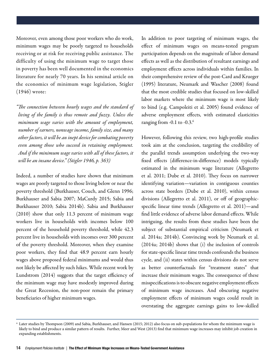Moreover, even among those poor workers who do work, minimum wages may be poorly targeted to households receiving or at risk for receiving public assistance. The difficulty of using the minimum wage to target those in poverty has been well documented in the economics literature for nearly 70 years. In his seminal article on the economics of minimum wage legislation, Stigler (1946) wrote:

*"The connection between hourly wages and the standard of living of the family is thus remote and fuzzy. Unless the minimum wage varies with the amount of employment, number of earners, nonwage income, family size, and many other factors, it will be an inept device for combating poverty even among those who succeed in retaining employment. And if the minimum wage varies with all of these factors, it will be an insane device." (Stigler 1946, p. 363)*

Indeed, a number of studies have shown that minimum wages are poorly targeted to those living below or near the poverty threshold (Burkhauser, Couch, and Glenn 1996; Burkhauser and Sabia 2007; MaCurdy 2015; Sabia and Burkhauser 2010; Sabia 2014b). Sabia and Burkhauser (2010) show that only 11.3 percent of minimum wage workers live in households with incomes below 100 percent of the household poverty threshold, while 42.3 percent live in households with incomes over 300 percent of the poverty threshold. Moreover, when they examine poor workers, they find that 48.9 percent earn hourly wages above proposed federal minimums and would thus not likely be affected by such hikes. While recent work by Lundstrom (2014) suggests that the target efficiency of the minimum wage may have modestly improved during the Great Recession, the non-poor remain the primary beneficiaries of higher minimum wages.

In addition to poor targeting of minimum wages, the effect of minimum wages on means-tested program participation depends on the magnitude of labor demand effects as well as the distribution of resultant earnings and employment effects across individuals within families. In their comprehensive review of the post-Card and Krueger (1995) literature, Neumark and Wascher (2008) found that the most credible studies that focused on low-skilled labor markets where the minimum wage is most likely to bind (e.g. Campoleiti et al. 2005) found evidence of adverse employment effects, with estimated elasticities ranging from -0.1 to -0.3.<sup>6</sup>

However, following this review, two high-profile studies took aim at the conclusion, targeting the credibility of the parallel trends assumption underlying the two-way fixed effects (difference-in-difference) models typically estimated in the minimum wage literature (Allegretto et al. 2011; Dube et al. 2010). They focus on narrower identifying variation—variation in contiguous counties across state borders (Dube et al. 2010), within census divisions (Allegretto et al. 2011), or off of geographicspecific linear time trends (Allegretto et al. 2011)—and find little evidence of adverse labor demand effects. While intriguing, the results from these studies have been the subject of substantial empirical criticism (Neumark et al. 2014a; 2014b). Convincing work by Neumark et al. (2014a; 2014b) shows that (i) the inclusion of controls for state-specific linear time trends confounds the business cycle, and (ii) states within census divisions do not serve as better counterfactuals for "treatment states" that increase their minimum wages. The consequence of these misspecifications is to obscure negative employment effects of minimum wage increases. And obscuring negative employment effects of minimum wages could result in overstating the aggregate earnings gains to low-skilled

<sup>6</sup> Later studies by Thompson (2009) and Sabia, Burkhauser, and Hansen (2015; 2012) also focus on sub-populations for whom the minimum wage is likely to bind and produce a similar pattern of results. Further, Meer and West (2013) find that minimum wage increases may inhibit job creation in expanding establishments.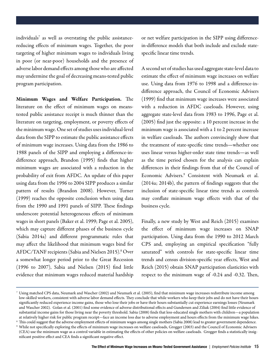individuals7 as well as overstating the public assistancereducing effects of minimum wages. Together, the poor targeting of higher minimum wages to individuals living in poor (or near-poor) households and the presence of adverse labor demand effects among those who are affected may undermine the goal of decreasing means-tested public program participation.

Minimum Wages and Welfare Participation. The literature on the effect of minimum wages on meanstested public assistance receipt is much thinner than the literature on targeting, employment, or poverty effects of the minimum wage. One set of studies uses individual-level data from the SIPP to estimate the public assistance effects of minimum wage increases. Using data from the 1986 to 1988 panels of the SIPP and employing a difference-indifference approach, Brandon (1995) finds that higher minimum wages are associated with a reduction in the probability of exit from AFDC. An update of this paper using data from the 1996 to 2004 SIPP produces a similar pattern of results (Brandon 2008). However, Turner (1999) reaches the opposite conclusion when using data from the 1990 and 1991 panels of SIPP. These findings underscore potential heterogeneous effects of minimum wages in short panels (Baker et al. 1999; Page et al. 2005), which may capture different phases of the business cycle (Sabia 2014a) and different programmatic rules that may affect the likelihood that minimum wages bind for AFDC/TANF recipients (Sabia and Nielsen 2015).<sup>8</sup> Over a somewhat longer period prior to the Great Recession (1996 to 2007), Sabia and Nielsen (2015) find little evidence that minimum wages reduced material hardship

or net welfare participation in the SIPP using differencein-difference models that both include and exclude statespecific linear time trends.

A second set of studies has used aggregate state-level data to estimate the effect of minimum wage increases on welfare use. Using data from 1976 to 1998 and a difference-indifference approach, the Council of Economic Advisers (1999) find that minimum wage increases were associated with a reduction in AFDC caseloads. However, using aggregate state-level data from 1983 to 1996, Page et al. (2005) find just the opposite: a 10 percent increase in the minimum wage is associated with a 1 to 2 percent increase in welfare caseloads. The authors convincingly show that the treatment of state-specific time trends—whether one uses linear versus higher-order state time trends—as well as the time period chosen for the analysis can explain differences in their findings from that of the Council of Economic Advisers.9 Consistent with Neumark et al. (2014a; 2014b), the pattern of findings suggests that the inclusion of state-specific linear time trends as controls may conflate minimum wage effects with that of the business cycle.

Finally, a new study by West and Reich (2015) examines the effect of minimum wage increases on SNAP participation. Using data from the 1990 to 2012 March CPS and, employing an empirical specification "fully saturated" with controls for state-specific linear time trends and census division-specific year effects, West and Reich (2015) obtain SNAP participation elasticities with respect to the minimum wage of -0.24 and -0.32. Then,

 $\sigma$  Using matched CPS data, Neumark and Wascher (2002) and Neumark et al. (2005), find that minimum wage increases redistribute income among low-skilled workers, consistent with adverse labor demand effects. They conclude that while workers who keep their jobs and do not have their hours significantly reduced experience income gains, those who lose their jobs or have their hours substantially cut experience earnings losses (Neumark and Wascher 2002). Golan et al. (2001) find some evidence of adverse distributional effects and Gundersen and Ziliak (2004) find little evidence of substantial income gains for those living near the poverty threshold. Sabia (2008) finds that less-educated single mothers with children—a population at relatively higher risk for public program receipt—face an income loss due to adverse employment and hours effects from the minimum wage hikes.

<sup>8</sup> This could suggest that the adverse employment effects of minimum wages among single mothers (Sabia 2008) lead to greater government dependence.

<sup>&</sup>lt;sup>9</sup> While not specifically exploring the effects of minimum wage increases on welfare caseloads, Grogger (2003) and the Council of Economic Advisers (CEA) use the minimum wage as a control variable in estimating the effects of other policies on welfare caseloads. Grogger finds a statistically insignificant positive effect and CEA finds a significant negative effect.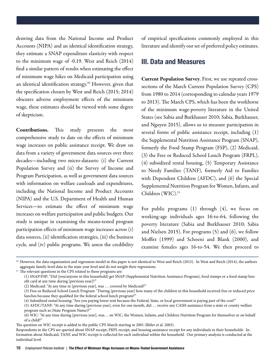drawing data from the National Income and Product Accounts (NIPA) and an identical identification strategy, they estimate a SNAP expenditure elasticity with respect to the minimum wage of -0.19. West and Reich (2014) find a similar pattern of results when estimating the effect of minimum wage hikes on Medicaid participation using an identical identification strategy.<sup>10</sup> However, given that the specification chosen by West and Reich (2015; 2014) obscures adverse employment effects of the minimum wage, these estimates should be viewed with some degree of skepticism.

Contributions. This study presents the most comprehensive study to date on the effects of minimum wage increases on public assistance receipt. We draw on data from a variety of government data sources over three decades—including two micro-datasets: (i) the Current Population Survey and (ii) the Survey of Income and Program Participation, as well as government data sources with information on welfare caseloads and expenditures, including the National Income and Product Accounts (NIPA) and the U.S. Department of Health and Human Services—to estimate the effect of minimum wage increases on welfare participation and public budgets. Our study is unique in examining the means-tested program participation effects of minimum wage increases across (i) data sources, (ii) identification strategies, (iii) the business cycle, and (iv) public programs. We assess the credibility

of empirical specifications commonly employed in this literature and identify our set of preferred policy estimates.

#### III. Data and Measures

Current Population Survey. First, we use repeated crosssections of the March Current Population Survey (CPS) from 1980 to 2014 (corresponding to calendar years 1979 to 2013). The March CPS, which has been the workhorse of the minimum wage-poverty literature in the United States (see Sabia and Burkhauser 2010; Sabia, Burkhauser, and Nguyen 2015), allows us to measure participation in several forms of public assistance receipt, including (1) the Supplemental Nutrition Assistance Program (SNAP), formerly the Food Stamp Program (FSP), (2) Medicaid, (3) the Free or Reduced School Lunch Program (FRPL), (4) subsidized rental housing, (5) Temporary Assistance to Needy Families (TANF), formerly Aid to Families with Dependent Children (AFDC), and (6) the Special Supplemental Nutrition Program for Women, Infants, and Children (WIC).<sup>11</sup>

For public programs (1) through (4), we focus on working-age individuals ages 16-to-64, following the poverty literature (Sabia and Burkhauser 2010; Sabia and Nielsen 2015). For programs (5) and (6), we follow Moffitt (1999) and Schoeni and Blank (2000), and examine females ages 16-to-54. We then proceed to

<sup>&</sup>lt;sup>10</sup> However, the data organization and regression model in this paper is not identical to West and Reich (2015). In West and Reich (2014), the authors aggregate family-level data to the state-year level and do not weight their regressions.

 $11$  The relevant questions in the CPS related to these programs are:

<sup>(1)</sup> SNAP/FSP: "Did (you/anyone in this household) get SNAP (Supplemental Nutrition Assistance Program), food stamps or a food stamp benefit card at any time during [previous year]?"

<sup>(2)</sup> Medicaid: "At any time in [previous year], was … covered by Medicaid?"

<sup>(3)</sup> Free or Reduced School Lunch Program: "During [previous year] how many of the children in this household received free or reduced price lunches because they qualified for the federal school lunch program?"

<sup>(4)</sup> Subsidized rental housing: "Are you paying lower rent because the Federal, State, or local government is paying part of the cost?"

<sup>(5)</sup> AFDC/TANF: "At any time during [previous year], even for one month, did … receive any CASH assistance from a state or county welfare program such as (State Program Name)?"

<sup>(6)</sup> WIC: "At any time during [previous year], was… on WIC, the Women, Infants, and Children Nutrition Program for themselves or on behalf of a child?"

The question on WIC receipt is added to the public CPS March starting in 2001 (Bitler et al. 2003).

Respondents in the CPS are queried about SNAP receipt, FRPL receipt, and housing assistance receipt for any individuals in their households. Information about Medicaid, TANF, and WIC receipt is collected for each individual within the household. Our primary analysis is conducted at the individual level.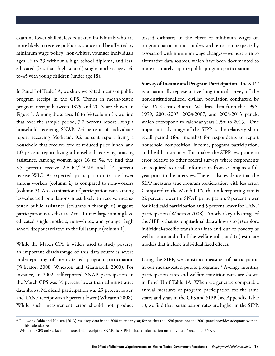examine lower-skilled, less-educated individuals who are more likely to receive public assistance and be affected by minimum wage policy: non-whites, younger individuals ages 16-to-29 without a high school diploma, and lesseducated (less than high school) single mothers ages 16 to-45 with young children (under age 18).

In Panel I of Table 1A, we show weighted means of public program receipt in the CPS. Trends in means-tested program receipt between 1979 and 2013 are shown in Figure 1. Among those ages 16 to 64 (column 1), we find that over the sample period, 7.7 percent report living a household receiving SNAP, 7.6 percent of individuals report receiving Medicaid, 9.2 percent report living a household that receives free or reduced price lunch, and 1.0 percent report living a household receiving housing assistance. Among women ages 16 to 54, we find that 3.5 percent receive AFDC/TANF, and 4.4 percent receive WIC. As expected, participation rates are lower among workers (column 2) as compared to non-workers (column 3). An examination of participation rates among less-educated populations most likely to receive meanstested public assistance (columns 4 through 6) suggests participation rates that are 2 to 11 times larger among lesseducated single mothers, non-whites, and younger high school dropouts relative to the full sample (column 1).

While the March CPS is widely used to study poverty, an important disadvantage of this data source is severe underreporting of means-tested program participation (Wheaton 2008; Wheaton and Giannarelli 2000). For instance, in 2002, self-reported SNAP participation in the March CPS was 39 percent lower than administrative data shows, Medicaid participation was 29 percent lower, and TANF receipt was 46 percent lower (Wheaton 2008). While such measurement error should not produce biased estimates in the effect of minimum wages on program participation—unless such error is unexpectedly associated with minimum wage changes—we next turn to alternative data sources, which have been documented to more accurately capture public program participation.

Survey of Income and Program Participation. The SIPP is a nationally-representative longitudinal survey of the non-institutionalized, civilian population conducted by the U.S. Census Bureau. We draw data from the 1996- 1999, 2001-2003, 2004-2007, and 2008-2013 panels, which correspond to calendar years 1996 to 2013.<sup>12</sup> One important advantage of the SIPP is the relatively short recall period (four months) for respondents to report household composition, income, program participation, and health insurance. This makes the SIPP less prone to error relative to other federal surveys where respondents are required to recall information from as long as a full year prior to the interview. There is also evidence that the SIPP measures true program participation with less error. Compared to the March CPS, the underreporting rate is 22 percent lower for SNAP participation, 9 percent lower for Medicaid participation and 5 percent lower for TANF participation (Wheaton 2008). Another key advantage of the SIPP is that its longitudinal data allow us to (i) explore individual-specific transitions into and out of poverty as well as onto and off of the welfare rolls, and (ii) estimate models that include individual fixed effects.

Using the SIPP, we construct measures of participation in our means-tested public programs.<sup>13</sup> Average monthly participation rates and welfare transition rates are shown in Panel II of Table 1A. When we generate comparable annual measures of program participation for the same states and years in the CPS and SIPP (see Appendix Table 1), we find that participation rates are higher in the SIPP,

<sup>&</sup>lt;sup>12</sup> Following Sabia and Nielsen (2013), we drop data in the 2000 calendar year, for neither the 1996 panel nor the 2001 panel provides adequate overlap in this calendar year.

<sup>&</sup>lt;sup>13</sup> While the CPS only asks about household receipt of SNAP, the SIPP includes information on individuals' receipt of SNAP.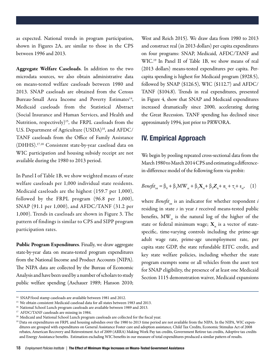as expected. National trends in program participation, shown in Figures 2A, are similar to those in the CPS between 1996 and 2013.

Aggregate Welfare Caseloads. In addition to the two microdata sources, we also obtain administrative data on means-tested welfare caseloads between 1980 and 2013. SNAP caseloads are obtained from the Census Bureau-Small Area Income and Poverty Estimates<sup>14</sup>, Medicaid caseloads from the Statistical Abstract (Social Insurance and Human Services, and Health and Nutrition, respectively)<sup>15</sup>, the FRPL caseloads from the U.S. Department of Agriculture (USDA)<sup>16</sup>, and AFDC/ TANF caseloads from the Office of Family Assistance (DHHS).17,18 Consistent state-by-year caseload data on WIC participation and housing subsidy receipt are not available during the 1980 to 2013 period.

In Panel I of Table 1B, we show weighted means of state welfare caseloads per 1,000 individual state residents. Medicaid caseloads are the highest (159.7 per 1,000), followed by the FRPL program (96.8 per 1,000), SNAP (91.1 per 1,000), and AFDC/TANF (31.2 per 1,000). Trends in caseloads are shown in Figure 3. The pattern of findings is similar to CPS and SIPP program participation rates.

Public Program Expenditures. Finally, we draw aggregate state-by-year data on means-tested program expenditures from the National Income and Product Accounts (NIPA). The NIPA data are collected by the Bureau of Economic Analysis and have been used by a number of scholars to study public welfare spending (Aschauer 1989; Hanson 2010;

West and Reich 2015). We draw data from 1980 to 2013 and construct real (in 2013 dollars) per capita expenditures on four programs: SNAP, Medicaid, AFDC/TANF and WIC.19 In Panel II of Table 1B, we show means of real (2013 dollars) means-tested expenditures per capita. Percapita spending is highest for Medicaid program (\$928.5), followed by SNAP (\$126.5), WIC (\$112.7) and AFDC/ TANF (\$104.8). Trends in real expenditures, presented in Figure 4, show that SNAP and Medicaid expenditures increased dramatically since 2000, accelerating during the Great Recession. TANF spending has declined since approximately 1994, just prior to PRWORA.

#### IV. Empirical Approach

We begin by pooling repeated cross-sectional data from the March 1980 to March 2014 CPS and estimating a differencein-difference model of the following form via probit:

$$
Beneft_{\rm ist} = \beta_0 + \beta_1 MW_{\rm st} + \beta_2 X_{\rm st} + \beta_3 Z_{\rm it} + \alpha_{\rm s} + \tau_{\rm t} + \varepsilon_{\rm st}, \quad (1)
$$

where *Benefit*<sub>ist</sub> is an indicator for whether respondent  $i$ residing in state *s* in year *t* received means-tested public benefits, MW<sub>st</sub> is the natural log of the higher of the state or federal minimum wage;  $X_{st}$  is a vector of statespecific, time-varying controls including the prime-age adult wage rate, prime-age unemployment rate, per capita state GDP, the state refundable EITC credit, and key state welfare policies, including whether the state program exempts some or all vehicles from the asset test for SNAP eligibility, the presence of at least one Medicaid Section 1115 demonstration waiver, Medicaid expansions

<sup>&</sup>lt;sup>14</sup> SNAP/food stamp caseloads are available between 1981 and 2012.

<sup>&</sup>lt;sup>15</sup> We obtain consistent Medicaid caseload data for all states between 1983 and 2013.

<sup>&</sup>lt;sup>16</sup> National School Lunch program caseloads are available between 1989 and 2013.

<sup>&</sup>lt;sup>17</sup> AFDC/TANF caseloads are missing in 1984.

<sup>&</sup>lt;sup>18</sup> Medicaid and National School Lunch program caseloads are collected for the fiscal year.

<sup>&</sup>lt;sup>19</sup> Data on expenditures on FRPL and housing subsidies over the 1980 to 2013 time period are not available from the NIPA. In the NIPA, WIC expenditures are grouped with expenditures on General Assistance Foster care and adoption assistance, Child Tax Credits, Economic Stimulus Act of 2008 rebates, American Recovery and Reinvestment Act of 2009 (ARRA) Making Work Pay tax credits, Government Retiree tax credits, Adoptive tax credits and Energy Assistance benefits. Estimation excluding WIC benefits in our measure of total expenditures produced a similar pattern of results.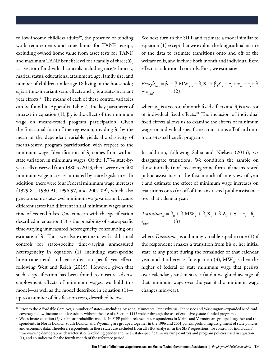to low-income childless adults<sup>20</sup>, the presence of binding work requirements and time limits for TANF receipt, excluding owned home value from asset tests for TANF, and maximum TANF benefit level for a family of three;  $\mathbf{Z}_{i\cdot}$ is a vector of individual controls including race/ethnicity, marital status, educational attainment, age, family size, and number of children under age 18 living in the household;  $\alpha_{\rm s}$  is a time-invariant state effect; and  $\tau_{\rm t}$  is a state-invariant year effects.<sup>21</sup> The means of each of these control variables can be found in Appendix Table 2. The key parameter of interest in equation (1),  $\beta_1$ , is the effect of the minimum wage on means-tested program participation. Given the functional form of the regression, dividing  $\beta_1$  by the mean of the dependent variable yields the elasticity of means-tested program participation with respect to the minimum wage. Identification of  $\beta_1$  comes from withinstate variation in minimum wages. Of the 1,734 state-byyear cells observed from 1980 to 2013, there were over 400 minimum wage increases initiated by state legislatures. In addition, there were four Federal minimum wage increases (1979-81, 1990-91, 1996-97, and 2007-09), which also generate some state-level minimum wage variation because different states had different initial minimum wages at the time of Federal hikes. One concern with the specification described in equation (1) is the possibility of state-specific time-varying unmeasured heterogeneity confounding our estimate of  $\beta_1$ . Thus, we also experiment with additional controls for state-specific time-varying unmeasured heterogeneity in equation (1), including state-specific linear time trends and census division-specific year effects following West and Reich (2015). However, given that such a specification has been found to obscure adverse employment effects of minimum wages, we hold this model—as well as the model described in equation (1) up to a number of falsification tests, described below.

We next turn to the SIPP and estimate a model similar to equation (1) except that we exploit the longitudinal nature of the data to estimate transitions onto and off of the welfare rolls, and include both month and individual fixed effects as additional controls. First, we estimate:

$$
Beneft_{\text{ismt}} = \beta_0 + \beta_1 MW_{\text{smt}} + \beta_2 X_{\text{st}} + \beta_3 Z_{\text{it}} + \alpha_s + \pi_{\text{m}} + \tau_{\text{t}} + \theta_{\text{i}} + \epsilon_{\text{ismt}},
$$
  
(2)

where  $\pi_{_{\mathrm{m}}}$  is a vector of month fixed effects and  $\theta_{_{\mathrm{i}}}$  is a vector of individual fixed effects.<sup>21</sup> The inclusion of individual fixed effects allows us to examine the effects of minimum wages on individual-specific net transitions off of and onto means-tested benefit programs.

In addition, following Sabia and Nielsen (2015), we disaggregate transitions. We condition the sample on those initially (not) receiving some form of means-tested public assistance in the first month of interview of year t and estimate the effect of minimum wage increases on transitions onto (or off of ) means-tested public assistance over that calendar year:

$$
Transition_{\text{ist}} = \beta_0 + \beta_1 MW_{\text{st}} + \beta_2 X_{\text{st}} + \beta_3 Z_{\text{it}} + \alpha_{\text{s}} + \tau_{\text{t}} + \theta_{\text{i}} + \epsilon_{\text{ism'}}
$$
\n(3)

where *Transition*<sub>is</sub> is a dummy variable equal to one (1) if the respondent i makes a transition from his or her initial state at any point during the remainder of that calendar year, and 0 otherwise. In equation (3), MW<sub>s</sub> is then the higher of federal or state minimum wage that persists over calendar year *t* in state *s* (and a weighted average of that minimum wage over the year if the minimum wage changes mid-year).

<sup>20</sup> Prior to the Affordable Care Act, a number of states—including Arizona, Minnesota, Pennsylvania, Tennessee and Washington–expanded Medicaid coverage to low-income childless adults without the use of a Section 1115 waiver through the use of exclusively state-funded programs.

<sup>&</sup>lt;sup>21</sup> We estimate equation (2) via linear probability model. In SIPP public-release data, respondents in Maine and Vermont are grouped together and respondents in North Dakota, South Dakota, and Wyoming are grouped together in the 1996 and 2001 panels, prohibiting assignment of state policies and economic data. Therefore, respondents in these states are excluded from all SIPP analyses. In the SIPP regressions, we control for individuals' time-varying demographic characteristics (excluding gender and race), state-specific time-varying controls and program policies used in equation (1), and an indicator for the fourth month of the reference period.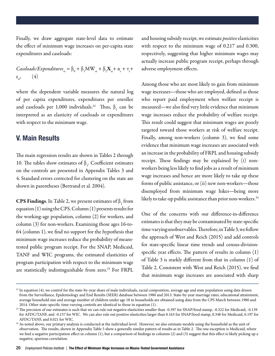Finally, we draw aggregate state-level data to estimate the effect of minimum wage increases on per-capita state expenditures and caseloads:

*Caseloads/Expenditures*<sub>st</sub> = 
$$
\beta_0 + \beta_1 MW_{st} + \beta_2 X_{st} + \alpha_s + \tau_t + \epsilon_{st}
$$
, (4)

where the dependent variable measures the natural log of per capita expenditures, expenditures per enrollee and caseloads per 1,000 individuals.<sup>22</sup> Thus,  $\beta_1$  can be interpreted as an elasticity of caseloads or expenditures with respect to the minimum wage.

#### V. Main Results

The main regression results are shown in Tables 2 through 10. The tables show estimates of  $\beta_1$ . Coefficient estimates on the controls are presented in Appendix Tables 3 and 4. Standard errors corrected for clustering on the state are shown in parentheses (Bertrand et al. 2004).

**CPS Findings.** In Table 2, we present estimates of  $\beta_1$  from equation (1) using the CPS. Column (1) presents results for the working-age population, column (2) for workers, and column (3) for non-workers. Examining those ages 16-to-64 (column 1), we find no support for the hypothesis that minimum wage increases reduce the probability of meanstested public program receipt. For the SNAP, Medicaid, TANF and WIC programs, the estimated elasticities of program participation with respect to the minimum wage are statistically indistinguishable from zero.<sup>23</sup> For FRPL

and housing subsidy receipt, we estimate *positive* elasticities with respect to the minimum wage of 0.217 and 0.300, respectively, suggesting that higher minimum wages may actually increase public program receipt, perhaps through adverse employment effects.

Among those who are most likely to gain from minimum wage increases—those who are employed, defined as those who report paid employment when welfare receipt is measured—we also find very little evidence that minimum wage increases reduce the probability of welfare receipt. This result could suggest that minimum wages are poorly targeted toward those workers at risk of welfare receipt. Finally, among non-workers (column 3), we find some evidence that minimum wage increases are associated with an increase in the probability of FRPL and housing subsidy receipt. These findings may be explained by (i) nonworkers being less likely to find jobs as a result of minimum wage increases and hence are more likely to take up these forms of public assistance, or (ii) new non-workers—those disemployed from minimum wage hikes—being more likely to take-up public assistance than prior non-workers.<sup>24</sup>

One of the concerns with our difference-in-difference estimates is that they may be contaminated by state-specific time-varying unobservables. Therefore, in Table 3, we follow the approach of West and Reich (2015) and add controls for state-specific linear time trends and census-divisionspecific year effects. The pattern of results in column (1) of Table 3 is starkly different from that in column (1) of Table 2. Consistent with West and Reich (2015), we find that minimum wage increases are associated with sharp

<sup>&</sup>lt;sup>22</sup> In equation (4), we control for the state-by-year share of male individuals, racial composition, average age and state population using data drawn from the Surveillance, Epidemiology and End Results (SEER) database between 1980 and 2013. State-by-year marriage rates, educational attainment, average household size and average number of children under age 18 in households are obtained using data from the CPS March between 1980 and 2014. Other state-specific time-varying controls are identical to those in equation (1).

<sup>&</sup>lt;sup>23</sup> The precision of our estimates is such that we can rule out negative elasticities smaller than -0.397 for SNAP/food stamp, -0.322 for Medicaid, -0.139 for AFDC/TANF, and -0.157 for WIC. We can also rule out positive elasticities larger than 0.163 for SNAP/food stamp, 0.348 for Medicaid, 0.197 for AFDC/TANF, and 0.021 for WIC.

<sup>&</sup>lt;sup>24</sup> As noted above, our primary analysis is conducted at the individual-level. However, we also estimate models using the household as the unit of observation. The results, shown in Appendix Table 5 show a generally similar pattern of results as in Table 2. The one exception is Medicaid, where we find a negative participation effect in column (1), but a comparison of findings in columns (2) and (3) suggest that this effect is likely picking up a negative, spurious correlation.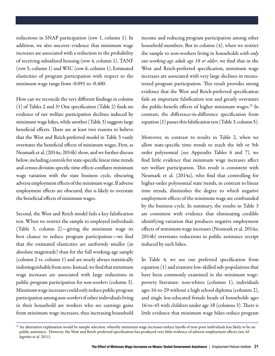reductions in SNAP participation (row 1, column 1). In addition, we also uncover evidence that minimum wage increases are associated with a reduction in the probability of receiving subsidized housing (row 4, column 1), TANF (row 5, column 1) and WIC (row 6, column 1). Estimated elasticities of program participation with respect to the minimum wage range from -0.091 to -0.400.

How can we reconcile the very different findings in column (1) of Tables 2 and 3? One specification (Table 2) finds no evidence of net welfare participation declines induced by minimum wage hikes, while another (Table 3) suggests large beneficial effects. There are at least two reasons to believe that the West and Reich-preferred model in Table 3 vastly overstates the beneficial effects of minimum wages. First, as Neumark et al. (2014a; 2014b) show, and we further discuss below, including controls for state-specific linear time trends and census division-specific time effects conflates minimum wage variation with the state business cycle, obscuring adverse employment effects of the minimum wage. If adverse employment effects are obscured, this is likely to overstate the beneficial effects of minimum wages.

Second, the West and Reich model fails a key falsification test. When we restrict the sample to employed individuals (Table 3, column 2)—giving the minimum wage its best chance to reduce program participation—we find that the estimated elasticities are uniformly smaller (in absolute magnitude) than for the full working-age sample (column 2 vs. column 1) and are nearly always statistically indistinguishable from zero. Instead, we find that minimum wage increases are associated with large reductions in public program participation for *non-workers* (column 3). Minimum wage increases could only reduce public program participation among *non-worker*s if other individuals living in their household are workers who see earnings gains from minimum wage increases, thus increasing household

income and reducing program participation among other household members. But in column (4), when we restrict the sample to non-workers living in households *with only one working-age adult age 18 or older*, we find that in the West and Reich-preferred specification, minimum wage increases are associated with very large declines in meanstested program participation. This result provides strong evidence that the West and Reich-preferred specification fails an important falsification test and greatly overstates the public-benefit effects of higher minimum wages.<sup>25</sup> In contrast, the difference-in-difference specification from equation (1) passes this falsification test (Table 3, column 5).

Moreover, in contrast to results in Table 2, when we allow state-specific time trends to reach the 4th or 5th order polynomial (see Appendix Tables 6 and 7), we find little evidence that minimum wage increases affect net welfare participation. This result is consistent with Neumark et al. (2014a), who find that controlling for higher-order polynomial state trends, in contrast to linear time trends, diminishes the degree to which negative employment effects of the minimum wage are confounded by the business cycle. In summary, the results in Table 3 are consistent with evidence that eliminating credible identifying variation that produces negative employment effects of minimum wage increases (Neumark et al. 2014a; 2014b) overstates reductions in public assistance receipt induced by such hikes.

In Table 4, we use our preferred specification from equation (1) and examine low-skilled sub-populations that have been commonly examined in the minimum wagepoverty literature: non-whites (columns 1), individuals ages 16-to-29 without a high school diploma (columns 2), and single less-educated female heads of households ages 16-to-45 with children under age 18 (columns 3). There is little evidence that minimum wage hikes reduce program

<sup>&</sup>lt;sup>25</sup> An alternative explanation would be sample selection, whereby minimum wage increases induce layoffs of non-poor individuals less likely to be on public assistance. However, the West and Reich-preferred specification has produced very little evidence of adverse employment effects (see Allegretto et al. 2011).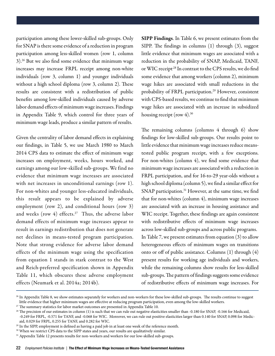participation among these lower-skilled sub-groups. Only for SNAP is there some evidence of a reduction in program participation among less-skilled women (row 1, column 3).26 But we also find some evidence that minimum wage increases may increase FRPL receipt among non-white individuals (row 3, column 1) and younger individuals without a high school diploma (row 3, column 2). These results are consistent with a redistribution of public benefits among low-skilled individuals caused by adverse labor demand effects of minimum wage increases. Findings in Appendix Table 9, which control for three years of minimum wage leads, produce a similar pattern of results.

Given the centrality of labor demand effects in explaining our findings, in Table 5, we use March 1980 to March 2014 CPS data to estimate the effect of minimum wage increases on employment, weeks, hours worked, and earnings among our low-skilled sub-groups. We find no evidence that minimum wage increases are associated with net increases in unconditional earnings (row 1). For non-whites and younger less-educated individuals, this result appears to be explained by adverse employment (row 2), and conditional hours (row 3) and weeks (row 4) effects.<sup>27</sup> Thus, the adverse labor demand effects of minimum wage increases appear to result in earnings redistribution that does not generate net declines in means-tested program participation. Note that strong evidence for adverse labor demand effects of the minimum wage using the specification from equation 1 stands in stark contrast to the West and Reich-preferred specification shown in Appendix Table 11, which obscures these adverse employment effects (Neumark et al. 2014a; 2014b).

SIPP Findings. In Table 6, we present estimates from the SIPP. The findings in columns (1) through (3), suggest little evidence that minimum wages are associated with a reduction in the probability of SNAP, Medicaid, TANF, or WIC receipt<sup>28</sup> In contrast to the CPS results, we do find some evidence that among workers (column 2), minimum wage hikes are associated with small reductions in the probability of FRPL participation.<sup>29</sup> However, consistent with CPS-based results, we continue to find that minimum wage hikes are associated with an increase in subsidized housing receipt (row  $4$ ).<sup>30</sup>

The remaining columns (columns 4 through 6) show findings for low-skilled sub-groups. Our results point to little evidence that minimum wage increases reduce meanstested public program receipt, with a few exceptions. For non-whites (column 4), we find some evidence that minimum wage increases are associated with a reduction in FRPL participation, and for 16-to-29 year-olds without a high school diploma (column 5), we find a similar effect for SNAP participation.<sup>31</sup> However, at the same time, we find that for non-whites (column 4), minimum wage increases are associated with an increase in housing assistance and WIC receipt. Together, these findings are again consistent with redistributive effects of minimum wage increases across low-skilled sub-groups and across public programs. In Table 7, we present estimates from equation (3) to allow heterogeneous effects of minimum wages on transitions onto or off of public assistance. Columns (1) through (4) present results for working age individuals and workers, while the remaining columns show results for less-skilled sub-groups. The pattern of findings suggests some evidence of redistributive effects of minimum wage increases. For

<sup>&</sup>lt;sup>26</sup> In Appendix Table 8, we show estimates separately for workers and non-workers for these low-skilled sub-groups. The results continue to suggest little evidence that higher minimum wages are effective at reducing program participation, even among the low-skilled workers.

 $27$  The summary statistics for labor market outcomes are presented in Appendix Table 10.

<sup>&</sup>lt;sup>28</sup> The precision of our estimates in column (1) is such that we can rule out negative elasticities smaller than -0.180 for SNAP, -0.166 for Medicaid, -0.249 for FRPL, -0.571 for TANF, and -0.068 for WIC. Moreover, we can rule out positive elasticities larger than 0.140 for SNAP, 0.098 for Medicaid, 0.029 for FRPL, 0.255 for TANF, and 0.282 for WIC.

<sup>&</sup>lt;sup>29</sup> In the SIPP, employment is defined as having a paid job in at least one week of the reference month.

<sup>&</sup>lt;sup>30</sup> When we restrict CPS data to the SIPP states and years, our results are qualitatively similar.

<sup>&</sup>lt;sup>31</sup> Appendix Table 12 presents results for non-workers and workers for our low-skilled sub-groups.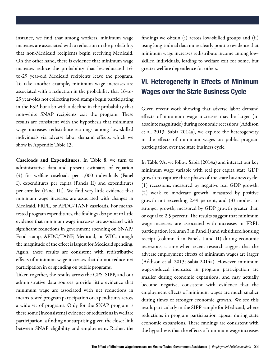instance, we find that among workers, minimum wage increases are associated with a reduction in the probability that non-Medicaid recipients begin receiving Medicaid. On the other hand, there is evidence that minimum wage increases reduce the probability that less-educated 16 to-29 year-old Medicaid recipients leave the program. To take another example, minimum wage increases are associated with a reduction in the probability that 16-to-29 year-olds not collecting food stamps begin participating in the FSP, but also with a decline in the probability that non-white SNAP recipients exit the program. These results are consistent with the hypothesis that minimum wage increases redistribute earnings among low-skilled individuals via adverse labor demand effects, which we show in Appendix Table 13.

Caseloads and Expenditures. In Table 8, we turn to administrative data and present estimates of equation (4) for welfare caseloads per 1,000 individuals (Panel I), expenditures per capita (Panels II) and expenditures per enrollee (Panel III). We find very little evidence that minimum wage increases are associated with changes in Medicaid, FRPL, or AFDC/TANF caseloads. For meanstested program expenditures, the findings also point to little evidence that minimum wage increases are associated with significant reductions in government spending on SNAP/ Food stamp, AFDC/TANF, Medicaid, or WIC, though the magnitude of the effect is largest for Medicaid spending. Again, these results are consistent with redistributive effects of minimum wage increases that do not reduce net participation in or spending on public programs.

Taken together, the results across the CPS, SIPP, and our administrative data sources provide little evidence that minimum wage are associated with net reductions in means-tested program participation or expenditures across a wide set of programs. Only for the SNAP program is there some (inconsistent) evidence of reductions in welfare participation, a finding not surprising given the closer link between SNAP eligibility and employment. Rather, the

findings we obtain (i) across low-skilled groups and (ii) using longitudinal data more clearly point to evidence that minimum wage increases redistribute income among lowskilled individuals, leading to welfare exit for some, but greater welfare dependence for others.

#### VI. Heterogeneity in Effects of Minimum Wages over the State Business Cycle

Given recent work showing that adverse labor demand effects of minimum wage increases may be larger (in absolute magnitude) during economic recessions (Addison et al. 2013; Sabia 2014a), we explore the heterogeneity in the effects of minimum wages on public program participation over the state business cycle.

In Table 9A, we follow Sabia (2014a) and interact our key minimum wage variable with real per capita state GDP growth to capture three phases of the state business cycle: (1) recessions, measured by negative real GDP growth, (2) weak to moderate growth, measured by positive growth not exceeding 2.49 percent, and (3) modest to stronger growth, measured by GDP growth greater than or equal to 2.5 percent. The results suggest that minimum wage increases are associated with increases in FRPL participation (column 3 in Panel I) and subsidized housing receipt (column 4 in Panels I and II) during economic recessions, a time when recent research suggest that the adverse employment effects of minimum wages are larger (Addison et al. 2013; Sabia 2014a). However, minimum wage-induced increases in program participation are smaller during economic expansions, and may actually become negative, consistent with evidence that the employment effects of minimum wages are much smaller during times of stronger economic growth. We see this result particularly in the SIPP sample for Medicaid, where reductions in program participation appear during state economic expansions. These findings are consistent with the hypothesis that the effects of minimum wage increases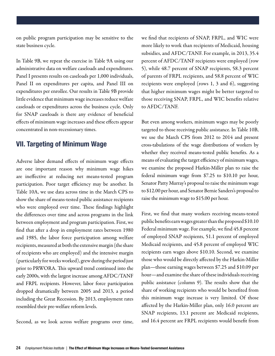on public program participation may be sensitive to the state business cycle.

In Table 9B, we repeat the exercise in Table 9A using our administrative data on welfare caseloads and expenditures. Panel I presents results on caseloads per 1,000 individuals, Panel II on expenditures per capita, and Panel III on expenditures per enrollee. Our results in Table 9B provide little evidence that minimum wage increases reduce welfare caseloads or expenditures across the business cycle. Only for SNAP caseloads is there any evidence of beneficial effects of minimum wage increases and these effects appear concentrated in non-recessionary times.

#### VII. Targeting of Minimum Wage

Adverse labor demand effects of minimum wage effects are one important reason why minimum wage hikes are ineffective at reducing net means-tested program participation. Poor target efficiency may be another. In Table 10A, we use data across time in the March CPS to show the share of means-tested public assistance recipients who were employed over time. These findings highlight the differences over time and across programs in the link between employment and program participation. First, we find that after a drop in employment rates between 1980 and 1985, the labor force participation among welfare recipients, measured at both the extensive margin (the share of recipients who are employed) and the intensive margin (particularly for weeks worked), grew during the period just prior to PRWORA. This upward trend continued into the early 2000s, with the largest increase among AFDC/TANF and FRPL recipients. However, labor force participation dropped dramatically between 2005 and 2013, a period including the Great Recession. By 2013, employment rates resembled their pre-welfare reform levels.

Second, as we look across welfare programs over time,

we find that recipients of SNAP, FRPL, and WIC were more likely to work than recipients of Medicaid, housing subsidies, and AFDC/TANF. For example, in 2013, 35.4 percent of AFDC/TANF recipients were employed (row 5), while 48.7 percent of SNAP recipients, 58.3 percent of parents of FRPL recipients, and 58.8 percent of WIC recipients were employed (rows 1, 3 and 6), suggesting that higher minimum wages might be better targeted to those receiving SNAP, FRPL, and WIC benefits relative to AFDC/TANF.

But even among workers, minimum wages may be poorly targeted to those receiving public assistance. In Table 10B, we use the March CPS from 2012 to 2014 and present cross-tabulations of the wage distributions of workers by whether they received means-tested public benefits. As a means of evaluating the target efficiency of minimum wages, we examine the proposed Harkin-Miller plan to raise the federal minimum wage from \$7.25 to \$10.10 per hour, Senator Patty Murray's proposal to raise the minimum wage to \$12.00 per hour, and Senator Bernie Sanders's proposal to raise the minimum wage to \$15.00 per hour.

First, we find that many workers receiving means-tested public benefits earn wages greater than the proposed \$10.10 Federal minimum wage. For example, we find 45.8 percent of employed SNAP recipients, 51.1 percent of employed Medicaid recipients, and 45.8 percent of employed WIC recipients earn wages above \$10.10. Second, we examine those who would be directly affected by the Harkin-Miller plan—those earning wages between \$7.25 and \$10.09 per hour—and examine the share of these individuals receiving public assistance (column 9). The results show that the share of working recipients who would be benefited from this minimum wage increase is very limited. Of those affected by the Harkin-Miller plan, only 16.0 percent are SNAP recipients, 13.1 percent are Medicaid recipients, and 16.4 percent are FRPL recipients would benefit from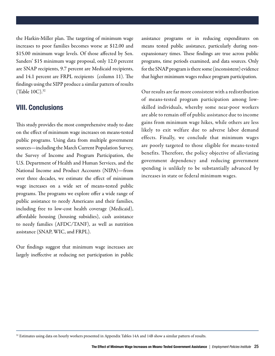the Harkin-Miller plan. The targeting of minimum wage increases to poor families becomes worse at \$12.00 and \$15.00 minimum wage levels. Of those affected by Sen. Sanders' \$15 minimum wage proposal, only 12.0 percent are SNAP recipients, 9.7 percent are Medicaid recipients, and 14.1 percent are FRPL recipients (column 11). The findings using the SIPP produce a similar pattern of results (Table 10C).32

#### VIII. Conclusions

This study provides the most comprehensive study to date on the effect of minimum wage increases on means-tested public programs. Using data from multiple government sources—including the March Current Population Survey, the Survey of Income and Program Participation, the U.S. Department of Health and Human Services, and the National Income and Product Accounts (NIPA)—from over three decades, we estimate the effect of minimum wage increases on a wide set of means-tested public programs. The programs we explore offer a wide range of public assistance to needy Americans and their families, including free to low-cost health coverage (Medicaid), affordable housing (housing subsidies), cash assistance to needy families (AFDC/TANF), as well as nutrition assistance (SNAP, WIC, and FRPL).

Our findings suggest that minimum wage increases are largely ineffective at reducing net participation in public assistance programs or in reducing expenditures on means tested public assistance, particularly during nonexpansionary times. These findings are true across public programs, time periods examined, and data sources. Only for the SNAP program is there some (inconsistent) evidence that higher minimum wages reduce program participation.

Our results are far more consistent with a redistribution of means-tested program participation among lowskilled individuals, whereby some near-poor workers are able to remain off of public assistance due to income gains from minimum wage hikes, while others are less likely to exit welfare due to adverse labor demand effects. Finally, we conclude that minimum wages are poorly targeted to those eligible for means-tested benefits. Therefore, the policy objective of alleviating government dependency and reducing government spending is unlikely to be substantially advanced by increases in state or federal minimum wages.

<sup>&</sup>lt;sup>32</sup> Estimates using data on hourly workers presented in Appendix Tables 14A and 14B show a similar pattern of results.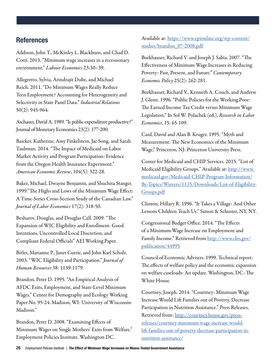#### **References**

Addison, John T., McKinley L. Blackburn, and Chad D. Cotti. 2013. "Minimum wage increases in a recessionary environment." *Labour Economics* 23:30–39.

Allegretto, Sylvia, Arindrajit Dube, and Michael Reich. 2011. "Do Minimum Wages Really Reduce Teen Employment? Accounting for Heterogeneity and Selectivity in State Panel Data." *Industrial Relations*  50(2): 945-964.

Aschauer, David A. 1989. "Is public expenditure productive?" Journal of Monetary Economics 23(2): 177-200.

Baicker, Katherine, Amy Finkelstein, Jae Song, and Sarah Taubman. 2014. "The Impact of Medicaid on Labor Market Activity and Program Participation: Evidence from the Oregon Health Insurance Experiment." *American Economic Review*, 104(5): 322-28.

Baker, Michael, Dwayne Benjamin, and Shuchita Stanger. 1999."The Highs and Lows of the Minimum Wage Effect: A Time-Series Cross-Section Study of the Canadian Law." *Journal of Labor Economics* 17(2): 318-50.

Besharov, Douglas, and Douglas Call. 2009. "The Expansion of WIC Eligibility and Enrollment: Good Intentions, Uncontrolled Local Discretion, and Compliant Federal Officials" AEI Working Paper.

Bitler, Marianne P., Janet Currie, and John Karl Scholz. 2003. "WIC Eligibility and Participation." *Journal of Human Resources* 38: 1139-1179.

Brandon, Peter D. 1995. "An Empirical Analysis of AFDC Exits, Employment, and State-Level Minimum Wages." Center for Demography and Ecology Working Paper No. 95-24. Madison, WI: University of Wisconsin-Madison."

Brandon, Peter D. 2008. "Examining Effects of Minimum Wages on Single Mothers' Exits from Welfare." Employment Policies Institute. Washington DC.

Available at: [https://www.epionline.org/wp-content/](https://www.epionline.org/wp-content/studies/brandon_07-2008.pdf) [studies/brandon\\_07-2008.pdf](https://www.epionline.org/wp-content/studies/brandon_07-2008.pdf)

Burkhauser, Richard V. and Joseph J. Sabia. 2007. "The Effectiveness of Minimum Wage Increases in Reducing Poverty: Past, Present, and Future." *Contemporary Economic Policy* 25(2): 262-281.

Burkhauser, Richard V., Kenneth A. Couch, and Andrew J. Glenn. 1996. "Public Policies for the Working Poor: The Earned Income Tax Credit versus Minimum Wage Legislation." In Sol W. Polachek (ed.), *Research in Labor Economics*, 15: 65-109.

Card, David and Alan B. Kruger. 1995. "Myth and Measurement: The New Economics of the Minimum Wage," Princeton, NJ: Princeton University Press.

Center for Medicaid and CHIP Services. 2015. "List of Medicaid Eligibility Groups." Available at: [http://www.](http://www.medicaid.gov/Medicaid-CHIP-Program-Information/By-Topics/Waivers/1115/Downloads/List-of-Eligibility-Groups.pdf) [medicaid.gov/Medicaid-CHIP-Program-Information/](http://www.medicaid.gov/Medicaid-CHIP-Program-Information/By-Topics/Waivers/1115/Downloads/List-of-Eligibility-Groups.pdf) [By-Topics/Waivers/1115/Downloads/List-of-Eligibility-](http://www.medicaid.gov/Medicaid-CHIP-Program-Information/By-Topics/Waivers/1115/Downloads/List-of-Eligibility-Groups.pdf)[Groups.pdf](http://www.medicaid.gov/Medicaid-CHIP-Program-Information/By-Topics/Waivers/1115/Downloads/List-of-Eligibility-Groups.pdf)

Clinton, Hillary R. 1996. "It Takes a Village: And Other Lessons Children Teach Us." Simon & Schuster, NY, NY.

Congressional Budget Office. 2014. "The Effects of a Minimum-Wage Increase on Employment and Family Income." Retrieved from [http://www.cbo.gov/](http://www.cbo.gov/publication/44995) [publication/44995](http://www.cbo.gov/publication/44995)

Council of Economic Advisers. 1999. Technical report: The effects of welfare policy and the economic expansion on welfare caseloads: An update. Washington, DC: The White House.

Courtney, Joseph. 2014. "Courtney: Minimum Wage Increase Would Lift Families out of Poverty, Decrease Participation in Nutrition Assistance." Press Releases, Retrieved from: [http://courtney.house.gov/press](http://www.courtney.house.gov/press-releases/courtney-minimum-wage-increase-would-lift-families-out-of-p)[releases/courtney-minimum-wage-increase-would](http://www.courtney.house.gov/press-releases/courtney-minimum-wage-increase-would-lift-families-out-of-p)[lift-families-out-of-poverty-decrease-participation-in](http://www.courtney.house.gov/press-releases/courtney-minimum-wage-increase-would-lift-families-out-of-p)[nutrition-assistance/](http://www.courtney.house.gov/press-releases/courtney-minimum-wage-increase-would-lift-families-out-of-p)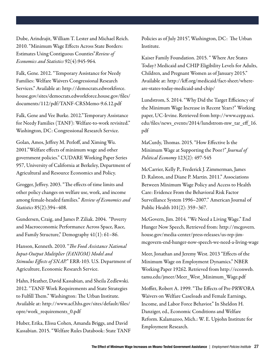Dube, Arindrajit, William T. Lester and Michael Reich. 2010. "Minimum Wage Effects Across State Borders: Estimates Using Contiguous Counties"*Review of Economics and Statistics* 92(4):945-964.

Falk, Gene. 2012. "Temporary Assistance for Needy Families: Welfare Waivers Congressional Research Services." Available at: http://democrats.edworkforce. house.gov/sites/democrats.edworkforce.house.gov/files/ documents/112/pdf/TANF-CRSMemo-9.6.12.pdf

Falk, Gene and Vee Burke. 2012."Temporary Assistance for Needy Families (TANF): Welfare-to-work revisited." Washington, DC: Congressional Research Service.

Golan, Amos, Jeffrey M. Perloff, and Ximing Wu. 2001."Welfare effects of minimum wage and other government policies." CUDARE Working Paper Series 957, University of California at Berkeley, Department of Agricultural and Resource Economics and Policy.

Grogger, Jeffrey. 2003. "The effects of time limits and other policy changes on welfare use, work, and income among female-headed families." *Review of Economics and Statistics* 85(2):394–408.

Gundersen, Craig, and James P. Ziliak. 2004. "Poverty and Macroeconomic Performance Across Space, Race, and Family Structure," Demography 41(1): 61–86.

Hanson, Kenneth. 2010. "*The Food Assistance National Input-Output Multiplier (FANIOM) Model and Stimulus Effects of SNAP.*" ERR-103. U.S. Department of Agriculture, Economic Research Service.

Hahn, Heather, David Kassabian, and Sheila Zedlewski. 2012. "TANF Work Requirements and State Strategies to Fulfill Them." Washington: The Urban Institute. Available at: http://www.acf.hhs.gov/sites/default/files/ opre/work\_requirements\_0.pdf

Huber, Erika, Elissa Cohen, Amanda Briggs, and David Kassabian. 2015. "Welfare Rules Databook: State TANF Policies as of July 2015", Washington, DC: The Urban Institute.

Kaiser Family Foundation. 2015. " Where Are States Today? Medicaid and CHIP Eligibility Levels for Adults, Children, and Pregnant Women as of January 2015." Available at: http://kff.org/medicaid/fact-sheet/whereare-states-today-medicaid-and-chip/

Lundstrom, S. 2014. "Why Did the Target Efficiency of the Minimum Wage Increase in Recent Years?" Working paper, UC-Irvine. Retrieved from http://www.cepp.uci. edu/files/news\_events/2014/lundstrom-mw\_tar\_eff\_16. pdf

MaCurdy, Thomas. 2015. "How Effective Is the Minimum Wage at Supporting the Poor?" *Journal of Political Economy* 123(2): 497-545

McCarrier, Kelly P., Frederick J. Zimmerman, James D. Ralston, and Diane P. Martin. 2011." Associations Between Minimum Wage Policy and Access to Health Care: Evidence From the Behavioral Risk Factor Surveillance System 1996–2007." American Journal of Public Health 101(2): 359–367.

McGovern, Jim. 2014. "We Need a Living Wage." End Hunger Now Speech, Retrieved from: http://mcgovern. house.gov/media-center/press-releases/us-rep-jimmcgovern-end-hunger-now-speech-we-need-a-living-wage

Meer, Jonathan and Jeremy West. 2013 "Effects of the Minimum Wage on Employment Dynamics." NBER Working Paper 19262. Retrieved from http://econweb. tamu.edu/jmeer/Meer\_West\_Minimum\_Wage.pdf

Moffitt, Robert A. 1999. "The Effects of Pre-PRWORA Waivers on Welfare Caseloads and Female Earnings, Income, and Labor Force Behavior." In Sheldon H. Danziger, ed., Economic Conditions and Welfare Reform. Kalamazoo, Mich.: W. E. Upjohn Institute for Employment Research.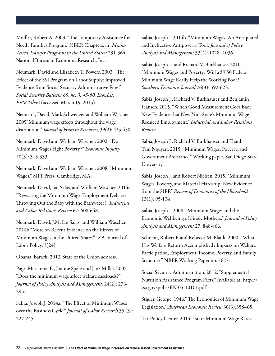Moffitt, Robert A. 2003. "The Temporary Assistance for Needy Families Program," NBER Chapters, in: *Means-Tested Transfer Programs in the United States:* 291-364, National Bureau of Economic Research, Inc.

Neumark, David and Elizabeth T. Powers. 2003. "The Effect of the SSI Program on Labor Supply: Improved Evidence from Social Security Administrative Files." *Social Security Bulletin 65, no. 3: 45-60. EconLit, EBSCOhost* (accessed March 19, 2015).

Neumark, David, Mark Schweitzer and William Wascher. 2005."Minimum wage effects throughout the wage distribution." *Journal of Human Resources*, 39(2): 425-450.

Neumark, David and William Wascher. 2002. "Do Minimum Wages Fight Poverty?" *Economic Inquiry*  40(3): 315-333.

Neumark, David and William Wascher. 2008. "Minimum Wages." MIT Press: Cambridge, MA.

Neumark, David, Ian Salas, and William Wascher. 2014a. "Revisiting the Minimum Wage-Employment Debate: Throwing Out the Baby with the Bathwater?" *Industrial and Labor Relations Review* 67: 608-648.

Neumark, David, J.M. Ian Salas, and William Wascher. 2014b "More on Recent Evidence on the Effects of Minimum Wages in the United States," IZA Journal of Labor Policy, 3(24).

Obama, Barack. 2013. State of the Union address.

Page, Marianne E., Joanne Spetz and Jane Millar. 2005. "Does the minimum wage affect welfare caseloads?" *Journal of Policy Analysis and Management*, 24(2): 273- 295.

Sabia, Joseph J. 2014a. "The Effect of Minimum Wages over the Business Cycle." *Journal of Labor Research* 35 (3): 227-245.

Sabia, Joseph J. 2014b. "Minimum Wages: An Antiquated and Ineffective Antipoverty Tool."*Journal of Policy Analysis and Management* 33(4): 1028–1036.

Sabia, Joseph J. and Richard V. Burkhauser. 2010. "Minimum Wages and Poverty: Will a \$9.50 Federal Minimum Wage Really Help the Working Poor?" *Southern Economic Journal* 76(3): 592-623.

Sabia, Joseph J., Richard V. Burkhauser and Benjamin Hansen. 2015. "When Good Measurement Goes Bad: New Evidence that New York State's Minimum Wage Reduced Employment." *Industrial and Labor Relations Review*.

Sabia, Joseph J., Richard V. Burkhauser and Thanh Tam Nguyen. 2015. "Minimum Wages, Poverty, and Government Assistance," Working paper, San Diego State University.

Sabia, Joseph J. and Robert Nielsen. 2015. "Minimum Wages, Poverty, and Material Hardship: New Evidence from the SIPP." *Review of Economics of the Household*  13(1): 95-134

Sabia, Joseph J. 2008. "Minimum Wages and the Economic Wellbeing of Single Mothers." *Journal of Policy Analysis and Management* 27: 848-866.

Schoeni, Robert F. and Rebecca M. Blank. 2000. "What Has Welfare Reform Accomplished? Impacts on Welfare Participation, Employment, Income, Poverty, and Family Structure." NBER Working Paper no. 7627.

Social Security Administration. 2012. "Supplemental Nutrition Assistance Program Facts." Available at: http:// ssa.gov/pubs/EN-05-10101.pdf

Stigler, George. 1946." The Economics of Minimum Wage Legislation." *American Economic Review* 36(3):358–65.

Tax Policy Center. 2014. "State Minimum Wage Rates: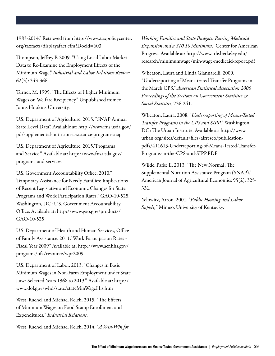1983-2014." Retrieved from http://www.taxpolicycenter. org/taxfacts/displayafact.cfm?Docid=603

Thompson, Jeffrey P. 2009. "Using Local Labor Market Data to Re-Examine the Employment Effects of the Minimum Wage," *Industrial and Labor Relations Review* 62(3): 343-366.

Turner, M. 1999. "The Effects of Higher Minimum Wages on Welfare Recipiency." Unpublished mimeo, Johns Hopkins University.

U.S. Department of Agriculture. 2015. "SNAP Annual State Level Data". Available at: http://www.fns.usda.gov/ pd/supplemental-nutrition-assistance-program-snap

U.S. Department of Agriculture. 2015."Programs and Service." Available at: http://www.fns.usda.gov/ programs-and-services

U.S. Government Accountability Office. 2010." Temporary Assistance for Needy Families: Implications of Recent Legislative and Economic Changes for State Programs and Work Participation Rates." GAO-10-525. Washington, DC: U.S. Government Accountability Office. Available at: http://www.gao.gov/products/ GAO-10-525

U.S. Department of Health and Human Services, Office of Family Assistance. 2011."Work Participation Rates - Fiscal Year 2009" Available at: http://www.acf.hhs.gov/ programs/ofa/resource/wpr2009

U.S. Department of Labor. 2013. "Changes in Basic Minimum Wages in Non-Farm Employment under State Law: Selected Years 1968 to 2013." Available at: http:// www.dol.gov/whd/state/stateMinWageHis.htm

West, Rachel and Michael Reich. 2015. "The Effects of Minimum Wages on Food Stamp Enrollment and Expenditures*,*" *Industrial Relations*.

West, Rachel and Michael Reich. 2014. "*A Win-Win for* 

*Working Families and State Budgets: Pairing Medicaid Expansion and a \$10.10 Minimum*," Center for American Progress. Available at: http://www.irle.berkeley.edu/ research/minimumwage/min-wage-medicaid-report.pdf

Wheaton, Laura and Linda Giannarelli. 2000. "Underreporting of Means-tested Transfer Programs in the March CPS." *American Statistical Association 2000 Proceedings of the Sections on Government Statistics & Social Statistics*, 236-241.

Wheaton, Laura. 2008. "*Underreporting of Means-Tested Transfer Programs in the CPS and SIPP*." Washington, DC: The Urban Institute. Available at: http://www. urban.org/sites/default/files/alfresco/publicationpdfs/411613-Underreporting-of-Means-Tested-Transfer-Programs-in-the-CPS-and-SIPP.PDF

Wilde, Parke E. 2013. "The New Normal: The Supplemental Nutrition Assistance Program (SNAP)." American Journal of Agricultural Economics 95(2): 325- 331.

Yelowitz, Arron. 2001. "*Public Housing and Labor Supply,*" Mimeo, University of Kentucky.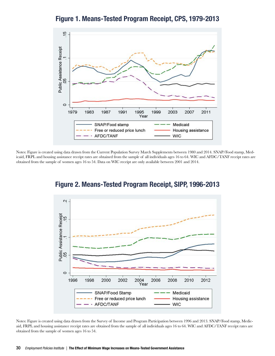$\frac{15}{2}$ Public Assistance Receipt 8  $\circ$ 1979 1983 1987 1991 1999 2003 2007 2011 1995 Year SNAP/Food stamp Medicaid Free or reduced price lunch Housing assistance AFDC/TANF **WIC** 

Figure 1. Means-Tested Program Receipt, CPS, 1979-2013

Notes: Figure is created using data drawn from the Current Population Survey March Supplements between 1980 and 2014. SNAP/Food stamp, Medicaid, FRPL and housing assistance receipt rates are obtained from the sample of all individuals ages 16 to 64. WIC and AFDC/TANF receipt rates are obtained from the sample of women ages 16 to 54. Data on WIC receipt are only available between 2001 and 2014.



Figure 2. Means-Tested Program Receipt, SIPP, 1996-2013

Notes: Figure is created using data drawn from the Survey of Income and Program Participation between 1996 and 2013. SNAP/Food stamp, Medicaid, FRPL and housing assistance receipt rates are obtained from the sample of all individuals ages 16 to 64. WIC and AFDC/TANF receipt rates are obtained from the sample of women ages 16 to 54.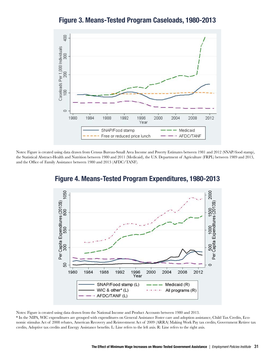

Figure 3. Means-Tested Program Caseloads, 1980-2013

Notes: Figure is created using data drawn from Census Bureau-Small Area Income and Poverty Estimates between 1981 and 2012 (SNAP/food stamp), the Statistical Abstract-Health and Nutrition between 1980 and 2011 (Medicaid), the U.S. Department of Agriculture (FRPL) between 1989 and 2013, and the Office of Family Assistance between 1980 and 2013 (AFDC/TANF).



Figure 4. Means-Tested Program Expenditures, 1980-2013

Notes: Figure is created using data drawn from the National Income and Product Accounts between 1980 and 2013.

\* In the NIPA, WIC expenditures are grouped with expenditures on General Assistance Foster care and adoption assistance, Child Tax Credits, Economic stimulus Act of 2008 rebates, American Recovery and Reinvestment Act of 2009 (ARRA) Making Work Pay tax credits, Government Retiree tax credits, Adoptive tax credits and Energy Assistance benefits. L: Line refers to the left axis. R: Line refers to the right axis.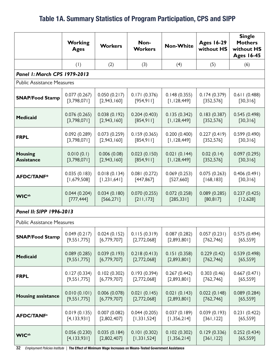### Table 1A. Summary Statistics of Program Participation, CPS and SIPP

|                                   | <b>Working</b><br><b>Ages</b> | <b>Workers</b> | Non-<br><b>Workers</b> | <b>Non-White</b> | <b>Ages 16-29</b><br>without HS | <b>Single</b><br><b>Mothers</b><br>without HS<br><b>Ages 16-45</b> |  |  |  |  |
|-----------------------------------|-------------------------------|----------------|------------------------|------------------|---------------------------------|--------------------------------------------------------------------|--|--|--|--|
|                                   | (1)                           | (2)            | (3)                    | (4)              | (5)                             | (6)                                                                |  |  |  |  |
| Panel 1: March CPS 1979-2013      |                               |                |                        |                  |                                 |                                                                    |  |  |  |  |
| <b>Public Assistance Measures</b> |                               |                |                        |                  |                                 |                                                                    |  |  |  |  |
| <b>SNAP/Food Stamp</b>            | 0.077(0.267)                  | 0.050(0.217)   | 0.171(0.376)           | 0.148(0.355)     | 0.174(0.379)                    | 0.611(0.488)                                                       |  |  |  |  |
|                                   | [3,798,071]                   | [2,943,160]    | [954, 911]             | [1, 128, 449]    | [352, 576]                      | [30,316]                                                           |  |  |  |  |
| <b>Medicaid</b>                   | 0.076(0.265)                  | 0.038(0.192)   | 0.204(0.403)           | 0.135(0.342)     | 0.183(0.387)                    | 0.545(0.498)                                                       |  |  |  |  |
|                                   | [3,798,071]                   | [2,943,160]    | [854, 911]             | [1, 128, 449]    | [352, 576]                      | [30, 316]                                                          |  |  |  |  |
| <b>FRPL</b>                       | 0.092(0.289)                  | 0.073(0.259)   | 0.159(0.365)           | 0.200(0.400)     | 0.227(0.419)                    | 0.599(0.490)                                                       |  |  |  |  |
|                                   | [3,798,071]                   | [2,943,160]    | [854,911]              | [1, 128, 449]    | [352, 576]                      | [30,316]                                                           |  |  |  |  |
| <b>Housing</b>                    | 0.010(0.1)                    | 0.006(0.08)    | 0.023(0.150)           | 0.021(0.144)     | 0.02(0.14)                      | 0.097(0.295)                                                       |  |  |  |  |
| <b>Assistance</b>                 | [3,798,071]                   | [2,943,160]    | [854, 911]             | [1, 128, 449]    | [352, 576]                      | [30, 316]                                                          |  |  |  |  |
| <b>AFDC/TANF*</b>                 | 0.035(0.183)                  | 0.018(0.134)   | 0.081(0.272)           | 0.069(0.253)     | 0.075(0.263)                    | 0.406(0.491)                                                       |  |  |  |  |
|                                   | [1,679,508]                   | [1, 231, 641]  | [447, 867]             | [527,660]        | [168, 183]                      | [30, 316]                                                          |  |  |  |  |
| <b>WIC</b> ab                     | 0.044(0.204)                  | 0.034(0.180)   | 0.070(0.255)           | 0.072(0.258)     | 0.089(0.285)                    | 0.237(0.425)                                                       |  |  |  |  |
|                                   | [777, 444]                    | [566, 271]     | [211, 173]             | [285, 331]       | [80, 817]                       | [12,628]                                                           |  |  |  |  |
| Panel II: SIPP 1996-2013          |                               |                |                        |                  |                                 |                                                                    |  |  |  |  |
| <b>Public Assistance Measures</b> |                               |                |                        |                  |                                 |                                                                    |  |  |  |  |
| <b>SNAP/Food Stamp</b>            | 0.049(0.217)                  | 0.024(0.152)   | 0.115(0.319)           | 0.087(0.282)     | 0.057(0.231)                    | 0.575(0.494)                                                       |  |  |  |  |
|                                   | [9,551,775]                   | [6,779,707]    | [2,772,068]            | [2,893,801]      | [762, 746]                      | [65, 559]                                                          |  |  |  |  |
| <b>Medicaid</b>                   | 0.089(0.285)                  | 0.039(0.193)   | 0.218(0.413)           | 0.151(0.358)     | 0.229(0.42)                     | 0.539(0.498)                                                       |  |  |  |  |
|                                   | [9,551,775]                   | [6,779,707]    | [2,772,068]            | [2,893,801]      | [762, 746]                      | [65, 559]                                                          |  |  |  |  |
| <b>FRPL</b>                       | 0.127(0.334)                  | 0.102(0.302)   | 0.193(0.394)           | 0.267(0.442)     | 0.303(0.46)                     | 0.667(0.471)                                                       |  |  |  |  |
|                                   | [9,551,775]                   | [6,779,707]    | [2,772,068]            | [2,893,801]      | [762, 746]                      | [65, 559]                                                          |  |  |  |  |
| <b>Housing assistance</b>         | 0.010(0.101)                  | 0.006(0.078)   | 0.021(0.145)           | 0.021(0.143)     | 0.022(0.148)                    | 0.089(0.284)                                                       |  |  |  |  |
|                                   | [9,551,775]                   | [6,779,707]    | [2,772,068]            | [2,893,801]      | [762, 746]                      | [65, 559]                                                          |  |  |  |  |
| <b>AFDC/TANF<sup>a</sup></b>      | 0.019(0.135)                  | 0.007(0.082)   | 0.044(0.205)           | 0.037(0.189)     | 0.039(0.193)                    | 0.231(0.422)                                                       |  |  |  |  |
|                                   | [4, 133, 931]                 | [2,802,407]    | [1,331,524]            | [1,356,214]      | [361, 122]                      | [65, 559]                                                          |  |  |  |  |
| <b>WIC</b> <sup>ab</sup>          | 0.056(0.230)                  | 0.035(0.184)   | 0.101(0.302)           | 0.102(0.302)     | 0.129(0.336)                    | 0.252(0.434)                                                       |  |  |  |  |
|                                   | [4,133,931]                   | [2,802,407]    | [1, 331, 524]          | [1,356,214]      | [361, 122]                      | [65, 559]                                                          |  |  |  |  |

32 *Employment Policies Institute |* The Effect of Minimum Wage Increases on Means-Tested Government Assistance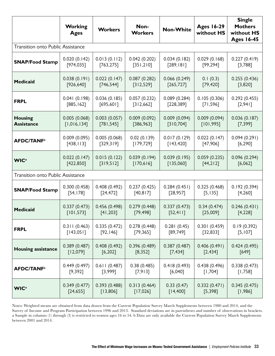|                                          | <b>Working</b><br><b>Ages</b>                             | <b>Workers</b>            | Non-<br><b>Workers</b>     | <b>Non-White</b>                                       | <b>Ages 16-29</b><br>without HS | <b>Single</b><br><b>Mothers</b><br>without HS<br><b>Ages 16-45</b> |  |  |
|------------------------------------------|-----------------------------------------------------------|---------------------------|----------------------------|--------------------------------------------------------|---------------------------------|--------------------------------------------------------------------|--|--|
| <b>Transition onto Public Assistance</b> |                                                           |                           |                            |                                                        |                                 |                                                                    |  |  |
| <b>SNAP/Food Stamp</b>                   | 0.020(0.142)                                              | 0.013(0.112)              | 0.042(0.202)               | 0.034(0.182)                                           | 0.029(0.168)                    | 0.227(0.419)                                                       |  |  |
|                                          | [974, 035]                                                | [763, 275]                | [351,210]                  | [289, 181]                                             | [99, 294]                       | [3,788]                                                            |  |  |
| <b>Medicaid</b>                          | 0.038(0.191)                                              | 0.022(0.147)              | 0.087(0.282)               | 0.066(0.249)                                           | 0.1(0.3)                        | 0.255(0.436)                                                       |  |  |
|                                          | [926, 640]                                                | [746, 544]                | [312,529]                  | [265, 727]                                             | [79, 420]                       | [3,820]                                                            |  |  |
| <b>FRPL</b>                              | 0.041(0.198)                                              | 0.036(0.185)              | 0.057(0.232)               | 0.089(0.284)                                           | 0.105(0.306)                    | 0.292(0.455)                                                       |  |  |
|                                          | [885, 162]                                                | [695, 601]                | [312,662]                  | [228, 389]                                             | [71, 596]                       | $[2,94]$                                                           |  |  |
| <b>Housing</b><br><b>Assistance</b>      | 0.003(0.057)<br>0.005(0.068)<br>[1,016,134]<br>[781, 545] |                           | 0.009(0.092)<br>[386, 963] | 0.009(0.094)<br>[310,704]                              | 0.009(0.094)<br>[101, 995]      | 0.036(0.187)<br>[7, 399]                                           |  |  |
| <b>AFDC/TANF<sup>a</sup></b>             | 0.009(0.095)<br>[438, 113]                                | 0.005(0.068)<br>[329,319] | 0.02(0.139)<br>[179, 729]  | 0.017(0.129)<br>0.022(0.147)<br>[143, 420]<br>[47,906] |                                 | 0.094(0.291)<br>[6, 290]                                           |  |  |
| <b>WIC</b> <sup>a</sup>                  | 0.022(0.147)                                              | 0.015(0.122)              | 0.039(0.194)               | 0.039(0.195)                                           | 0.059(0.235)                    | 0.096(0.294)                                                       |  |  |
|                                          | [422, 850]                                                | [319,512]                 | [170, 616]                 | [135,060]                                              | [44,212]                        | [6,062]                                                            |  |  |
| <b>Transition onto Public Assistance</b> |                                                           |                           |                            |                                                        |                                 |                                                                    |  |  |
| <b>SNAP/Food Stamp</b>                   | 0.300(0.458)                                              | 0.408(0.492)              | 0.237(0.425)               | 0.284(0.451)                                           | 0.325(0.468)                    | 0.192(0.394)                                                       |  |  |
|                                          | [54, 178]                                                 | [24, 472]                 | [40, 817]                  | [28, 957]                                              | [5, 135]                        | [4,260]                                                            |  |  |
| <b>Medicaid</b>                          | 0.337(0.473)                                              | 0.456(0.498)              | 0.279(0.448)               | 0.337(0.473)                                           | 0.34(0.474)                     | 0.246(0.431)                                                       |  |  |
|                                          | [101, 573]                                                | [41, 203]                 | [79, 498]                  | [52, 41]                                               | [25,009]                        | [4, 228]                                                           |  |  |
| <b>FRPL</b>                              | 0.311(0.463)                                              | 0.335(0.472)              | 0.278(0.448)               | 0.281(0.45)                                            | 0.301(0.459)                    | 0.19(0.392)                                                        |  |  |
|                                          | [143,051]                                                 | [92, 146]                 | [79, 365]                  | [89, 749]                                              | [32, 833]                       | [5, 107]                                                           |  |  |
| <b>Housing assistance</b>                | 0.389(0.487)                                              | 0.408(0.492)              | 0.396(0.489)               | 0.387(0.487)                                           | 0.406(0.491)                    | 0.424(0.495)                                                       |  |  |
|                                          | [12,079]                                                  | [6, 202]                  | [8, 352]                   | [7, 434]                                               | $[2,434]$                       | $[649]$                                                            |  |  |
| <b>AFDC/TANF<sup>a</sup></b>             | 0.449(0.497)                                              | 0.611(0.487)              | 0.38(0.485)                | 0.418(0.493)                                           | 0.438(0.496)                    | 0.338(0.473)                                                       |  |  |
|                                          | [9, 392]                                                  | [3,999]                   | [7,913]                    | $[6,040]$                                              | [1,704]                         | [1,758]                                                            |  |  |
| <b>WIC</b> <sup>a</sup>                  | 0.349(0.477)                                              | 0.393(0.488)              | 0.313(0.464)               | 0.33(0.47)                                             | 0.332(0.471)                    | 0.345(0.475)                                                       |  |  |
|                                          | [24, 655]                                                 | [13,806]                  | [17,026]                   | [14, 400]                                              | [5, 398]                        | [1,986]                                                            |  |  |

Notes: Weighted means are obtained from data drawn from the Current Population Survey March Supplements between 1980 and 2014, and the Survey of Income and Program Participation between 1996 and 2013. Standard deviations are in parentheses and number of observations in brackets. a Sample in columns (1) through (3) is restricted to women ages 16 to 54. b Data are only available the Current Population Survey March Supplements between 2001 and 2014.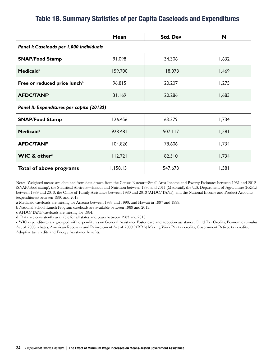#### Table 1B. Summary Statistics of per Capita Caseloads and Expenditures

|                                            | Mean      | <b>Std. Dev</b> | N     |  |  |  |  |  |  |
|--------------------------------------------|-----------|-----------------|-------|--|--|--|--|--|--|
| Panel I: Caseloads per 1,000 individuals   |           |                 |       |  |  |  |  |  |  |
| <b>SNAP/Food Stamp</b>                     | 91.098    | 34.306          | 1,632 |  |  |  |  |  |  |
| <b>Medicaid</b> <sup>a</sup>               | 159.700   | 18.078          | 1,469 |  |  |  |  |  |  |
| Free or reduced price lunch <sup>b</sup>   | 96.815    | 20.207          | 1,275 |  |  |  |  |  |  |
| <b>AFDC/TANF<sup>c</sup></b>               | 31.169    | 20.286          |       |  |  |  |  |  |  |
| Panel II: Expenditures per capita (2013\$) |           |                 |       |  |  |  |  |  |  |
| <b>SNAP/Food Stamp</b>                     | 126.456   | 63.379          | 1,734 |  |  |  |  |  |  |
| <b>Medicaid</b> <sup>d</sup>               | 928.481   | 507.117         | 1,581 |  |  |  |  |  |  |
| <b>AFDC/TANF</b>                           | 104.826   | 78.606          | 1,734 |  |  |  |  |  |  |
| <b>WIC &amp; othere</b>                    | 112.721   | 82.510          | 1,734 |  |  |  |  |  |  |
| Total of above programs                    | 1,158.131 | 547.678         | 1,581 |  |  |  |  |  |  |

Notes: Weighted means are obtained from data drawn from the Census Bureau—Small Area Income and Poverty Estimates between 1981 and 2012 (SNAP/Food stamp), the Statistical Abstract—Health and Nutrition between 1980 and 2011 (Medicaid), the U.S. Department of Agriculture (FRPL) between 1989 and 2013, the Office of Family Assistance between 1980 and 2013 (AFDC/TANF), and the National Income and Product Accounts (expenditures) between 1980 and 2013.

a Medicaid caseloads are missing for Arizona between 1983 and 1990, and Hawaii in 1997 and 1999.

b National School Lunch Program caseloads are available between 1989 and 2013.

c AFDC/TANF caseloads are missing for 1984.

d Data are consistently available for all states and years between 1983 and 2013.

e WIC expenditures are grouped with expenditures on General Assistance Foster care and adoption assistance, Child Tax Credits, Economic stimulus Act of 2008 rebates, American Recovery and Reinvestment Act of 2009 (ARRA) Making Work Pay tax credits, Government Retiree tax credits, Adoptive tax credits and Energy Assistance benefits.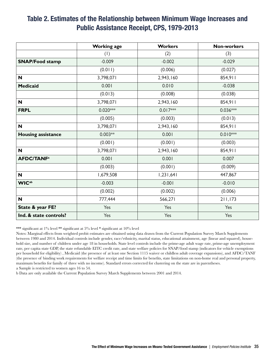#### Table 2. Estimates of the Relationship between Minimum Wage Increases and Public Assistance Receipt, CPS, 1979-2013

|                              | <b>Working age</b> | <b>Workers</b> | <b>Non-workers</b> |
|------------------------------|--------------------|----------------|--------------------|
|                              | (1)                | (2)            | (3)                |
| <b>SNAP/Food stamp</b>       | $-0.009$           | $-0.002$       | $-0.029$           |
|                              | (0.011)            | (0.006)        | (0.027)            |
| N                            | 3,798,071          | 2,943,160      | 854,911            |
| <b>Medicaid</b>              | 0.001              | 0.010          | $-0.038$           |
|                              | (0.013)            | (0.008)        | (0.038)            |
| N                            | 3,798,071          | 2,943,160      | 854,911            |
| <b>FRPL</b>                  | $0.020***$         | $0.017***$     | $0.036***$         |
|                              | (0.005)            | (0.003)        | (0.013)            |
| N                            | 3,798,071          | 2,943,160      | 854,911            |
| <b>Housing assistance</b>    | $0.003**$          | 0.001          | $0.010***$         |
|                              | (0.001)            | (0.001)        | (0.003)            |
| N                            | 3,798,071          | 2,943,160      | 854,911            |
| <b>AFDC/TANF<sup>a</sup></b> | 0.001              | 0.001          | 0.007              |
|                              | (0.003)            | (0.001)        | (0.009)            |
| $\mathbf N$                  | 1,679,508          | 1,231,641      | 447,867            |
| <b>WIC</b> <sup>ab</sup>     | $-0.003$           | $-0.001$       | $-0.010$           |
|                              | (0.002)            | (0.002)        | (0.006)            |
| N                            | 777,444            | 566,271        | 211,173            |
| State & year FE?             | Yes                | Yes            | Yes                |
| Ind. & state controls?       | Yes                | Yes            | Yes                |

\*\*\* significant at 1% level \*\* significant at 5% level \* significant at 10% level

Notes: Marginal effects from weighted probit estimates are obtained using data drawn from the Current Population Survey March Supplements between 1980 and 2014. Individual controls include gender, race/ethnicity, marital status, educational attainment, age (linear and squared), household size, and number of children under age 18 in households. State level controls include the prime-age adult wage rate, prime-age unemployment rate, per capita state GDP, the state refundable EITC credit rate, and state welfare policies for SNAP/food stamp (indicators for vehicle exemptions per household for eligibility) , Medicaid (the presence of at least one Section 1115 waiver or childless adult coverage expansions), and AFDC/TANF (the presence of binding work requirements for welfare receipt and time limits for benefits, state limitations on non-home real and personal property, maximum benefits for family of three with no income). Standard errors corrected for clustering on the state are in parentheses. a Sample is restricted to women ages 16 to 54.

b Data are only available the Current Population Survey March Supplements between 2001 and 2014.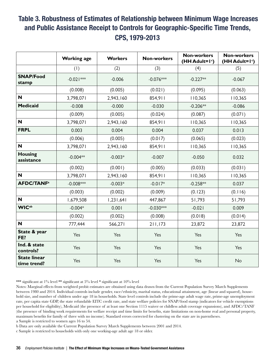### Table 3. Robustness of Estimates of Relationship between Minimum Wage Increases and Public Assistance Receipt to Controls for Geographic-Specific Time Trends, CPS, 1979-2013

|                                    | <b>Working age</b> | <b>Workers</b> | <b>Non-workers</b> | <b>Non-workers</b><br>(HH Adult=1 <sup>c</sup> ) | <b>Non-workers</b><br>(HH Adult=1 <sup>c</sup> ) |
|------------------------------------|--------------------|----------------|--------------------|--------------------------------------------------|--------------------------------------------------|
|                                    | (1)                | (2)            | (3)                | (4)                                              | (5)                                              |
| <b>SNAP/Food</b><br>stamp          | $-0.021***$        | $-0.006$       | $-0.076***$        | $-0.227**$                                       | $-0.067$                                         |
|                                    | (0.008)            | (0.005)        | (0.021)            | (0.095)                                          | (0.063)                                          |
| N                                  | 3,798,071          | 2,943,160      | 854,911            | 110,365                                          | 110,365                                          |
| <b>Medicaid</b>                    | $-0.008$           | $-0.000$       | $-0.030$           | $-0.206**$                                       | $-0.086$                                         |
|                                    | (0.009)            | (0.005)        | (0.024)            | (0.087)                                          | (0.071)                                          |
| N                                  | 3,798,071          | 2,943,160      | 854,911            | 110,365                                          | 110,365                                          |
| <b>FRPL</b>                        | 0.003              | 0.004          | 0.004              | 0.037                                            | 0.013                                            |
|                                    | (0.006)            | (0.005)        | (0.017)            | (0.065)                                          | (0.023)                                          |
| N                                  | 3,798,071          | 2,943,160      | 854,911            | 110,365                                          | 110,365                                          |
| <b>Housing</b><br>assistance       | $-0.004**$         | $-0.003*$      | $-0.007$           | $-0.050$                                         | 0.032                                            |
|                                    | (0.002)            | (0.001)        | (0.005)            | (0.033)                                          | (0.031)                                          |
| N                                  | 3,798,071          | 2,943,160      | 854,911            | 110,365                                          | 110,365                                          |
| <b>AFDC/TANF<sup>a</sup></b>       | $-0.008***$        | $-0.003*$      | $-0.017*$          | $-0.258**$                                       | 0.037                                            |
|                                    | (0.003)            | (0.002)        | (0.009)            | (0.123)                                          | (0.116)                                          |
| $\mathbf N$                        | 1,679,508          | 1,231,641      | 447,867            | 51,793                                           | 51,793                                           |
| <b>WIC</b> <sup>ab</sup>           | $-0.004*$          | 0.001          | $-0.030***$        | $-0.021$                                         | 0.009                                            |
|                                    | (0.002)            | (0.002)        | (0.008)            | (0.018)                                          | (0.014)                                          |
| $\mathbf N$                        | 777,444            | 566,271        | 211,173            | 23,872                                           | 23,872                                           |
| State & year<br>FE?                | Yes                | Yes            | Yes                | Yes                                              | Yes                                              |
| Ind. & state<br>controls?          | Yes                | Yes            | Yes                | Yes                                              | Yes                                              |
| <b>State linear</b><br>time trend? | Yes                | Yes            | Yes                | Yes                                              | No                                               |

\*\*\* significant at 1% level \*\* significant at 5% level \* significant at 10% level

Notes: Marginal effects from weighted probit estimates are obtained using data drawn from the Current Population Survey March Supplements between 1980 and 2014. Individual controls include gender, race/ethnicity, marital status, educational attainment, age (linear and squared), household size, and number of children under age 18 in households. State level controls include the prime-age adult wage rate, prime-age unemployment rate, per capita state GDP, the state refundable EITC credit rate, and state welfare policies for SNAP/food stamp (indicators for vehicle exemptions per household for eligibility), Medicaid (the presence of at least one Section 1115 waiver or childless adult coverage expansions), and AFDC/TANF (the presence of binding work requirements for welfare receipt and time limits for benefits, state limitations on non-home real and personal property, maximum benefits for family of three with no income). Standard errors corrected for clustering on the state are in parentheses.

a Sample is restricted to women ages 16 to 54.

b Data are only available the Current Population Survey March Supplements between 2001 and 2014.

c Sample is restricted to households with only one working-age adult age 18 or older.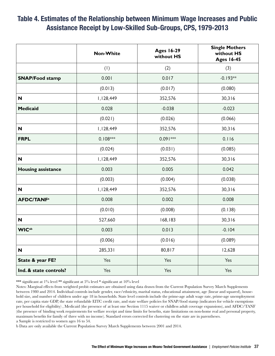#### Table 4. Estimates of the Relationship between Minimum Wage Increases and Public Assistance Receipt by Low-Skilled Sub-Groups, CPS, 1979-2013

|                              | <b>Non-White</b> | <b>Ages 16-29</b><br>without HS | <b>Single Mothers</b><br>without HS<br><b>Ages 16-45</b> |
|------------------------------|------------------|---------------------------------|----------------------------------------------------------|
|                              | (1)              | (2)                             | (3)                                                      |
| <b>SNAP/Food stamp</b>       | 0.001            | 0.017                           | $-0.193**$                                               |
|                              | (0.013)          | (0.017)                         | (0.080)                                                  |
| N                            | 1,128,449        | 352,576                         | 30,316                                                   |
| <b>Medicaid</b>              | 0.028            | $-0.038$                        | $-0.023$                                                 |
|                              | (0.021)          | (0.026)                         | (0.066)                                                  |
| N                            | 1,128,449        | 352,576                         | 30,316                                                   |
| <b>FRPL</b>                  | $0.108***$       | $0.091***$                      | 0.116                                                    |
|                              | (0.024)          | (0.031)                         | (0.085)                                                  |
| N                            | 1,128,449        | 352,576                         | 30,316                                                   |
| <b>Housing assistance</b>    | 0.003            | 0.005                           | 0.042                                                    |
|                              | (0.003)          | (0.004)                         | (0.038)                                                  |
| <b>N</b>                     | 1,128,449        | 352,576                         | 30,316                                                   |
| <b>AFDC/TANF<sup>a</sup></b> | 0.008            | 0.002                           | 0.008                                                    |
|                              | (0.010)          | (0.008)                         | (0.138)                                                  |
| N                            | 527,660          | 168,183                         | 30,316                                                   |
| <b>WICab</b>                 | 0.003            | 0.013                           | $-0.104$                                                 |
|                              | (0.006)          | (0.016)                         | (0.089)                                                  |
| N                            | 285,331          | 80,817                          | 12,628                                                   |
| State & year FE?             | Yes              | Yes                             | Yes                                                      |
| Ind. & state controls?       | Yes              | Yes                             | Yes                                                      |

\*\*\* significant at 1% level \*\* significant at 5% level \* significant at 10% level

Notes: Marginal effects from weighted probit estimates are obtained using data drawn from the Current Population Survey March Supplements between 1980 and 2014. Individual controls include gender, race/ethnicity, marital status, educational attainment, age (linear and squared), household size, and number of children under age 18 in households. State level controls include the prime-age adult wage rate, prime-age unemployment rate, per capita state GDP, the state refundable EITC credit rate, and state welfare policies for SNAP/food stamp (indicators for vehicle exemptions per household for eligibility) , Medicaid (the presence of at least one Section 1115 waiver or childless adult coverage expansions), and AFDC/TANF (the presence of binding work requirements for welfare receipt and time limits for benefits, state limitations on non-home real and personal property, maximum benefits for family of three with no income). Standard errors corrected for clustering on the state are in parentheses. a Sample is restricted to women ages 16 to 54.

b Data are only available the Current Population Survey March Supplements between 2001 and 2014.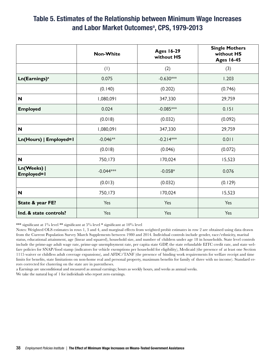#### Table 5. Estimates of the Relationship between Minimum Wage Increases and Labor Market Outcomes<sup>a</sup>, CPS, 1979-2013

|                           | <b>Non-White</b> | <b>Ages 16-29</b><br>without HS | <b>Single Mothers</b><br>without HS<br><b>Ages 16-45</b> |
|---------------------------|------------------|---------------------------------|----------------------------------------------------------|
|                           | (1)              | (2)                             | (3)                                                      |
| Ln(Earnings) <sup>a</sup> | 0.075            | $-0.630***$                     | 1.203                                                    |
|                           | (0.140)          | (0.202)                         | (0.746)                                                  |
| N                         | 1,080,091        | 347,330                         | 29,759                                                   |
| <b>Employed</b>           | 0.024            | $-0.085***$                     | 0.151                                                    |
|                           | (0.018)          | (0.032)                         | (0.092)                                                  |
| N                         | 1,080,091        | 347,330                         | 29,759                                                   |
| Ln(Hours)   Employed=1    | $-0.046**$       | $-0.214***$                     | 0.011                                                    |
|                           | (0.018)          | (0.046)                         | (0.072)                                                  |
| N                         | 750,173          | 170,024                         | 15,523                                                   |
| Ln(Weeks)  <br>Employed=1 | $-0.044***$      | $-0.058*$                       | 0.076                                                    |
|                           | (0.013)          | (0.032)                         | (0.129)                                                  |
| N                         | 750,173          | 170,024                         | 15,523                                                   |
| State & year FE?          | Yes              | Yes                             | Yes                                                      |
| Ind. & state controls?    | Yes              | Yes                             | Yes                                                      |

\*\*\* significant at 1% level \*\* significant at 5% level \* significant at 10% level

Notes: Weighted OLS estimates in rows 1, 3 and 4, and marginal effects from weighted probit estimates in row 2 are obtained using data drawn from the Current Population Survey March Supplements between 1980 and 2014. Individual controls include gender, race/ethnicity, marital status, educational attainment, age (linear and squared), household size, and number of children under age 18 in households. State level controls include the prime-age adult wage rate, prime-age unemployment rate, per capita state GDP, the state refundable EITC credit rate, and state welfare policies for SNAP/food stamp (indicators for vehicle exemptions per household for eligibility), Medicaid (the presence of at least one Section 1115 waiver or childless adult coverage expansions), and AFDC/TANF (the presence of binding work requirements for welfare receipt and time limits for benefits, state limitations on non-home real and personal property, maximum benefits for family of three with no income). Standard errors corrected for clustering on the state are in parentheses.

a Earnings are unconditional and measured as annual earnings; hours as weekly hours, and weeks as annual weeks.

We take the natural log of 1 for individuals who report zero earnings.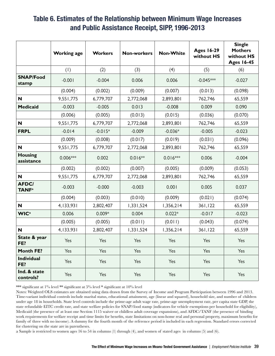#### Table 6. Estimates of the Relationship between Minimum Wage Increases and Public Assistance Receipt, SIPP, 1996-2013

|                                          | <b>Working age</b> | <b>Workers</b> | <b>Non-workers</b> | <b>Non-White</b> | <b>Ages 16-29</b><br>without HS | <b>Single</b><br><b>Mothers</b><br>without HS<br><b>Ages 16-45</b> |
|------------------------------------------|--------------------|----------------|--------------------|------------------|---------------------------------|--------------------------------------------------------------------|
|                                          | (1)                | (2)            | (3)                | (4)              | (5)                             | (6)                                                                |
| <b>SNAP/Food</b><br>stamp                | $-0.001$           | $-0.004$       | 0.006              | 0.006            | $-0.045***$                     | $-0.027$                                                           |
|                                          | (0.004)            | (0.002)        | (0.009)            | (0.007)          | (0.013)                         | (0.098)                                                            |
| N                                        | 9,551,775          | 6,779,707      | 2,772,068          | 2,893,801        | 762,746                         | 65,559                                                             |
| <b>Medicaid</b>                          | $-0.003$           | $-0.005$       | 0.013              | $-0.008$         | 0.009                           | 0.090                                                              |
|                                          | (0.006)            | (0.005)        | (0.013)            | (0.015)          | (0.036)                         | (0.070)                                                            |
| N                                        | 9,551,775          | 6,779,707      | 2,772,068          | 2,893,801        | 762,746                         | 65,559                                                             |
| <b>FRPL</b>                              | $-0.014$           | $-0.015*$      | $-0.009$           | $-0.036*$        | $-0.005$                        | $-0.023$                                                           |
|                                          | (0.009)            | (0.008)        | (0.017)            | (0.019)          | (0.031)                         | (0.096)                                                            |
| N                                        | 9,551,775          | 6,779,707      | 2,772,068          | 2,893,801        | 762,746                         | 65,559                                                             |
| <b>Housing</b><br>assistance             | $0.006***$         | 0.002          | $0.016**$          | $0.016***$       | 0.006                           | $-0.004$                                                           |
|                                          | (0.002)            | (0.002)        | (0.007)            | (0.005)          | (0.009)                         | (0.053)                                                            |
| N                                        | 9,551,775          | 6,779,707      | 2,772,068          | 2,893,801        | 762,746                         | 65,559                                                             |
| <b>AFDC/</b><br><b>TANF</b> <sup>a</sup> | $-0.003$           | $-0.000$       | $-0.003$           | 0.001            | 0.005                           | 0.037                                                              |
|                                          | (0.004)            | (0.003)        | (0.010)            | (0.009)          | (0.021)                         | (0.074)                                                            |
| $\boldsymbol{\mathsf{N}}$                | 4, 133, 931        | 2,802,407      | 1,331,524          | 1,356,214        | 361,122                         | 65,559                                                             |
| <b>WIC</b> <sup>a</sup>                  | 0.006              | $0.009*$       | 0.004              | $0.022*$         | $-0.017$                        | $-0.023$                                                           |
|                                          | (0.005)            | (0.005)        | (0.011)            | (0.011)          | (0.043)                         | (0.074)                                                            |
| N                                        | 4, 133, 931        | 2,802,407      | 1,331,524          | 1,356,214        | 361, 122                        | 65,559                                                             |
| State & year<br>FE?                      | Yes                | Yes            | Yes                | Yes              | Yes                             | Yes                                                                |
| <b>Month FE?</b>                         | Yes                | Yes            | Yes                | Yes              | Yes                             | Yes                                                                |
| <b>Individual</b><br>FE?                 | Yes                | Yes            | Yes                | Yes              | Yes                             | Yes                                                                |
| Ind. & state<br>controls?                | Yes                | Yes            | Yes                | Yes              | Yes                             | Yes                                                                |

\*\*\* significant at 1% level \*\* significant at 5% level \* significant at 10% level

Notes: Weighted OLS estimates are obtained using data drawn from the Survey of Income and Program Participation between 1996 and 2013. Time-variant individual controls include marital status, educational attainment, age (linear and squared), household size, and number of children under age 18 in households. State level controls include the prime-age adult wage rate, prime-age unemployment rate, per capita state GDP, the state refundable EITC credit rate, and state welfare policies for SNAP/food stamp (indicators for vehicle exemptions per household for eligibility), Medicaid (the presence of at least one Section 1115 waiver or childless adult coverage expansions), and AFDC/TANF (the presence of binding work requirements for welfare receipt and time limits for benefits, state limitations on non-home real and personal property, maximum benefits for family of three with no income). A dummy for the fourth month of the reference period is included in each regression. Standard errors corrected for clustering on the state are in parentheses.

a Sample is restricted to women ages 16 to 54 in columns (1) through (4), and women of stated ages in columns (5) and (6).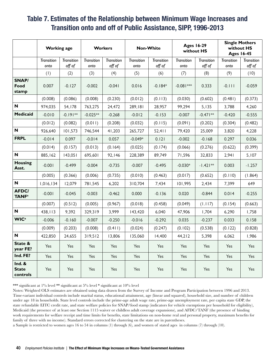### Table 7. Estimates of the Relationship between Minimum Wage Increases and Transition onto and off of Public Assistance, SIPP, 1996-2013

|                                          | <b>Working age</b>        |                             |                           | <b>Workers</b>              |                           | <b>Non-White</b>            |                           | <b>Ages 16-29</b><br>without HS |                           | <b>Single Mothers</b><br>without HS<br><b>Ages 16-45</b> |  |
|------------------------------------------|---------------------------|-----------------------------|---------------------------|-----------------------------|---------------------------|-----------------------------|---------------------------|---------------------------------|---------------------------|----------------------------------------------------------|--|
|                                          | <b>Transition</b><br>onto | <b>Transition</b><br>off of | <b>Transition</b><br>onto | <b>Transition</b><br>off of | <b>Transition</b><br>onto | <b>Transition</b><br>off of | <b>Transition</b><br>onto | <b>Transition</b><br>off of     | <b>Transition</b><br>onto | <b>Transition</b><br>off of                              |  |
|                                          | (1)                       | (2)                         | (3)                       | (4)                         | (5)                       | (6)                         | (7)                       | (8)                             | (9)                       | (10)                                                     |  |
| SNAP/<br>Food<br>stamp                   | 0.007                     | $-0.127$                    | $-0.002$                  | $-0.041$                    | 0.016                     | $-0.184*$                   | $-0.081***$               | 0.333                           | $-0.111$                  | $-0.059$                                                 |  |
|                                          | (0.008)                   | (0.086)                     | (0.008)                   | (0.230)                     | (0.012)                   | (0.113)                     | (0.030)                   | (0.602)                         | (0.481)                   | (0.373)                                                  |  |
| N                                        | 974,035                   | 54,178                      | 763,275                   | 24,472                      | 289,181                   | 28,957                      | 99,294                    | 5,135                           | 3,788                     | 4,260                                                    |  |
| Medicaid                                 | $-0.010$                  | $-0.191**$                  | $-0.025**$                | $-0.268$                    | $-0.012$                  | $-0.153$                    | $-0.007$                  | $-0.471**$                      | $-0.420$                  | $-0.555$                                                 |  |
|                                          | (0.012)                   | (0.082)                     | (0.011)                   | (0.208)                     | (0.032)                   | (0.115)                     | (0.091)                   | (0.202)                         | (0.304)                   | (0.482)                                                  |  |
| N                                        | 926,640                   | 101,573                     | 746,544                   | 41,203                      | 265,727                   | 52,411                      | 79,420                    | 25,009                          | 3,820                     | 4,228                                                    |  |
| <b>FRPL</b>                              | $-0.014$                  | 0.097                       | $-0.014$                  | 0.057                       | $-0.049*$                 | 0.121                       | $-0.002$                  | $-0.168$                        | 0.297                     | 0.036                                                    |  |
|                                          | (0.014)                   | (0.157)                     | (0.013)                   | (0.164)                     | (0.025)                   | (0.174)                     | (0.066)                   | (0.276)                         | (0.622)                   | (0.399)                                                  |  |
| N                                        | 885,162                   | 143,051                     | 695,601                   | 92,146                      | 228,389                   | 89,749                      | 71,596                    | 32,833                          | 2,941                     | 5,107                                                    |  |
| <b>Housing</b><br>Asst.                  | $-0.001$                  | $-0.499$                    | $-0.004$                  | $-0.735$                    | $-0.007$                  | $-0.495$                    | $-0.030*$                 | $-1.421**$                      | 0.003                     | $-1.257$                                                 |  |
|                                          | (0.005)                   | (0.366)                     | (0.006)                   | (0.735)                     | (0.010)                   | (0.463)                     | (0.017)                   | (0.652)                         | (0.110)                   | (1.864)                                                  |  |
| $\mathbf N$                              | 1,016,134                 | 12,079                      | 781,545                   | 6,202                       | 310,704                   | 7,434                       | 101,995                   | 2,434                           | 7,399                     | 649                                                      |  |
| <b>AFDC/</b><br><b>TANF</b> <sup>a</sup> | $-0.001$                  | $-0.045$                    | $-0.003$                  | $-0.462$                    | 0.000                     | $-0.136$                    | 0.020                     | $-0.844$                        | 0.014                     | $-0.255$                                                 |  |
|                                          | (0.007)                   | (0.512)                     | (0.005)                   | (0.967)                     | (0.018)                   | (0.458)                     | (0.049)                   | (1.117)                         | (0.154)                   | (0.663)                                                  |  |
| N                                        | 438, II3                  | 9,392                       | 329,319                   | 3,999                       | 143,420                   | 6,040                       | 47,906                    | 1,704                           | 6,290                     | 1,758                                                    |  |
| <b>WIC</b> <sup>a</sup>                  | $-0.006$                  | $-0.160$                    | $-0.007$                  | $-0.250$                    | $-0.016$                  | $-0.292$                    | 0.035                     | $-0.237$                        | 0.033                     | 0.158                                                    |  |
|                                          | (0.009)                   | (0.203)                     | (0.008)                   | (0.411)                     | (0.024)                   | (0.247)                     | (0.102)                   | (0.538)                         | (0.122)                   | (0.828)                                                  |  |
| $\mathbf N$                              | 422,850                   | 24,655                      | 319,512                   | 13,806                      | 135,060                   | 14,400                      | 44,212                    | 5,398                           | 6,062                     | 1,986                                                    |  |
| State &<br>year FE?                      | Yes                       | Yes                         | Yes                       | Yes                         | Yes                       | Yes                         | Yes                       | Yes                             | Yes                       | Yes                                                      |  |
| Ind. FE?                                 | Yes                       | Yes                         | Yes                       | Yes                         | Yes                       | Yes                         | Yes                       | Yes                             | Yes                       | Yes                                                      |  |
| $Ind. 8$<br><b>State</b><br>controls     | Yes                       | Yes                         | Yes                       | Yes                         | Yes                       | Yes                         | Yes                       | Yes                             | Yes                       | Yes                                                      |  |

\*\*\* significant at 1% level \*\* significant at 5% level \* significant at 10% level

Notes: Weighted OLS estimates are obtained using data drawn from the Survey of Income and Program Participation between 1996 and 2013. Time-variant individual controls include marital status, educational attainment, age (linear and squared), household size, and number of children under age 18 in households. State level controls include the prime-age adult wage rate, prime-age unemployment rate, per capita state GDP, the state refundable EITC credit rate, and state welfare policies for SNAP/food stamp (indicators for vehicle exemptions per household for eligibility), Medicaid (the presence of at least one Section 1115 waiver or childless adult coverage expansions), and AFDC/TANF (the presence of binding work requirements for welfare receipt and time limits for benefits, state limitations on non-home real and personal property, maximum benefits for family of three with no income). Standard errors corrected for clustering on the state are in parentheses.

a Sample is restricted to women ages 16 to 54 in columns (1) through (6), and women of stated ages in columns (7) through (10).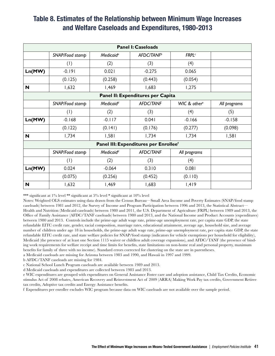#### Table 8. Estimates of the Relationship between Minimum Wage Increases and Welfare Caseloads and Expenditures, 1980-2013

|        | <b>Panel I: Caseloads</b> |                                                 |                                       |                          |              |  |  |  |  |
|--------|---------------------------|-------------------------------------------------|---------------------------------------|--------------------------|--------------|--|--|--|--|
|        | SNAP/Food stamp           | AFDC/TANF <sup>b</sup><br>Medicaid <sup>a</sup> |                                       | <b>FRPL</b> <sup>c</sup> |              |  |  |  |  |
|        | (1)                       | (2)                                             | (3)                                   | (4)                      |              |  |  |  |  |
| Ln(MW) | $-0.191$                  | 0.021                                           | $-0.275$                              | 0.065                    |              |  |  |  |  |
|        | (0.125)                   | (0.258)                                         | (0.443)                               | (0.054)                  |              |  |  |  |  |
| N      | 1,632                     | 1,469                                           | 1,683                                 | 1,275                    |              |  |  |  |  |
|        |                           |                                                 | Panel II: Expenditures per Capita     |                          |              |  |  |  |  |
|        | SNAP/Food stamp           | Medicaid <sup>d</sup>                           | <b>AFDC/TANF</b>                      | WIC & other <sup>e</sup> | All programs |  |  |  |  |
|        | (1)                       | (2)                                             | (3)                                   | (4)                      | (5)          |  |  |  |  |
| Ln(MW) | $-0.168$                  | $-0.117$                                        | 0.041                                 | $-0.166$                 | $-0.158$     |  |  |  |  |
|        | (0.122)                   | (0.141)                                         | (0.176)                               | (0.277)                  | (0.098)      |  |  |  |  |
| N      | 1,734                     | 1,581                                           | 1,734                                 | 1,734                    | 1,581        |  |  |  |  |
|        |                           |                                                 | Panel III: Expenditures per Enrolleef |                          |              |  |  |  |  |
|        | SNAP/Food stamp           | Medicaid <sup>d</sup>                           | <b>AFDC/TANF</b>                      | All programs             |              |  |  |  |  |
|        | (1)                       | (2)                                             | (3)                                   | (4)                      |              |  |  |  |  |
| Ln(MW) | 0.024                     | $-0.064$                                        | 0.310                                 | 0.081                    |              |  |  |  |  |
|        | (0.075)                   | (0.256)                                         | (0.452)                               | (0.110)                  |              |  |  |  |  |
| N      | 1,632                     | 1,469                                           | 1,683                                 | 1,419                    |              |  |  |  |  |

\*\*\* significant at 1% level \*\* significant at 5% level \* significant at 10% level

Notes: Weighted OLS estimates using data drawn from the Census Bureau—Small Area Income and Poverty Estimates (SNAP/food stamp caseloads) between 1981 and 2012, the Survey of Income and Program Participation between 1996 and 2013, the Statistical Abstract— Health and Nutrition (Medicaid caseloads) between 1980 and 2011, the U.S. Department of Agriculture (FRPL) between 1989 and 2013, the Office of Family Assistance (AFDC/TANF caseloads) between 1980 and 2013, and the National Income and Product Accounts (expenditures) between 1980 and 2013. Controls include the prime-age adult wage rate, prime-age unemployment rate, per capita state GDP, the state refundable EITC credit rate, gender, racial composition, marriage rates, educational attainment, average age, household size, and average number of children under age 18 in households, the prime-age adult wage rate, prime-age unemployment rate, per capita state GDP, the state refundable EITC credit rate, and state welfare policies for SNAP/food stamp (indicators for vehicle exemptions per household for eligibility), Medicaid (the presence of at least one Section 1115 waiver or childless adult coverage expansions), and AFDC/TANF (the presence of binding work requirements for welfare receipt and time limits for benefits, state limitations on non-home real and personal property, maximum benefits for family of three with no income). Standard errors corrected for clustering on the state are in parentheses.

a Medicaid caseloads are missing for Arizona between 1983 and 1990, and Hawaii in 1997 and 1999.

b AFDC/TANF caseloads are missing for 1984.

c National School Lunch Program caseloads are available between 1989 and 2013.

d Medicaid caseloads and expenditures are collected between 1983 and 2013.

e WIC expenditures are grouped with expenditures on General Assistance Foster care and adoption assistance, Child Tax Credits, Economic stimulus Act of 2008 rebates, American Recovery and Reinvestment Act of 2009 (ARRA) Making Work Pay tax credits, Government Retiree tax credits, Adoptive tax credits and Energy Assistance benefits.

f Expenditures per enrollee excludes WIC program because data on WIC caseloads are not available over the sample period.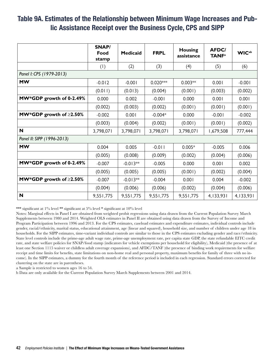#### Table 9A. Estimates of the Relationship between Minimum Wage Increases and Public Assistance Receipt over the Business Cycle, CPS and SIPP

|                               | <b>SNAP/</b><br>Food<br>stamp | <b>Medicaid</b> | <b>FRPL</b> | <b>Housing</b><br>assistance | <b>AFDC/</b><br><b>TANF</b> <sup>a</sup> | <b>WIC</b> <sup>ab</sup> |
|-------------------------------|-------------------------------|-----------------|-------------|------------------------------|------------------------------------------|--------------------------|
|                               | (1)                           | (2)             | (3)         | (4)                          | (5)                                      | (6)                      |
| Panel I: CPS (1979-2013)      |                               |                 |             |                              |                                          |                          |
| <b>MW</b>                     | $-0.012$                      | $-0.001$        | $0.020***$  | $0.003**$                    | 0.001                                    | $-0.001$                 |
|                               | (0.011)                       | (0.013)         | (0.004)     | (0.001)                      | (0.003)                                  | (0.002)                  |
| MW*GDP growth of 0-2.49%      | 0.000                         | 0.002           | $-0.001$    | 0.000                        | 0.001                                    | 0.001                    |
|                               | (0.002)                       | (0.003)         | (0.002)     | (0.001)                      | (0.001)                                  | (0.001)                  |
| MW*GDP growth of $\geq$ 2.50% | $-0.002$                      | 0.001           | $-0.004*$   | 0.000                        | $-0.001$                                 | $-0.002$                 |
|                               | (0.003)                       | (0.004)         | (0.002)     | (0.001)                      | (0.001)                                  | (0.002)                  |
| N                             | 3,798,071                     | 3,798,071       | 3,798,071   | 3,798,071                    | 1,679,508                                | 777,444                  |
| Panel II: SIPP (1996-2013)    |                               |                 |             |                              |                                          |                          |
| <b>MW</b>                     | 0.004                         | 0.005           | $-0.011$    | $0.005*$                     | $-0.005$                                 | 0.006                    |
|                               | (0.005)                       | (0.008)         | (0.009)     | (0.002)                      | (0.004)                                  | (0.006)                  |
| MW*GDP growth of 0-2.49%      | $-0.007$                      | $-0.013**$      | $-0.005$    | 0.000                        | 0.001                                    | 0.002                    |
|                               | (0.005)                       | (0.005)         | (0.005)     | (0.001)                      | (0.002)                                  | (0.004)                  |
| MW*GDP growth of $\geq$ 2.50% | $-0.007$                      | $-0.013**$      | $-0.004$    | 0.001                        | 0.004                                    | $-0.002$                 |
|                               | (0.004)                       | (0.006)         | (0.006)     | (0.002)                      | (0.004)                                  | (0.006)                  |
| N                             | 9,551,775                     | 9,551,775       | 9,551,775   | 9,551,775                    | 4,133,931                                | 4,133,931                |

\*\*\* significant at 1% level \*\* significant at 5% level \* significant at 10% level

Notes: Marginal effects in Panel I are obtained from weighted probit regressions using data drawn from the Current Population Survey March Supplements between 1980 and 2014. Weighted OLS estimates in Panel II are obtained using data drawn from the Survey of Income and Program Participation between 1996 and 2013. For the CPS estimates, caseload estimates and expenditure estimates, individual controls include gender, racial/ethnicity, marital status, educational attainment, age (linear and squared), household size, and number of children under age 18 in households. For the SIPP estimates, time-variant individual controls are similar to those in the CPS estimates excluding gender and race/ethnicity. State level controls include the prime-age adult wage rate, prime-age unemployment rate, per capita state GDP, the state refundable EITC credit rate, and state welfare policies for SNAP/food stamp (indicators for vehicle exemptions per household for eligibility), Medicaid (the presence of at least one Section 1115 waiver or childless adult coverage expansions), and AFDC/TANF (the presence of binding work requirements for welfare receipt and time limits for benefits, state limitations on non-home real and personal property, maximum benefits for family of three with no income). In the SIPP estimates, a dummy for the fourth month of the reference period is included in each regression. Standard errors corrected for clustering on the state are in parentheses.

a Sample is restricted to women ages 16 to 54.

b Data are only available for the Current Population Survey March Supplements between 2001 and 2014.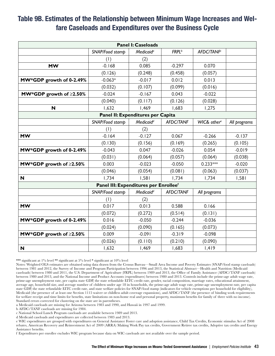#### Table 9B. Estimates of the Relationship between Minimum Wage Increases and Welfare Caseloads and Expenditures over the Business Cycle

|                               |                                       | <b>Panel I: Caseloads</b>         |                  |                         |              |
|-------------------------------|---------------------------------------|-----------------------------------|------------------|-------------------------|--------------|
|                               | SNAP/Food stamp                       | Medicaid <sup>a</sup>             | <b>FRPL</b> b    | AFDC/TANF <sup>c</sup>  |              |
|                               | (1)                                   | (2)                               |                  |                         |              |
| <b>MW</b>                     | $-0.168$                              | 0.085                             | $-0.297$         | 0.070                   |              |
|                               | (0.126)                               | (0.248)                           | (0.458)          | (0.057)                 |              |
| MW*GDP growth of 0-2.49%      | $-0.063*$                             | $-0.017$                          | 0.012            | 0.013                   |              |
|                               | (0.032)                               | (0.107)                           | (0.099)          | (0.016)                 |              |
| MW*GDP growth of $\geq$ 2.50% | $-0.024$                              | $-0.167$                          | 0.043            | $-0.022$                |              |
|                               | (0.040)                               | (0.117)                           | (0.126)          | (0.028)                 |              |
| N                             | 1,632                                 | 1,469                             | 1,683            | 1,275                   |              |
|                               |                                       | Panel II: Expenditures per Capita |                  |                         |              |
|                               | SNAP/Food stamp                       | Medicaid <sup>d</sup>             | <b>AFDC/TANF</b> | WIC& other <sup>e</sup> | All programs |
|                               | (1)                                   | (2)                               |                  |                         |              |
| <b>MW</b>                     | $-0.164$                              | $-0.127$                          | 0.067            | $-0.266$                | $-0.137$     |
|                               | (0.130)                               | (0.156)                           | (0.169)          | (0.265)                 | (0.105)      |
| MW*GDP growth of 0-2.49%      | $-0.043$                              | 0.047                             | $-0.026$         | 0.054                   | $-0.019$     |
|                               | (0.031)                               | (0.064)                           | (0.057)          | (0.064)                 | (0.038)      |
| MW*GDP growth of ≥2.50%       | 0.003                                 | $-0.023$                          | $-0.050$         | $0.233***$              | $-0.020$     |
|                               | (0.046)                               | (0.054)                           | (0.081)          | (0.063)                 | (0.037)      |
| N                             | 1,734                                 | 1,581                             | 1,734            | 1,734                   | 1,581        |
|                               | Panel III: Expenditures per Enrolleef |                                   |                  |                         |              |
|                               | SNAP/Food stamp                       | Medicaid <sup>d</sup>             | <b>AFDC/TANF</b> | All programs            |              |
|                               | (1)                                   | (2)                               |                  |                         |              |
| <b>MW</b>                     | 0.017                                 | 0.013                             | 0.588            | 0.166                   |              |
|                               | (0.072)                               | (0.272)                           | (0.514)          | (0.131)                 |              |
| MW*GDP growth of 0-2.49%      | 0.016                                 | $-0.050$                          | $-0.244$         | $-0.036$                |              |
|                               | (0.024)                               | (0.090)                           | (0.165)          | (0.073)                 |              |
| MW*GDP growth of ≥2.50%       | 0.009                                 | $-0.091$                          | $-0.319$         | $-0.098$                |              |
|                               | (0.026)                               | (0.110)                           | (0.210)          | (0.090)                 |              |
| N                             | 1,632                                 | 1,469                             | 1,683            | 1,419                   |              |

\*\*\* significant at 1% level \*\* significant at 5% level \* significant at 10% level

Notes: Weighted OLS estimates are obtained using data drawn from the Census Bureau—Small Area Income and Poverty Estimates (SNAP/food stamp caseloads) between 1981 and 2012, the Survey of Income and Program Participation between 1996 and 2013, the Statistical Abstract—Health and Nutrition (Medicaid caseloads) between 1980 and 2011, the U.S. Department of Agriculture (FRPL) between 1989 and 2013, the Office of Family Assistance (AFDC/TANF caseloads) between 1980 and 2013, and the National Income and Product Accounts (expenditures) between 1980 and 2013. Controls include the prime-age adult wage rate, prime-age unemployment rate, per capita state GDP, the state refundable EITC credit rate, gender, racial composition, marriage rates, educational attainment, average age, household size, and average number of children under age 18 in households, the prime-age adult wage rate, prime-age unemployment rate, per capita state GDP, the state refundable EITC credit rate, and state welfare policies for SNAP/food stamp (indicators for vehicle exemptions per household for eligibility), Medicaid (the presence of at least one Section 1115 waiver or childless adult coverage expansions), and AFDC/TANF (the presence of binding work requirements for welfare receipt and time limits for benefits, state limitations on non-home real and personal property, maximum benefits for family of three with no income). Standard errors corrected for clustering on the state are in parentheses.

a Medicaid caseloads are missing for Arizona between 1983 and 1990, and Hawaii in 1997 and 1999.

b AFDC/TANF caseloads are missing for 1984.

c National School Lunch Program caseloads are available between 1989 and 2013.

d Medicaid caseloads and expenditures are collected between 1983 and 2013.

e WIC expenditures are grouped with expenditures on General Assistance Foster care and adoption assistance, Child Tax Credits, Economic stimulus Act of 2008 rebates, American Recovery and Reinvestment Act of 2009 (ARRA) Making Work Pay tax credits, Government Retiree tax credits, Adoptive tax credits and Energy Assistance benefits.

f Expenditures per enrollee excludes WIC program because data on WIC caseloads are not available over the sample period.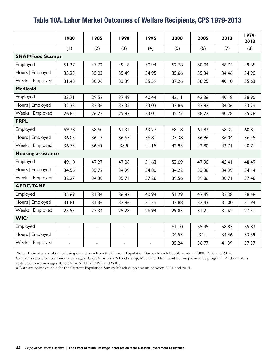#### Table 10A. Labor Market Outcomes of Welfare Recipients, CPS 1979-2013

|                           | 1980                | 1985                     | 1990           | 1995                | 2000  | 2005  | 2013  | 1979-<br>2013 |  |  |
|---------------------------|---------------------|--------------------------|----------------|---------------------|-------|-------|-------|---------------|--|--|
|                           | (1)                 | (2)                      | (3)            | (4)                 | (5)   | (6)   | (7)   | (8)           |  |  |
| <b>SNAP/Food Stamps</b>   |                     |                          |                |                     |       |       |       |               |  |  |
| Employed                  | 51.37               | 47.72                    | 49.18          | 50.94               | 52.78 | 50.04 | 48.74 | 49.65         |  |  |
| Hours   Employed          | 35.25               | 35.03                    | 35.49          | 34.95               | 35.66 | 35.34 | 34.46 | 34.90         |  |  |
| Weeks   Employed          | 31.48               | 30.96                    | 33.39          | 35.59               | 37.26 | 38.25 | 40.10 | 35.63         |  |  |
| <b>Medicaid</b>           |                     |                          |                |                     |       |       |       |               |  |  |
| Employed                  | 33.71               | 29.52                    | 37.48          | 40.44               | 42.11 | 42.36 | 40.18 | 38.90         |  |  |
| Hours   Employed          | 32.33               | 32.36                    | 33.35          | 33.03               | 33.86 | 33.82 | 34.36 | 33.29         |  |  |
| Weeks   Employed          | 26.85               | 26.27                    | 29.82          | 33.01               | 35.77 | 38.22 | 40.78 | 35.28         |  |  |
| <b>FRPL</b>               |                     |                          |                |                     |       |       |       |               |  |  |
| Employed                  | 59.28               | 58.60                    | 61.31          | 63.27               | 68.18 | 61.82 | 58.32 | 60.81         |  |  |
| Hours   Employed          | 36.05               | 36.13                    | 36.67          | 36.81               | 37.38 | 36.96 | 36.04 | 36.45         |  |  |
| Weeks   Employed          | 36.75               | 36.69                    | 38.9           | 41.15               | 42.95 | 42.80 | 43.71 | 40.71         |  |  |
| <b>Housing assistance</b> |                     |                          |                |                     |       |       |       |               |  |  |
| Employed                  | 49.10               | 47.27                    | 47.06          | 51.63               | 53.09 | 47.90 | 45.41 | 48.49         |  |  |
| Hours   Employed          | 34.56               | 35.72                    | 34.99          | 34.80               | 34.22 | 33.36 | 34.39 | 34.14         |  |  |
| Weeks   Employed          | 32.27               | 34.38                    | 35.71          | 37.28               | 39.56 | 39.86 | 38.71 | 37.48         |  |  |
| <b>AFDC/TANF</b>          |                     |                          |                |                     |       |       |       |               |  |  |
| Employed                  | 35.69               | 31.34                    | 36.83          | 40.94               | 51.29 | 43.45 | 35.38 | 38.48         |  |  |
| Hours   Employed          | 31.81               | 31.36                    | 32.86          | 31.39               | 32.88 | 32.43 | 31.00 | 31.94         |  |  |
| Weeks   Employed          | 25.55               | 23.34                    | 25.28          | 26.94               | 29.83 | 31.21 | 31.62 | 27.31         |  |  |
| <b>WIC</b> <sup>a</sup>   |                     |                          |                |                     |       |       |       |               |  |  |
| Employed                  | $\bar{\phantom{a}}$ | $\bar{a}$                | $\overline{a}$ | $\equiv$            | 61.10 | 55.45 | 58.83 | 55.83         |  |  |
| Hours   Employed          |                     | $\overline{\phantom{a}}$ | $\overline{a}$ | $\equiv$            | 34.53 | 34.1  | 34.46 | 33.59         |  |  |
| Weeks   Employed          | $\bar{\phantom{a}}$ | $\equiv$                 | $\frac{1}{2}$  | $\bar{\mathcal{L}}$ | 35.24 | 36.77 | 41.39 | 37.37         |  |  |

Notes: Estimates are obtained using data drawn from the Current Population Survey March Supplements in 1980, 1990 and 2014.

Sample is restricted to all individuals ages 16 to 64 for SNAP/Food stamp, Medicaid, FRPL and housing assistance program. And sample is restricted to women ages 16 to 54 for AFDC/TANF and WIC.

a Data are only available for the Current Population Survey March Supplements between 2001 and 2014.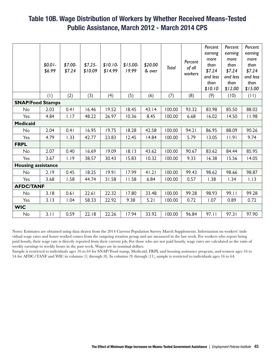#### Table 10B. Wage Distribution of Workers by Whether Received Means-Tested Public Assistance, March 2012 - March 2014 CPS

|                           |          |          |          |           |           |         |        |         | Percent         | Percent         | Percent         |
|---------------------------|----------|----------|----------|-----------|-----------|---------|--------|---------|-----------------|-----------------|-----------------|
|                           |          |          |          |           |           |         |        |         | earning<br>more | earning<br>more | earning<br>more |
|                           | $$0.01-$ | $$7.00-$ | $$7.25-$ | $$10.10-$ | $$15.00-$ | \$20.00 |        | Percent | than            | than            | than            |
|                           | \$6.99   | \$7.24   | \$10.09  | \$14.99   | 19.99     | & over  | Total  | of all  | \$7.24          | \$7.24          | \$7.24          |
|                           |          |          |          |           |           |         |        | workers | and less        | and less        | and less        |
|                           |          |          |          |           |           |         |        |         | than            | than            | than            |
|                           |          |          |          |           |           |         |        |         | \$10.10         | \$12.00         | \$15.00         |
|                           | (1)      | (2)      | (3)      | (4)       | (5)       | (6)     | (7)    | (8)     | (9)             | (10)            | (11)            |
| <b>SNAP/Food Stamps</b>   |          |          |          |           |           |         |        |         |                 |                 |                 |
| <b>No</b>                 | 2.03     | 0.41     | 16.46    | 19.52     | 18.45     | 43.14   | 100.00 | 93.32   | 83.98           | 85.50           | 88.02           |
| Yes                       | 4.84     | 1.17     | 48.22    | 26.97     | 10.36     | 8.45    | 100.00 | 6.68    | 16.02           | 14.50           | 11.98           |
| <b>Medicaid</b>           |          |          |          |           |           |         |        |         |                 |                 |                 |
| No                        | 2.04     | 0.41     | 16.95    | 19.75     | 18.28     | 42.58   | 100.00 | 94.21   | 86.95           | 88.09           | 90.26           |
| Yes                       | 4.79     | 1.33     | 42.77    | 23.83     | 12.45     | 14.84   | 100.00 | 5.79    | 13.05           | 11.91           | 9.74            |
| <b>FRPL</b>               |          |          |          |           |           |         |        |         |                 |                 |                 |
| <b>No</b>                 | 2.07     | 0.40     | 16.69    | 19.09     | 18.13     | 43.62   | 100.00 | 90.67   | 83.62           | 84.44           | 85.95           |
| Yes                       | 3.67     | 1.19     | 38.57    | 30.43     | 15.83     | 10.32   | 100.00 | 9.33    | 16.38           | 15.56           | 14.05           |
| <b>Housing assistance</b> |          |          |          |           |           |         |        |         |                 |                 |                 |
| No                        | 2.19     | 0.45     | 18.25    | 19.91     | 17.99     | 41.21   | 100.00 | 99.43   | 98.62           | 98.66           | 98.87           |
| Yes                       | 3.68     | 1.58     | 44.74    | 31.58     | 11.58     | 6.84    | 100.00 | 0.57    | 1.38            | 1.34            | 1.13            |
| <b>AFDC/TANF</b>          |          |          |          |           |           |         |        |         |                 |                 |                 |
| <b>No</b>                 | 3.18     | 0.61     | 22.61    | 22.32     | 17.80     | 33.48   | 100.00 | 99.28   | 98.93           | 99.11           | 99.28           |
| Yes                       | 3.13     | 1.04     | 58.33    | 22.92     | 9.38      | 5.21    | 100.00 | 0.72    | 1.07            | 0.89            | 0.72            |
| <b>WIC</b>                |          |          |          |           |           |         |        |         |                 |                 |                 |
| No                        | 3.11     | 0.59     | 22.18    | 22.26     | 17.94     | 33.92   | 100.00 | 96.84   | 97.11           | 97.31           | 97.90           |
|                           |          |          |          |           |           |         |        |         |                 |                 |                 |

Notes: Estimates are obtained using data drawn from the 2014 Current Population Survey March Supplements. Information on workers' individual wage rates and hours worked comes from the outgoing rotation group and are measured in the last week. For workers who report being paid hourly, their wage rate is directly reported from their current job. For those who are not paid hourly, wage rates are calculated as the ratio of weekly earnings to weekly hours in the past week. Wages are in nominal dollars.

Sample is restricted to individuals ages 16 to 64 for SNAP/Food stamp, Medicaid, FRPL and housing assistance program, and women ages 16 to 54 for AFDC/TANF and WIC in columns (1) through (8). In columns (9) through (11), sample is restricted to individuals ages 16 to 64.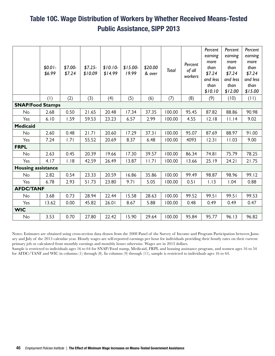## Table 10C. Wage Distribution of Workers by Whether Received Means-Tested Public Assistance, SIPP 2013

|                           | $$0.01-$<br>\$6.99      | $$7.00-$<br>\$7.24 | $$7.25-$<br>\$10.09 | $$10.10-$<br>\$14.99 | $$15.00-$<br>19.99 | \$20.00<br>& over | Total  | Percent<br>of all<br>workers | Percent<br>earning<br>more<br>than<br>\$7.24<br>and less<br>than<br>\$10.10 | Percent<br>earning<br>more<br>than<br>\$7.24<br>and less<br>than<br>\$12.00 | Percent<br>earning<br>more<br>than<br>\$7.24<br>and less<br>than<br>\$15.00 |
|---------------------------|-------------------------|--------------------|---------------------|----------------------|--------------------|-------------------|--------|------------------------------|-----------------------------------------------------------------------------|-----------------------------------------------------------------------------|-----------------------------------------------------------------------------|
|                           | (1)                     | (2)                | (3)                 | (4)                  | (5)                | (6)               | (7)    | (8)                          | (9)                                                                         | (10)                                                                        | (11)                                                                        |
|                           | <b>SNAP/Food Stamps</b> |                    |                     |                      |                    |                   |        |                              |                                                                             |                                                                             |                                                                             |
| <b>No</b>                 | 2.68                    | 0.50               | 21.65               | 20.48                | 17.34              | 37.35             | 100.00 | 95.45                        | 87.82                                                                       | 88.86                                                                       | 90.98                                                                       |
| Yes                       | 6.10                    | 1.59               | 59.53               | 23.23                | 6.57               | 2.99              | 100.00 | 4.55                         | 12.18                                                                       | 11.14                                                                       | 9.02                                                                        |
| <b>Medicaid</b>           |                         |                    |                     |                      |                    |                   |        |                              |                                                                             |                                                                             |                                                                             |
| No                        | 2.60                    | 0.48               | 21.71               | 20.60                | 17.29              | 37.31             | 100.00 | 95.07                        | 87.69                                                                       | 88.97                                                                       | 91.00                                                                       |
| Yes                       | 7.24                    | 1.71               | 55.52               | 20.69                | 8.37               | 6.48              | 100.00 | 4093                         | 12.31                                                                       | 11.03                                                                       | 9.00                                                                        |
| <b>FRPL</b>               |                         |                    |                     |                      |                    |                   |        |                              |                                                                             |                                                                             |                                                                             |
| No                        | 2.63                    | 0.45               | 20.39               | 19.66                | 17.30              | 39.57             | 100.00 | 86.34                        | 74.81                                                                       | 75.79                                                                       | 78.25                                                                       |
| Yes                       | 4.17                    | 1.18               | 42.59               | 26.49                | 13.87              | 1.7               | 100.00 | 13.66                        | 25.19                                                                       | 24.21                                                                       | 21.75                                                                       |
| <b>Housing assistance</b> |                         |                    |                     |                      |                    |                   |        |                              |                                                                             |                                                                             |                                                                             |
| No                        | 2.82                    | 0.54               | 23.33               | 20.59                | 16.86              | 35.86             | 100.00 | 99.49                        | 98.87                                                                       | 98.96                                                                       | 99.12                                                                       |
| Yes                       | 6.78                    | 2.93               | 51.73               | 23.80                | 9.71               | 5.05              | 100.00 | 0.51                         | 1.13                                                                        | 1.04                                                                        | 0.88                                                                        |
| <b>AFDC/TANF</b>          |                         |                    |                     |                      |                    |                   |        |                              |                                                                             |                                                                             |                                                                             |
| <b>No</b>                 | 3.68                    | 0.73               | 28.94               | 22.44                | 15.58              | 28.63             | 100.00 | 99.52                        | 99.51                                                                       | 99.51                                                                       | 99.53                                                                       |
| Yes                       | 13.62                   | 0.00               | 45.82               | 26.01                | 8.67               | 5.88              | 100.00 | 0.48                         | 0.49                                                                        | 0.49                                                                        | 0.47                                                                        |
| <b>WIC</b>                |                         |                    |                     |                      |                    |                   |        |                              |                                                                             |                                                                             |                                                                             |
| No                        | 3.53                    | 0.70               | 27.80               | 22.42                | 15.90              | 29.64             | 100.00 | 95.84                        | 95.77                                                                       | 96.13                                                                       | 96.82                                                                       |

Notes: Estimates are obtained using cross-section data drawn from the 2008 Panel of the Survey of Income and Program Participation between January and July of the 2013 calendar year. Hourly wages are self-reported earnings per hour for individuals providing their hourly rates on their current primary job or calculated from monthly earnings and monthly hours otherwise. Wages are in 2013 dollars.

Sample is restricted to individuals ages 16 to 64 for SNAP/Food stamp, Medicaid, FRPL and housing assistance program, and women ages 16 to 54 for AFDC/TANF and WIC in columns (1) through (8). In columns (9) through (11), sample is restricted to individuals ages 16 to 64.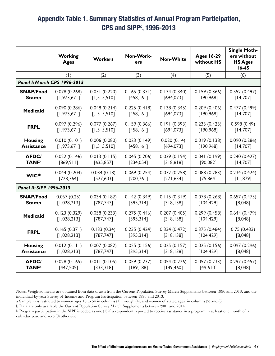### Appendix Table 1. Summary Statistics of Annual Program Participation, CPS and SIPP<sup>c</sup>, 1996-2013

|                          | <b>Working</b><br><b>Ages</b> | <b>Workers</b> | Non-Work-<br>ers | <b>Non-White</b> | <b>Ages 16-29</b><br>without HS | <b>Single Moth-</b><br>ers without<br><b>HS Ages</b><br>$16 - 45$ |
|--------------------------|-------------------------------|----------------|------------------|------------------|---------------------------------|-------------------------------------------------------------------|
|                          | (1)                           | (2)            | (3)              | (4)              | (5)                             | (6)                                                               |
|                          | Panel I: March CPS 1996-2013  |                |                  |                  |                                 |                                                                   |
| <b>SNAP/Food</b>         | 0.078(0.268)                  | 0.051(0.220)   | 0.165(0.371)     | 0.134(0.340)     | 0.159(0.366)                    | 0.552(0.497)                                                      |
| <b>Stamp</b>             | [1,973,671]                   | [1,515,510]    | [458, 161]       | [694, 073]       | [190, 968]                      | [14,707]                                                          |
| <b>Medicaid</b>          | 0.090(0.286)                  | 0.048(0.214)   | 0.225(0.418)     | 0.138(0.345)     | 0.209(0.406)                    | 0.477(0.499)                                                      |
|                          | [1,973,671]                   | [1515,510]     | [458, 161]       | [694, 073]       | [190, 968]                      | [14,707]                                                          |
| <b>FRPL</b>              | 0.097(0.296)                  | 0.077(0.267)   | 0.159(0.366)     | 0.191(0.393)     | 0.233(0.423)                    | 0.598(0.49)                                                       |
|                          | [1,973,671]                   | [1,515,510]    | [458, 161]       | [694, 073]       | [190, 968]                      | [14,707]                                                          |
| <b>Housing</b>           | 0.010(0.101)                  | 0.006(0.080)   | 0.023(0.149)     | 0.020(0.14)      | 0.019(0.138)                    | 0.090(0.286)                                                      |
| <b>Assistance</b>        | [1,973,671]                   | [1,515,510]    | [458, 161]       | [694, 073]       | [190, 968]                      | [14,707]                                                          |
| <b>AFDC/</b>             | 0.022(0.146)                  | 0.013(0.115)   | 0.045(0.206)     | 0.039(0.194)     | 0.041(0.199)                    | 0.240(0.427)                                                      |
| <b>TANF</b> <sup>a</sup> | [869, 911]                    | [635, 857]     | [234, 054]       | [318, 818]       | [90,082]                        | [14,707]                                                          |
| <b>WIC</b> <sup>ab</sup> | 0.044(0.204)                  | 0.034(0.18)    | 0.069(0.254)     | 0.072(0.258)     | 0.088(0.283)                    | 0.234(0.424)                                                      |
|                          | [728, 364]                    | [527,603]      | [200, 761]       | [271, 634]       | [75, 864]                       | [11, 879]                                                         |
| Panel II: SIPP 1996-2013 |                               |                |                  |                  |                                 |                                                                   |
| <b>SNAP/Food</b>         | 0.067(0.25)                   | 0.034(0.182)   | 0.142(0.349)     | 0.115(0.319)     | 0.078(0.268)                    | 0.657(0.475)                                                      |
| <b>Stamp</b>             | [1,028,213]                   | [787, 747]     | [395,314]        | [318, 138]       | [104, 429]                      | [8,048]                                                           |
| <b>Medicaid</b>          | 0.123(0.329)                  | 0.058(0.233)   | 0.275(0.446)     | 0.207(0.405)     | 0.299(0.458)                    | 0.644(0.479)                                                      |
|                          | [1,028,213]                   | [787, 747]     | [395,314]        | [318, 138]       | [104, 429]                      | [8,048]                                                           |
| <b>FRPL</b>              | 0.165(0.371)                  | 0.133(0.34)    | 0.235(0.424)     | 0.334(0.472)     | 0.375(0.484)                    | 0.75(0.433)                                                       |
|                          | [1,028,213]                   | [787, 747]     | [395, 314]       | [318, 138]       | [104, 429]                      | [8,048]                                                           |
| <b>Housing</b>           | 0.012(0.111)                  | 0.007(0.082)   | 0.025(0.156)     | 0.025(0.157)     | 0.025(0.156)                    | 0.097(0.296)                                                      |
| <b>Assistance</b>        | [1,028,213]                   | [787, 747]     | [395,314]        | [318, 138]       | [104, 429]                      | [8,048]                                                           |
| <b>AFDC/</b>             | 0.028(0.165)                  | 0.011(0.105)   | 0.059(0.237)     | 0.054(0.226)     | 0.057(0.233)                    | 0.297(0.457)                                                      |
| <b>TANF</b> <sup>a</sup> | [447,505]                     | [333,318]      | [189, 188]       | [149, 460]       | [49,610]                        | [8,048]                                                           |

Notes: Weighted means are obtained from data drawn from the Current Population Survey March Supplements between 1996 and 2013, and the individual-by-year Survey of Income and Program Participation between 1996 and 2013.

a Sample in is restricted to women ages 16 to 54 in columns (1) through (4), and women of stated ages in columns (5) and (6).

b Data are only available the Current Population Survey March Supplements between 2001 and 2014.

h Program participation in the SIPP is coded as one (1) if a respondent reported to receive assistance in a program in at least one month of a calendar year, and zero (0) otherwise.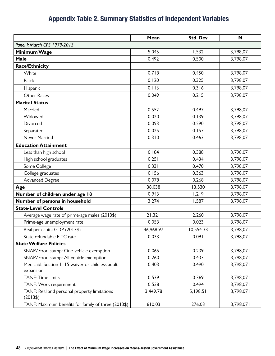### Appendix Table 2. Summary Statistics of Independent Variables

|                                                               | Mean      | <b>Std. Dev</b> | N         |
|---------------------------------------------------------------|-----------|-----------------|-----------|
| Panel I: March CPS 1979-2013                                  |           |                 |           |
| Minimum Wage                                                  | 5.045     | 1.532           | 3,798,071 |
| Male                                                          | 0.492     | 0.500           | 3,798,071 |
| <b>Race/Ethnicity</b>                                         |           |                 |           |
| White                                                         | 0.718     | 0.450           | 3,798,071 |
| <b>Black</b>                                                  | 0.120     | 0.325           | 3,798,071 |
| Hispanic                                                      | 0.113     | 0.316           | 3,798,071 |
| Other Races                                                   | 0.049     | 0.215           | 3,798,071 |
| <b>Marital Status</b>                                         |           |                 |           |
| Married                                                       | 0.552     | 0.497           | 3,798,071 |
| Widowed                                                       | 0.020     | 0.139           | 3,798,071 |
| Divorced                                                      | 0.093     | 0.290           | 3,798,071 |
| Separated                                                     | 0.025     | 0.157           | 3,798,071 |
| Never Married                                                 | 0.310     | 0.463           | 3,798,071 |
| <b>Education Attainment</b>                                   |           |                 |           |
| Less than high school                                         | 0.184     | 0.388           | 3,798,071 |
| High school graduates                                         | 0.251     | 0.434           | 3,798,071 |
| Some College                                                  | 0.331     | 0.470           | 3,798,071 |
| College graduates                                             | 0.156     | 0.363           | 3,798,071 |
| Advanced Degree                                               | 0.078     | 0.268           | 3,798,071 |
| Age                                                           | 38.038    | 13.530          | 3,798,071 |
| Number of children under age 18                               | 0.943     | 1.219           | 3,798,071 |
| Number of persons in household                                | 3.274     | 1.587           | 3,798,071 |
| <b>State-Level Controls</b>                                   |           |                 |           |
| Average wage rate of prime-age males (2013\$)                 | 21.321    | 2.260           | 3,798,071 |
| Prime-age unemployment rate                                   | 0.053     | 0.023           | 3,798,071 |
| Real per capita GDP (2013\$)                                  | 46,968.97 | 10,554.33       | 3,798,071 |
| State refundable EITC rate                                    | 0.033     | 0.091           | 3,798,071 |
| <b>State Welfare Policies</b>                                 |           |                 |           |
| SNAP/Food stamp: One-vehicle exemption                        | 0.065     | 0.239           | 3,798,071 |
| SNAP/Food stamp: All-vehicle exemption                        | 0.260     | 0.433           | 3,798,071 |
| Medicaid: Section 1115 waiver or childless adult<br>expansion | 0.403     | 0.490           | 3,798,071 |
| <b>TANF: Time limits</b>                                      | 0.539     | 0.369           | 3,798,071 |
| TANF: Work requirement                                        | 0.538     | 0.494           | 3,798,071 |
| TANF: Real and personal property limitations<br>(2013\$)      | 3,449.78  | 5,198.51        | 3,798,071 |
| TANF: Maximum benefits for family of three (2013\$)           | 610.03    | 276.03          | 3,798,071 |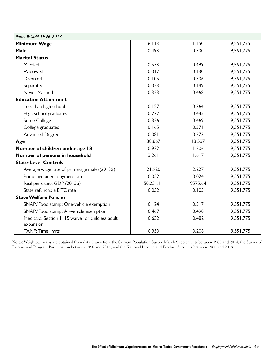| Panel II: SIPP 1996-2013                                      |           |         |           |  |  |  |  |
|---------------------------------------------------------------|-----------|---------|-----------|--|--|--|--|
| Minimum Wage                                                  | 6.113     | 1.150   | 9,551,775 |  |  |  |  |
| <b>Male</b>                                                   | 0.493     | 0.500   | 9,551,775 |  |  |  |  |
| <b>Marital Status</b>                                         |           |         |           |  |  |  |  |
| Married                                                       | 0.533     | 0.499   | 9,551,775 |  |  |  |  |
| Widowed                                                       | 0.017     | 0.130   | 9,551,775 |  |  |  |  |
| Divorced                                                      | 0.105     | 0.306   | 9,551,775 |  |  |  |  |
| Separated                                                     | 0.023     | 0.149   | 9,551,775 |  |  |  |  |
| Never Married                                                 | 0.323     | 0.468   | 9,551,775 |  |  |  |  |
| <b>Education Attainment</b>                                   |           |         |           |  |  |  |  |
| Less than high school                                         | 0.157     | 0.364   | 9,551,775 |  |  |  |  |
| High school graduates                                         | 0.272     | 0.445   | 9,551,775 |  |  |  |  |
| Some College                                                  | 0.326     | 0.469   | 9,551,775 |  |  |  |  |
| College graduates                                             | 0.165     | 0.371   | 9,551,775 |  |  |  |  |
| <b>Advanced Degree</b>                                        | 0.081     | 0.273   | 9,551,775 |  |  |  |  |
| Age                                                           | 38.867    | 13.537  | 9,551,775 |  |  |  |  |
| Number of children under age 18                               | 0.932     | 1.206   | 9,551,775 |  |  |  |  |
| Number of persons in household                                | 3.261     | 1.617   | 9,551,775 |  |  |  |  |
| <b>State-Level Controls</b>                                   |           |         |           |  |  |  |  |
| Average wage rate of prime-age males(2013\$)                  | 21.920    | 2.227   | 9,551,775 |  |  |  |  |
| Prime-age unemployment rate                                   | 0.052     | 0.024   | 9,551,775 |  |  |  |  |
| Real per capita GDP (2013\$)                                  | 50,231.11 | 9575.64 | 9,551,775 |  |  |  |  |
| State refundable EITC rate                                    | 0.052     | 0.105   | 9,551,775 |  |  |  |  |
| <b>State Welfare Policies</b>                                 |           |         |           |  |  |  |  |
| SNAP/Food stamp: One-vehicle exemption                        | 0.124     | 0.317   | 9,551,775 |  |  |  |  |
| SNAP/Food stamp: All-vehicle exemption                        | 0.467     | 0.490   | 9,551,775 |  |  |  |  |
| Medicaid: Section 1115 waiver or childless adult<br>expansion | 0.632     | 0.482   | 9,551,775 |  |  |  |  |
| <b>TANF: Time limits</b>                                      | 0.950     | 0.208   | 9,551,775 |  |  |  |  |

Notes: Weighted means are obtained from data drawn from the Current Population Survey March Supplements between 1980 and 2014, the Survey of Income and Program Participation between 1996 and 2013, and the National Income and Product Accounts between 1980 and 2013.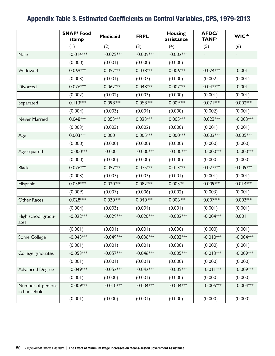### Appendix Table 3. Estimated Coefficients on Control Variables, CPS, 1979-2013

|                                   | <b>SNAP/Food</b><br>stamp | <b>Medicaid</b> | <b>FRPL</b>  | <b>Housing</b><br>assistance | <b>AFDC/</b><br><b>TANF</b> <sup>a</sup> | <b>WIC</b> <sup>ab</sup> |
|-----------------------------------|---------------------------|-----------------|--------------|------------------------------|------------------------------------------|--------------------------|
|                                   | (1)                       | (2)             | (3)          | (4)                          | (5)                                      | (6)                      |
| Male                              | $-0.014***$               | $-0.025***$     | $-0.009***$  | $-0.002***$                  |                                          |                          |
|                                   | (0.000)                   | (0.001)         | (0.000)      | (0.000)                      |                                          |                          |
| Widowed                           | 0.069***                  | $0.052***$      | 0.038***     | $0.006***$                   | $0.024***$                               | $-0.001$                 |
|                                   | (0.003)                   | (0.001)         | (0.003)      | (0.000)                      | (0.002)                                  | (0.001)                  |
| Divorced                          | 0.076***                  | $0.062***$      | 0.048***     | 0.007***                     | $0.042***$                               | $-0.001$                 |
|                                   | (0.002)                   | (0.002)         | (0.003)      | (0.000)                      | (0.001)                                  | (0.001)                  |
| Separated                         | $0.113***$                | 0.098***        | 0.058***     | 0.009***                     | $0.071***$                               | $0.002***$               |
|                                   | (0.004)                   | (0.003)         | (0.004)      | (0.000)                      | (0.002)                                  | (0.001)                  |
| Never Married                     | 0.048***                  | $0.053***$      | $0.023***$   | $0.005***$                   | $0.023***$                               | $-0.003***$              |
|                                   | (0.003)                   | (0.003)         | (0.002)      | (0.000)                      | (0.001)                                  | (0.001)                  |
| Age                               | $0.003***$                | 0.000           | 0.005***     | $0.000***$                   | $0.003***$                               | $0.005***$               |
|                                   | (0.000)                   | (0.000)         | (0.000)      | (0.000)                      | (0.000)                                  | (0.000)                  |
| Age squared                       | $-0.000$ ***              | $-0.000$        | $-0.000$ *** | $-0.000$ ***                 | $-0.000$ ***                             | $-0.000$ ***             |
|                                   | (0.000)                   | (0.000)         | (0.000)      | (0.000)                      | (0.000)                                  | (0.000)                  |
| <b>Black</b>                      | 0.076***                  | $0.057***$      | $0.075***$   | $0.013***$                   | $0.022***$                               | 0.009***                 |
|                                   | (0.003)                   | (0.003)         | (0.003)      | (0.001)                      | (0.001)                                  | (0.001)                  |
| Hispanic                          | 0.038***                  | $0.020***$      | 0.082***     | $0.005**$                    | 0.009***                                 | $0.014***$               |
|                                   | (0.009)                   | (0.007)         | (0.006)      | (0.002)                      | (0.003)                                  | (0.001)                  |
| Other Races                       | 0.028***                  | 0.030***        | 0.040***     | 0.006***                     | 0.007***                                 | $0.003***$               |
|                                   | (0.004)                   | (0.003)         | (0.004)      | (0.001)                      | (0.001)                                  | (0.001)                  |
| High school gradu-<br>ates        | $-0.022***$               | $-0.029***$     | $-0.020***$  | $-0.002***$                  | $-0.004***$                              | 0.001                    |
|                                   | (0.001)                   | (0.001)         | (0.001)      | (0.000)                      | (0.000)                                  | (0.001)                  |
| Some College                      | $-0.043***$               | $-0.049***$     | $-0.036***$  | $-0.003***$                  | $-0.010***$                              | $-0.004***$              |
|                                   | (0.001)                   | (0.001)         | (0.001)      | (0.000)                      | (0.000)                                  | (0.001)                  |
| College graduates                 | $-0.053***$               | $-0.057***$     | $-0.046***$  | $-0.005***$                  | $-0.013***$                              | $-0.009***$              |
|                                   | (0.001)                   | (0.001)         | (0.001)      | (0.000)                      | (0.000)                                  | (0.000)                  |
| <b>Advanced Degree</b>            | $-0.049***$               | $-0.052***$     | $-0.042***$  | $-0.005***$                  | $-0.011***$                              | $-0.009***$              |
|                                   | (0.001)                   | (0.000)         | (0.001)      | (0.000)                      | (0.000)                                  | (0.000)                  |
| Number of persons<br>in household | $-0.009***$               | $-0.010***$     | $-0.004***$  | $-0.004***$                  | $-0.005***$                              | $-0.004***$              |
|                                   | (0.001)                   | (0.000)         | (0.001)      | (0.000)                      | (0.000)                                  | (0.000)                  |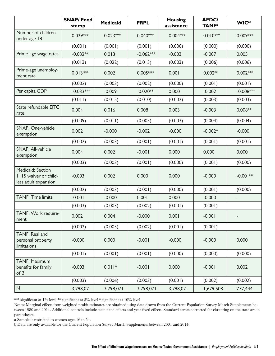|                                                                    | <b>SNAP/Food</b><br>stamp | <b>Medicaid</b> | <b>FRPL</b> | <b>Housing</b><br>assistance | <b>AFDC/</b><br><b>TANF</b> <sup>a</sup> | <b>WIC</b> <sup>ab</sup> |
|--------------------------------------------------------------------|---------------------------|-----------------|-------------|------------------------------|------------------------------------------|--------------------------|
| Number of children<br>under age 18                                 | $0.029***$                | $0.023***$      | $0.040***$  | $0.004***$                   | $0.010***$                               | $0.009***$               |
|                                                                    | (0.001)                   | (0.001)         | (0.001)     | (0.000)                      | (0.000)                                  | (0.000)                  |
| Prime-age wage rates                                               | $-0.032**$                | 0.013           | $-0.062***$ | $-0.003$                     | $-0.007$                                 | 0.005                    |
|                                                                    | (0.013)                   | (0.022)         | (0.013)     | (0.003)                      | (0.006)                                  | (0.006)                  |
| Prime-age unemploy-<br>ment rate                                   | $0.013***$                | 0.002           | $0.005***$  | 0.001                        | $0.002**$                                | $0.002***$               |
|                                                                    | (0.002)                   | (0.003)         | (0.002)     | (0.000)                      | (0.001)                                  | (0.001)                  |
| Per capita GDP                                                     | $-0.033***$               | $-0.009$        | $-0.020**$  | 0.000                        | $-0.002$                                 | $-0.008***$              |
|                                                                    | (0.011)                   | (0.015)         | (0.010)     | (0.002)                      | (0.003)                                  | (0.003)                  |
| State refundable EITC<br>rate                                      | 0.004                     | 0.016           | 0.008       | 0.003                        | $-0.003$                                 | $0.008**$                |
|                                                                    | (0.009)                   | (0.011)         | (0.005)     | (0.003)                      | (0.004)                                  | (0.004)                  |
| SNAP: One-vehicle<br>exemption                                     | 0.002                     | $-0.000$        | $-0.002$    | $-0.000$                     | $-0.002*$                                | $-0.000$                 |
|                                                                    | (0.002)                   | (0.003)         | (0.001)     | (0.001)                      | (0.001)                                  | (0.001)                  |
| SNAP: All-vehicle<br>exemption                                     | 0.004                     | 0.002           | $-0.001$    | 0.000                        | 0.000                                    | 0.000                    |
|                                                                    | (0.003)                   | (0.003)         | (0.001)     | (0.000)                      | (0.001)                                  | (0.000)                  |
| Medicaid: Section<br>1115 waiver or child-<br>less adult expansion | $-0.003$                  | 0.002           | 0.000       | 0.000                        | $-0.000$                                 | $-0.001**$               |
|                                                                    | (0.002)                   | (0.003)         | (0.001)     | (0.000)                      | (0.001)                                  | (0.000)                  |
| <b>TANF: Time limits</b>                                           | $-0.001$                  | $-0.000$        | 0.001       | 0.000                        | $-0.000$                                 | $\overline{\phantom{a}}$ |
|                                                                    | (0.003)                   | (0.003)         | (0.002)     | (0.001)                      | (0.001)                                  |                          |
| TANF: Work require-<br>ment                                        | 0.002                     | 0.004           | $-0.000$    | 0.001                        | $-0.001$                                 |                          |
|                                                                    | (0.002)                   | (0.005)         | (0.002)     | (0.001)                      | (0.001)                                  |                          |
| TANF: Real and<br>personal property<br>limitations                 | $-0.000$                  | 0.000           | $-0.001$    | $-0.000$                     | $-0.000$                                 | 0.000                    |
|                                                                    | (0.001)                   | (0.001)         | (0.001)     | (0.000)                      | (0.000)                                  | (0.000)                  |
| TANF: Maximum<br>benefits for family<br>of 3                       | $-0.003$                  | $0.011*$        | $-0.001$    | 0.000                        | $-0.001$                                 | 0.002                    |
|                                                                    | (0.003)                   | (0.006)         | (0.003)     | (0.001)                      | (0.002)                                  | (0.002)                  |
| N                                                                  | 3,798,071                 | 3,798,071       | 3,798,071   | 3,798,071                    | 1,679,508                                | 777,444                  |

\*\*\* significant at 1% level \*\* significant at 5% level \* significant at 10% level

Notes: Marginal effects from weighted probit estimates are obtained using data drawn from the Current Population Survey March Supplements between 1980 and 2014. Additional controls include state fixed effects and year fixed effects. Standard errors corrected for clustering on the state are in parentheses.

a Sample is restricted to women ages 16 to 54.

b Data are only available for the Current Population Survey March Supplements between 2001 and 2014.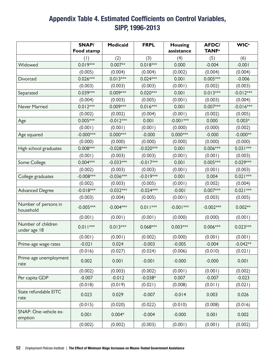### Appendix Table 4. Estimated Coefficients on Control Variables, SIPP, 1996-2013

|                                    | SNAP/<br>Food stamp | <b>Medicaid</b> | <b>FRPL</b> | <b>Housing</b><br>assistance | <b>AFDC/</b><br><b>TANF</b> <sup>a</sup> | <b>WIC</b> <sup>a</sup> |
|------------------------------------|---------------------|-----------------|-------------|------------------------------|------------------------------------------|-------------------------|
|                                    | (1)                 | (2)             | (3)         | (4)                          | (5)                                      | (6)                     |
| Widowed                            | 0.019***            | $0.007**$       | $0.018***$  | 0.000                        | $-0.004$                                 | $-0.001$                |
|                                    | (0.005)             | (0.004)         | (0.004)     | (0.002)                      | (0.004)                                  | (0.004)                 |
| Divorced                           | $0.026***$          | $0.013***$      | $0.024***$  | 0.001                        | $0.005***$                               | $-0.006$                |
|                                    | (0.003)             | (0.003)         | (0.003)     | (0.001)                      | (0.002)                                  | (0.003)                 |
| Separated                          | 0.039***            | 0.009***        | $0.020***$  | 0.001                        | $0.013***$                               | $-0.012***$             |
|                                    | (0.004)             | (0.003)         | (0.005)     | (0.001)                      | (0.003)                                  | (0.004)                 |
| Never Married                      | $0.012***$          | 0.009***        | $0.016***$  | 0.001                        | 0.007***                                 | $-0.016***$             |
|                                    | (0.002)             | (0.002)         | (0.004)     | (0.001)                      | (0.002)                                  | (0.005)                 |
| Age                                | $0.005***$          | $-0.012***$     | 0.001       | $-0.001***$                  | 0.000                                    | $0.003*$                |
|                                    | (0.001)             | (0.001)         | (0.001)     | (0.000)                      | (0.000)                                  | (0.002)                 |
| Age squared                        | $-0.000$ ***        | $0.000***$      | $-0.000$    | $0.000***$                   | $-0.000$                                 | $-0.000**$              |
|                                    | (0.000)             | (0.000)         | (0.000)     | (0.000)                      | (0.000)                                  | (0.000)                 |
| High school graduates              | 0.008***            | $-0.028***$     | $-0.020***$ | 0.001                        | $0.006***$                               | $0.031***$              |
|                                    | (0.001)             | (0.003)         | (0.003)     | (0.001)                      | (0.001)                                  | (0.003)                 |
| Some College                       | $0.004***$          | $-0.033***$     | $-0.017***$ | 0.001                        | $0.005***$                               | 0.029***                |
|                                    | (0.002)             | (0.003)         | (0.003)     | (0.001)                      | (0.001)                                  | (0.003)                 |
| College graduates                  | $-0.008***$         | $-0.036***$     | $-0.019***$ | 0.001                        | 0.004                                    | $0.021***$              |
|                                    | (0.002)             | (0.003)         | (0.005)     | (0.001)                      | (0.002)                                  | (0.004)                 |
| <b>Advanced Degree</b>             | $-0.018***$         | $-0.032***$     | $-0.024***$ | $-0.001$                     | $0.007***$                               | $0.021***$              |
|                                    | (0.003)             | (0.004)         | (0.005)     | (0.001)                      | (0.003)                                  | (0.005)                 |
| Number of persons in<br>household  | $-0.005***$         | $-0.004***$     | $0.011***$  | $-0.001***$                  | $-0.002***$                              | $0.002**$               |
|                                    | (0.001)             | (0.001)         | (0.001)     | (0.000)                      | (0.000)                                  | (0.001)                 |
| Number of children<br>under age 18 | $0.011***$          | $0.013***$      | $0.068***$  | $0.003***$                   | $0.006***$                               | $0.023***$              |
|                                    | (0.001)             | (0.001)         | (0.002)     | (0.000)                      | (0.001)                                  | (0.001)                 |
| Prime-age wage rates               | $-0.021$            | 0.024           | $-0.003$    | $-0.005$                     | $-0.004$                                 | $-0.042**$              |
|                                    | (0.016)             | (0.027)         | (0.024)     | (0.006)                      | (0.010)                                  | (0.021)                 |
| Prime-age unemployment<br>rate     | 0.002               | 0.001           | $-0.001$    | $-0.000$                     | $-0.000$                                 | 0.001                   |
|                                    | (0.002)             | (0.003)         | (0.002)     | (0.001)                      | (0.001)                                  | (0.002)                 |
| Per capita GDP                     | $-0.007$            | $-0.012$        | $-0.038*$   | 0.007                        | $-0.007$                                 | $-0.023$                |
|                                    | (0.018)             | (0.019)         | (0.021)     | (0.008)                      | (0.011)                                  | (0.021)                 |
| State refundable EITC<br>rate      | 0.023               | 0.029           | $-0.007$    | $-0.014$                     | 0.003                                    | 0.026                   |
|                                    | (0.015)             | (0.020)         | (0.022)     | (0.010)                      | (0.008)                                  | (0.016)                 |
| SNAP: One-vehicle ex-<br>emption   | 0.001               | $0.004*$        | $-0.004$    | $-0.000$                     | 0.001                                    | 0.002                   |
|                                    | (0.002)             | (0.002)         | (0.003)     | (0.001)                      | (0.001)                                  | (0.002)                 |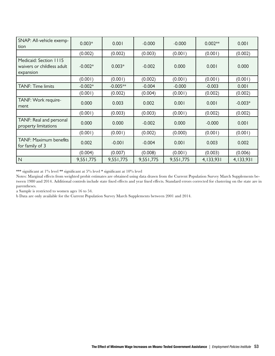| SNAP: All-vehicle exemp-<br>tion                                  | $0.003*$  | 0.001      | $-0.000$  | $-0.000$  | $0.002**$ | 0.001     |
|-------------------------------------------------------------------|-----------|------------|-----------|-----------|-----------|-----------|
|                                                                   | (0.002)   | (0.002)    | (0.003)   | (0.001)   | (0.001)   | (0.002)   |
| Medicaid: Section 1115<br>waivers or childless adult<br>expansion | $-0.002*$ | $0.003*$   | $-0.002$  | 0.000     | 0.001     | 0.000     |
|                                                                   | (0.001)   | (0.001)    | (0.002)   | (0.001)   | (0.001)   | (0.001)   |
| <b>TANF: Time limits</b>                                          | $-0.002*$ | $-0.005**$ | $-0.004$  | $-0.000$  | $-0.003$  | 0.001     |
|                                                                   | (0.001)   | (0.002)    | (0.004)   | (0.001)   | (0.002)   | (0.002)   |
| TANF: Work require-<br>ment                                       | 0.000     | 0.003      | 0.002     | 0.001     | 0.001     | $-0.003*$ |
|                                                                   | (0.001)   | (0.003)    | (0.003)   | (0.001)   | (0.002)   | (0.002)   |
| TANF: Real and personal<br>property limitations                   | 0.000     | 0.000      | $-0.002$  | 0.000     | $-0.000$  | 0.001     |
|                                                                   | (0.001)   | (0.001)    | (0.002)   | (0.000)   | (0.001)   | (0.001)   |
| TANF: Maximum benefits<br>for family of 3                         | 0.002     | $-0.001$   | $-0.004$  | 0.001     | 0.003     | 0.002     |
|                                                                   | (0.004)   | (0.007)    | (0.008)   | (0.001)   | (0.003)   | (0.006)   |
| $\mathsf{N}$                                                      | 9,551,775 | 9,551,775  | 9,551,775 | 9,551,775 | 4,133,931 | 4,133,931 |

\*\*\* significant at 1% level \*\* significant at 5% level \* significant at 10% level

Notes: Marginal effects from weighted probit estimates are obtained using data drawn from the Current Population Survey March Supplements between 1980 and 2014. Additional controls include state fixed effects and year fixed effects. Standard errors corrected for clustering on the state are in parentheses.

a Sample is restricted to women ages 16 to 54.

b Data are only available for the Current Population Survey March Supplements between 2001 and 2014.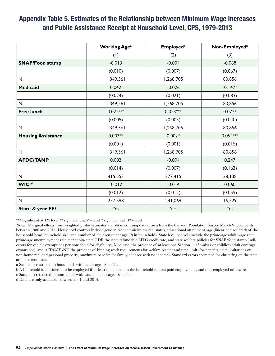#### Appendix Table 5. Estimates of the Relationship between Minimum Wage Increases and Public Assistance Receipt at Household Level, CPS, 1979-2013

|                              | <b>Working Age<sup>a</sup></b> | <b>Employed</b> <sup>b</sup> | Non-Employed <sup>b</sup> |
|------------------------------|--------------------------------|------------------------------|---------------------------|
|                              | (1)                            | (2)                          | (3)                       |
| <b>SNAP/Food stamp</b>       | $-0.013$                       | $-0.004$                     | $-0.068$                  |
|                              | (0.010)                        | (0.007)                      | (0.067)                   |
| ${\sf N}$                    | 1,349,561                      | 1,268,705                    | 80,856                    |
| <b>Medicaid</b>              | $-0.042*$                      | $-0.026$                     | $-0.147*$                 |
|                              | (0.024)                        | (0.021)                      | (0.083)                   |
| $\mathsf{N}$                 | 1,349,561                      | 1,268,705                    | 80,856                    |
| <b>Free lunch</b>            | $0.022***$                     | $0.023***$                   | $0.072*$                  |
|                              | (0.005)                        | (0.005)                      | (0.040)                   |
| $\mathsf{N}$                 | 1,349,561                      | 1,268,705                    | 80,856                    |
| <b>Housing Assistance</b>    | $0.003**$                      | $0.002*$                     | $0.054***$                |
|                              | (0.001)                        | (0.001)                      | (0.015)                   |
| $\mathsf{N}$                 | 1,349,561                      | 1,268,705                    | 80,856                    |
| <b>AFDC/TANF<sup>c</sup></b> | 0.002                          | $-0.004$                     | 0.247                     |
|                              | (0.014)                        | (0.007)                      | (0.163)                   |
| $\mathsf{N}\xspace$          | 415,553                        | 377,415                      | 38,138                    |
| <b>WICcd</b>                 | $-0.012$                       | $-0.014$                     | 0.060                     |
|                              | (0.012)                        | (0.012)                      | (0.059)                   |
| $\mathsf{N}$                 | 257,598                        | 241,069                      | 16,529                    |
| State & year FE?             | Yes                            | Yes                          | Yes                       |

\*\*\* significant at 1% level \*\* significant at 5% level \* significant at 10% level

Notes: Marginal effects from weighted probit estimates are obtained using data drawn from the Current Population Survey March Supplements between 1980 and 2014. Household controls include gender, race/ethnicity, marital status, educational attainment, age (linear and squared) of the household head, household size, and number of children under age 18 in households. State level controls include the prime-age adult wage rate, prime-age unemployment rate, per capita state GDP, the state refundable EITC credit rate, and state welfare policies for SNAP/food stamp (indicators for vehicle exemptions per household for eligibility), Medicaid (the presence of at least one Section 1115 waiver or childless adult coverage expansions), and AFDC/TANF (the presence of binding work requirements for welfare receipt and time limits for benefits, state limitations on non-home real and personal property, maximum benefits for family of three with no income). Standard errors corrected for clustering on the state are in parentheses.

a Sample is restricted to households with heads ages 16 to 64.

b A household is considered to be employed if at least one person in the household reports paid employment, and non-employed otherwise.

c Sample is restricted to households with women heads ages 16 to 54.

d Data are only available between 2001 and 2014.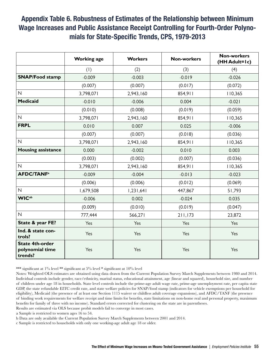#### Appendix Table 6. Robustness of Estimates of the Relationship between Minimum Wage Increases and Public Assistance Receipt Controlling for Fourth-Order Polynomials for State-Specific Trends, CPS, 1979-2013

|                                                      | <b>Working age</b> | <b>Workers</b> | <b>Non-workers</b> | <b>Non-workers</b><br>(HH Adult=1c) |
|------------------------------------------------------|--------------------|----------------|--------------------|-------------------------------------|
|                                                      | (1)                | (2)            | (3)                | (4)                                 |
| <b>SNAP/Food stamp</b>                               | $-0.009$           | $-0.003$       | $-0.019$           | $-0.026$                            |
|                                                      | (0.007)            | (0.007)        | (0.017)            | (0.072)                             |
| $\mathsf{N}$                                         | 3,798,071          | 2,943,160      | 854,911            | 110,365                             |
| <b>Medicaid</b>                                      | $-0.010$           | $-0.006$       | 0.004              | $-0.021$                            |
|                                                      | (0.010)            | (0.008)        | (0.019)            | (0.059)                             |
| $\overline{\mathsf{N}}$                              | 3,798,071          | 2,943,160      | 854,911            | 110,365                             |
| <b>FRPL</b>                                          | 0.010              | 0.007          | 0.025              | $-0.006$                            |
|                                                      | (0.007)            | (0.007)        | (0.018)            | (0.036)                             |
| $\mathsf{N}\xspace$                                  | 3,798,071          | 2,943,160      | 854,911            | 110,365                             |
| <b>Housing assistance</b>                            | 0.000              | $-0.002$       | 0.010              | 0.003                               |
|                                                      | (0.003)            | (0.002)        | (0.007)            | (0.036)                             |
| $\overline{\mathsf{N}}$                              | 3,798,071          | 2,943,160      | 854,911            | 110,365                             |
| <b>AFDC/TANF<sup>a</sup></b>                         | $-0.009$           | $-0.004$       | $-0.013$           | $-0.023$                            |
|                                                      | (0.006)            | (0.006)        | (0.012)            | (0.069)                             |
| $\mathsf{N}$                                         | 1,679,508          | 1,231,641      | 447,867            | 51,793                              |
| <b>WIC</b> ab                                        | $-0.006$           | 0.002          | $-0.024$           | 0.035                               |
|                                                      | (0.009)            | (0.010)        | (0.019)            | (0.047)                             |
| $\mathsf{N}$                                         | 777,444            | 566,271        | 211,173            | 23,872                              |
| State & year FE?                                     | Yes                | Yes            | Yes                | Yes                                 |
| Ind. & state con-<br>trols?                          | Yes                | Yes            | Yes                | Yes                                 |
| <b>State 4th-order</b><br>polynomial time<br>trends? | Yes                | Yes            | Yes                | Yes                                 |

\*\*\* significant at 1% level \*\* significant at 5% level \* significant at 10% level

Notes: Weighted OLS estimates are obtained using data drawn from the Current Population Survey March Supplements between 1980 and 2014. Individual controls include gender, race/ethnicity, marital status, educational attainment, age (linear and squared), household size, and number of children under age 18 in households. State level controls include the prime-age adult wage rate, prime-age unemployment rate, per capita state GDP, the state refundable EITC credit rate, and state welfare policies for SNAP/food stamp (indicators for vehicle exemptions per household for eligibility), Medicaid (the presence of at least one Section 1115 waiver or childless adult coverage expansions), and AFDC/TANF (the presence of binding work requirements for welfare receipt and time limits for benefits, state limitations on non-home real and personal property, maximum benefits for family of three with no income). Standard errors corrected for clustering on the state are in parentheses.

Results are estimated via OLS because probit models fail to converge in most cases.

a Sample is restricted to women ages 16 to 54.

b Data are only available the Current Population Survey March Supplements between 2001 and 2014.

c Sample is restricted to households with only one working-age adult age 18 or older.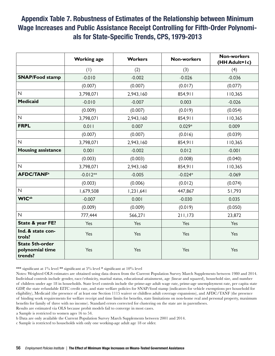#### Appendix Table 7. Robustness of Estimates of the Relationship between Minimum Wage Increases and Public Assistance Receipt Controlling for Fifth-Order Polynomials for State-Specific Trends, CPS, 1979-2013

|                                                      | <b>Working age</b> | <b>Workers</b> | <b>Non-workers</b> | <b>Non-workers</b><br>(HH Adult=1c) |
|------------------------------------------------------|--------------------|----------------|--------------------|-------------------------------------|
|                                                      | (1)                | (2)            | (3)                | (4)                                 |
| <b>SNAP/Food stamp</b>                               | $-0.010$           | $-0.002$       | $-0.026$           | $-0.036$                            |
|                                                      | (0.007)            | (0.007)        | (0.017)            | (0.077)                             |
| $\overline{\mathsf{N}}$                              | 3,798,071          | 2,943,160      | 854,911            | 110,365                             |
| <b>Medicaid</b>                                      | $-0.010$           | $-0.007$       | 0.003              | $-0.026$                            |
|                                                      | (0.009)            | (0.007)        | (0.019)            | (0.054)                             |
| $\mathsf{N}$                                         | 3,798,071          | 2,943,160      | 854,911            | 110,365                             |
| <b>FRPL</b>                                          | 0.011              | 0.007          | $0.029*$           | 0.009                               |
|                                                      | (0.007)            | (0.007)        | (0.016)            | (0.039)                             |
| $\mathsf{N}\xspace$                                  | 3,798,071          | 2,943,160      | 854,911            | 110,365                             |
| <b>Housing assistance</b>                            | 0.001              | $-0.002$       | 0.012              | $-0.001$                            |
|                                                      | (0.003)            | (0.003)        | (0.008)            | (0.040)                             |
| $\mathsf{N}$                                         | 3,798,071          | 2,943,160      | 854,911            | 110,365                             |
| <b>AFDC/TANF<sup>a</sup></b>                         | $-0.012**$         | $-0.005$       | $-0.024*$          | $-0.069$                            |
|                                                      | (0.003)            | (0.006)        | (0.012)            | (0.074)                             |
| $\mathsf{N}$                                         | 1,679,508          | 1,231,641      | 447,867            | 51,793                              |
| <b>WICab</b>                                         | $-0.007$           | 0.001          | $-0.030$           | 0.035                               |
|                                                      | (0.009)            | (0.009)        | (0.019)            | (0.050)                             |
| $\overline{N}$                                       | 777,444            | 566,271        | 211,173            | 23,872                              |
| State & year FE?                                     | Yes                | Yes            | Yes                | Yes                                 |
| Ind. & state con-<br>trols?                          | Yes                | Yes            | Yes                | Yes                                 |
| <b>State 5th-order</b><br>polynomial time<br>trends? | Yes                | Yes            | Yes                | Yes                                 |

\*\*\* significant at 1% level \*\* significant at 5% level \* significant at 10% level

Notes: Weighted OLS estimates are obtained using data drawn from the Current Population Survey March Supplements between 1980 and 2014. Individual controls include gender, race/ethnicity, marital status, educational attainment, age (linear and squared), household size, and number of children under age 18 in households. State level controls include the prime-age adult wage rate, prime-age unemployment rate, per capita state GDP, the state refundable EITC credit rate, and state welfare policies for SNAP/food stamp (indicators for vehicle exemptions per household for eligibility), Medicaid (the presence of at least one Section 1115 waiver or childless adult coverage expansions), and AFDC/TANF (the presence of binding work requirements for welfare receipt and time limits for benefits, state limitations on non-home real and personal property, maximum benefits for family of three with no income). Standard errors corrected for clustering on the state are in parentheses.

Results are estimated via OLS because probit models fail to converge in most cases.

a Sample is restricted to women ages 16 to 54.

b Data are only available the Current Population Survey March Supplements between 2001 and 2014.

c Sample is restricted to households with only one working-age adult age 18 or older.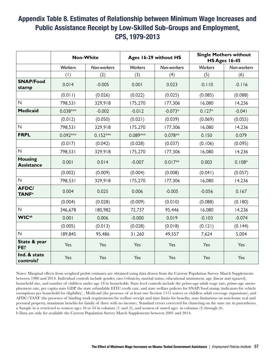### Appendix Table 8. Estimates of Relationship between Minimum Wage Increases and Public Assistance Receipt by Low-Skilled Sub-Groups and Employment, CPS, 1979-2013

|                                          |                   | <b>Non-White</b>              |          | Ages 16-29 without HS |                | <b>Single Mothers without</b><br><b>HS Ages 16-45</b> |
|------------------------------------------|-------------------|-------------------------------|----------|-----------------------|----------------|-------------------------------------------------------|
|                                          | <b>Workers</b>    | Non-workers<br><b>Workers</b> |          | Non-workers           | <b>Workers</b> | Non-workers                                           |
|                                          | (1)               | (2)                           | (3)      | (4)                   | (5)            | (6)                                                   |
| <b>SNAP/Food</b><br>stamp                | 0.014<br>$-0.005$ |                               | 0.001    | 0.023                 | $-0.110$       | $-0.116$                                              |
|                                          | (0.011)           | (0.026)                       | (0.022)  | (0.025)               | (0.085)        | (0.088)                                               |
| $\mathsf{N}$                             | 798,531           | 329,918                       | 175,270  | 177,306               | 16,080         | 14,236                                                |
| <b>Medicaid</b>                          | $0.038***$        | $-0.002$                      | $-0.012$ | $-0.073*$             | $0.127*$       | $-0.041$                                              |
|                                          | (0.012)           | (0.050)                       | (0.021)  | (0.039)               | (0.069)        | (0.055)                                               |
| $\mathsf{N}$                             | 798,531           | 329,918                       | 175,270  | 177,306               | 16,080         | 14,236                                                |
| <b>FRPL</b>                              | 0.092***          | $0.152***$                    | 0.089*** | $0.078**$             | 0.150          | 0.079                                                 |
|                                          | (0.017)           | (0.042)                       | (0.028)  | (0.037)               | (0.106)        | (0.095)                                               |
| $\mathsf{N}$                             | 798,531           | 329,918                       | 175,270  | 177,306               | 16,080         | 14,236                                                |
| <b>Housing</b><br><b>Assistance</b>      | 0.001             | 0.014                         | $-0.007$ | $0.017**$             | 0.003          | $0.108*$                                              |
|                                          | (0.002)           | (0.009)                       | (0.004)  | (0.008)               | (0.041)        | (0.057)                                               |
| $\mathsf{N}$                             | 798,531           | 329,918                       | 175,270  | 177,306               | 16,080         | 14,236                                                |
| <b>AFDC/</b><br><b>TANF</b> <sup>a</sup> | 0.004             | 0.025                         | 0.006    | $-0.005$              | $-0.056$       | 0.167                                                 |
|                                          | (0.004)           | (0.028)                       | (0.009)  | (0.010)               | (0.088)        | (0.180)                                               |
| $\mathsf{N}$                             | 346,678           | 180,982                       | 72,737   | 95,446                | 16,080         | 14,236                                                |
| <b>WIC</b> <sup>ab</sup>                 | 0.001             | 0.006                         | $-0.000$ | 0.019                 | $-0.103$       | $-0.074$                                              |
|                                          | (0.005)           | (0.013)                       | (0.028)  | (0.018)               | (0.121)        | (0.144)                                               |
| $\mathsf{N}$                             | 189,845           | 95,486                        | 31,260   | 49,557                | 7,624          | 5,004                                                 |
| State & year<br>FE?                      | Yes               | Yes                           | Yes      | Yes                   | Yes            | Yes                                                   |
| Ind. & state<br>controls?                | Yes               | Yes                           | Yes      | Yes                   | Yes            | Yes                                                   |

Notes: Marginal effects from weighted probit estimates are obtained using data drawn from the Current Population Survey March Supplements between 1980 and 2014. Individual controls include gender, race/ethnicity, marital status, educational attainment, age (linear and squared), household size, and number of children under age 18 in households. State level controls include the prime-age adult wage rate, prime-age unemployment rate, per capita state GDP, the state refundable EITC credit rate, and state welfare policies for SNAP/food stamp (indicators for vehicle exemptions per household for eligibility) , Medicaid (the presence of at least one Section 1115 waiver or childless adult coverage expansions), and AFDC/TANF (the presence of binding work requirements for welfare receipt and time limits for benefits, state limitations on non-home real and personal property, maximum benefits for family of three with no income). Standard errors corrected for clustering on the state are in parentheses. a Sample in is restricted to women ages 16 to 54 in columns (1) and (2), and women of stated ages in columns (3) through (6). b Data are only for available the Current Population Survey March Supplements between 2001 and 2014.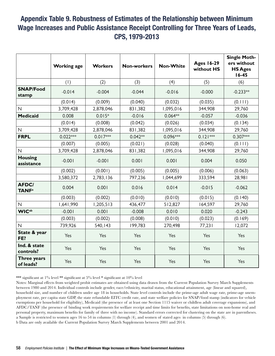### Appendix Table 9. Robustness of Estimates of the Relationship between Minimum Wage Increases and Public Assistance Receipt Controlling for Three Years of Leads, CPS, 1979-2013

|                                          | <b>Working age</b> | <b>Workers</b> | <b>Non-workers</b> | <b>Non-White</b> | <b>Ages 16-29</b><br>without HS | <b>Single Moth-</b><br>ers without<br><b>HS Ages</b><br>$16 - 45$ |  |
|------------------------------------------|--------------------|----------------|--------------------|------------------|---------------------------------|-------------------------------------------------------------------|--|
|                                          | (1)                | (2)            | (3)                | (4)              | (5)                             | (6)                                                               |  |
| <b>SNAP/Food</b><br>stamp                | $-0.014$           | $-0.004$       | $-0.044$           | $-0.016$         | $-0.000$                        | $-0.233**$                                                        |  |
|                                          | (0.014)            | (0.009)        | (0.040)            | (0.032)          | (0.035)                         | (0.111)                                                           |  |
| $\overline{\mathsf{N}}$                  | 3,709,428          | 2,878,046      | 831,382            | 1,095,016        | 344,908                         | 29,760                                                            |  |
| <b>Medicaid</b>                          | 0.008              | $0.015*$       | $-0.016$           | $0.064**$        | $-0.057$                        | $-0.036$                                                          |  |
|                                          | (0.014)            | (0.008)        | (0.042)            | (0.026)          | (0.034)                         | (0.134)                                                           |  |
| $\mathsf{N}$                             | 3,709,428          | 2,878,046      | 831,382            | 1,095,016        | 344,908                         | 29,760                                                            |  |
| <b>FRPL</b>                              | $0.022***$         | $0.017***$     | $0.042**$          | $0.096***$       | $0.121***$                      | 0.307***                                                          |  |
|                                          | (0.007)            | (0.005)        | (0.021)            | (0.028)          | (0.040)                         | (0.111)                                                           |  |
| $\mathsf{N}$                             | 3,709,428          | 2,878,046      | 831,382            | 1,095,016        | 344,908                         | 29,760                                                            |  |
| <b>Housing</b><br>assistance             | $-0.001$           | $-0.001$       | 0.001              |                  | 0.004                           | 0.050                                                             |  |
|                                          | (0.002)            | (0.001)        | (0.005)            | (0.005)          | (0.006)                         | (0.063)                                                           |  |
|                                          | 3,580,372          | 2,783,136      | 797,236            | 1,044,699        | 333,594                         | 28,981                                                            |  |
| <b>AFDC/</b><br><b>TANF</b> <sup>a</sup> | 0.004              | 0.001          | 0.016              | 0.014            | $-0.015$                        | $-0.062$                                                          |  |
|                                          | (0.003)            | (0.002)        | (0.010)            | (0.010)          | (0.015)                         | (0.140)                                                           |  |
| $\overline{N}$                           | 1,641,990          | 1,205,513      | 436,477            | 512,827          | 164,597                         | 29,760                                                            |  |
| <b>WIC</b> <sup>ab</sup>                 | $-0.001$           | 0.001          | $-0.008$           | 0.010            | 0.020                           | $-0.243$                                                          |  |
|                                          | (0.003)            | (0.002)        | (0.008)            | (0.010)          | (0.023)                         | (0.169)                                                           |  |
| $\mathsf{N}$                             | 739,926            | 540,143        | 199,783            | 270,498          | 77,231                          | 12,072                                                            |  |
| State & year<br>FE?                      | Yes                | Yes            | Yes                | Yes              | Yes                             | Yes                                                               |  |
| Ind. & state<br>controls?                | Yes                | Yes            | Yes                | Yes              | Yes                             | Yes                                                               |  |
| Three years<br>of leads?                 | Yes                | Yes            | Yes                | Yes              | Yes                             | Yes                                                               |  |

\*\*\* significant at 1% level \*\* significant at 5% level \* significant at 10% level

Notes: Marginal effects from weighted probit estimates are obtained using data drawn from the Current Population Survey March Supplements between 1980 and 2014. Individual controls include gender, race/ethnicity, marital status, educational attainment, age (linear and squared), household size, and number of children under age 18 in households. State level controls include the prime-age adult wage rate, prime-age unemployment rate, per capita state GDP, the state refundable EITC credit rate, and state welfare policies for SNAP/food stamp (indicators for vehicle exemptions per household for eligibility), Medicaid (the presence of at least one Section 1115 waiver or childless adult coverage expansions), and AFDC/TANF (the presence of binding work requirements for welfare receipt and time limits for benefits, state limitations on non-home real and personal property, maximum benefits for family of three with no income). Standard errors corrected for clustering on the state are in parentheses. a Sample is restricted to women ages 16 to 54 in columns (1) through (4), and women of stated ages in columns (5) through (6). b Data are only available the Current Population Survey March Supplements between 2001 and 2014.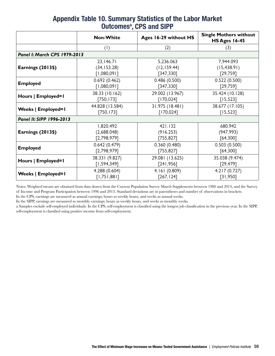|                              | <b>Non-White</b>                | Ages 16-29 without HS | <b>Single Mothers without</b><br><b>HS Ages 16-45</b> |  |  |  |  |  |
|------------------------------|---------------------------------|-----------------------|-------------------------------------------------------|--|--|--|--|--|
|                              | $\left( \left  \right  \right)$ | (2)                   | (3)                                                   |  |  |  |  |  |
| Panel I: March CPS 1979-2013 |                                 |                       |                                                       |  |  |  |  |  |
|                              | 23,146.71                       | 5,236.063             | 7,944.093                                             |  |  |  |  |  |
| Earnings (2013\$)            | (34, 153.28)                    | (12, 159.44)          | (15, 438.91)                                          |  |  |  |  |  |
|                              | [1,080,091]                     | [347,330]             | [29, 759]                                             |  |  |  |  |  |
| <b>Employed</b>              | 0.692(0.462)                    | 0.486(0.500)          | 0.522(0.500)                                          |  |  |  |  |  |
|                              | [1,080,091]                     | [347,330]             | [29,759]                                              |  |  |  |  |  |
| Hours   Employed=1           | 38.33 (10.162)                  | 29.002 (13.967)       | 35.424 (10.128)                                       |  |  |  |  |  |
|                              | [750, 173]                      | [170, 024]            | [15, 523]                                             |  |  |  |  |  |
|                              | 44.828 (13.584)                 | 31.975 (18.481)       | 38.677 (17.105)                                       |  |  |  |  |  |
| <b>Weeks   Employed=1</b>    | [750, 173]                      | [170, 024]            | [15, 523]                                             |  |  |  |  |  |
| Panel II: SIPP 1996-2013     |                                 |                       |                                                       |  |  |  |  |  |
|                              | 1,820.492                       | 421.132               | 680.942                                               |  |  |  |  |  |
| Earnings (2013\$)            | (2,688.048)                     | (916.253)             | (947.993)                                             |  |  |  |  |  |
|                              | [2,798,979]                     | [755, 827]            | [64,300]                                              |  |  |  |  |  |
| <b>Employed</b>              | 0.642(0.479)                    | 0.360(0.480)          | 0.503(0.500)                                          |  |  |  |  |  |
|                              | [2,798,979]                     | [755, 827]            | [64,300]                                              |  |  |  |  |  |
|                              | 38.331 (9.827)                  | 29.081 (13.625)       | 35.038 (9.474)                                        |  |  |  |  |  |
| Hours   Employed=1           | [1, 594, 349]                   | [241, 956]            | [29, 479]                                             |  |  |  |  |  |
|                              | 4.288 (0.604)                   | 4.161(0.809)          | 4.217(0.727)                                          |  |  |  |  |  |
| <b>Weeks   Employed=1</b>    | [1,751,881]                     | [267, 124]            | [31,950]                                              |  |  |  |  |  |

#### Appendix Table 10. Summary Statistics of the Labor Market Outcomes<sup>a</sup>, CPS and SIPP

Notes: Weighted means are obtained from data drawn from the Current Population Survey March Supplements between 1980 and 2014, and the Survey of Income and Program Participation between 1996 and 2013. Standard deviations are in parentheses and number of observations in brackets. In the CPS, earnings are measured as annual earnings; hours as weekly hours, and weeks as annual weeks.

In the SIPP, earnings are measured as monthly earnings; hours as weekly hours, and weeks as monthly weeks.

a Samples exclude self-employed individuals. In the CPS, self-employment is classified using the longest job classification in the previous year. In the SIPP, self-employment is classified using positive income from self-employment.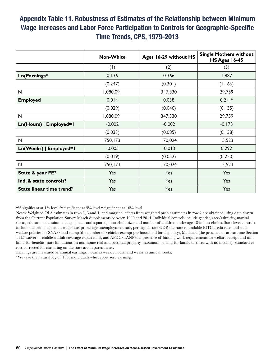#### Appendix Table 11. Robustness of Estimates of the Relationship between Minimum Wage Increases and Labor Force Participation to Controls for Geographic-Specific Time Trends, CPS, 1979-2013

|                                 | <b>Non-White</b>                | Ages 16-29 without HS | <b>Single Mothers without</b><br><b>HS Ages 16-45</b> |
|---------------------------------|---------------------------------|-----------------------|-------------------------------------------------------|
|                                 | $\left( \left  \right  \right)$ | (2)                   | (3)                                                   |
| Ln(Earnings) <sup>a</sup>       | 0.136                           | 0.366                 | 1.887                                                 |
|                                 | (0.247)                         | (0.301)               | (1.166)                                               |
| $\mathsf{N}$                    | 1,080,091                       | 347,330               | 29,759                                                |
| <b>Employed</b>                 | 0.014                           | 0.038                 | $0.241*$                                              |
|                                 | (0.029)                         | (0.046)               | (0.135)                                               |
| $\mathsf{N}$                    | 1,080,091                       | 347,330               | 29,759                                                |
| Ln(Hours)   Employed=1          | $-0.002$                        | $-0.002$              | $-0.173$                                              |
|                                 | (0.033)                         | (0.085)               | (0.138)                                               |
| $\mathsf{N}$                    | 750,173                         | 170,024               | 15,523                                                |
| Ln(Weeks)   Employed=1          | $-0.005$                        | $-0.013$              | 0.292                                                 |
|                                 | (0.019)                         | (0.052)               | (0.220)                                               |
| $\mathsf{N}$                    | 750,173                         | 170,024               | 15,523                                                |
| State & year FE?                | Yes                             | Yes                   | Yes                                                   |
| Ind. & state controls?          | Yes                             | Yes                   | Yes                                                   |
| <b>State linear time trend?</b> | Yes                             | Yes                   | Yes                                                   |

\*\*\* significant at 1% level \*\* significant at 5% level \* significant at 10% level

Notes: Weighted OLS estimates in rows 1, 3 and 4, and marginal effects from weighted probit estimates in row 2 are obtained using data drawn from the Current Population Survey March Supplements between 1980 and 2014. Individual controls include gender, race/ethnicity, marital status, educational attainment, age (linear and squared), household size, and number of children under age 18 in households. State level controls include the prime-age adult wage rate, prime-age unemployment rate, per capita state GDP, the state refundable EITC credit rate, and state welfare policies for SNAP/food stamp (the number of vehicles exempt per household for eligibility), Medicaid (the presence of at least one Section 1115 waiver or childless adult coverage expansions), and AFDC/TANF (the presence of binding work requirements for welfare receipt and time limits for benefits, state limitations on non-home real and personal property, maximum benefits for family of three with no income). Standard errors corrected for clustering on the state are in parentheses.

Earnings are measured as annual earnings; hours as weekly hours, and weeks as annual weeks.

a We take the natural log of 1 for individuals who report zero earnings.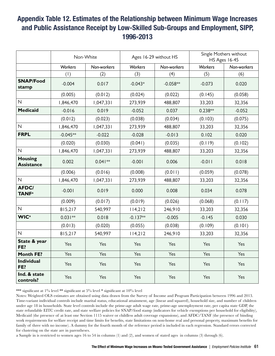### Appendix Table 12. Estimates of the Relationship between Minimum Wage Increases and Public Assistance Receipt by Low-Skilled Sub-Groups and Employment, SIPP, 1996-2013

|                                          | Non-White         |             |                | Ages 16-29 without HS | Single Mothers without<br>HS Ages 16-45 |             |  |
|------------------------------------------|-------------------|-------------|----------------|-----------------------|-----------------------------------------|-------------|--|
|                                          | Workers           | Non-workers | <b>Workers</b> | Non-workers           | <b>Workers</b>                          | Non-workers |  |
|                                          | (1)               | (2)         | (3)            | (4)                   | (5)                                     | (6)         |  |
| <b>SNAP/Food</b><br>stamp                | $-0.004$          | 0.017       | $-0.043*$      | $-0.058**$            | $-0.073$                                | 0.020       |  |
|                                          | (0.005)           | (0.012)     | (0.024)        | (0.022)               | (0.145)                                 | (0.058)     |  |
| $\mathsf{N}$                             | 1,846,470         | 1,047,331   | 273,939        | 488,807               | 33,203                                  | 32,356      |  |
| <b>Medicaid</b>                          | $-0.016$          | 0.019       | $-0.052$       | 0.037                 | $0.238**$                               | $-0.052$    |  |
|                                          | (0.012)           | (0.023)     | (0.038)        | (0.034)               | (0.103)                                 | (0.075)     |  |
| $\mathsf{N}$                             | 1,846,470         | 1,047,331   | 273,939        | 488,807               | 33,203                                  | 32,356      |  |
| <b>FRPL</b>                              | $-0.045**$        | $-0.022$    | $-0.028$       | $-0.013$              | 0.102                                   | 0.020       |  |
|                                          | (0.020)           | (0.030)     | (0.041)        | (0.035)               | (0.119)                                 | (0.102)     |  |
| $\overline{\mathsf{N}}$                  | 1,846,470         | 1,047,331   | 273,939        | 488,807               | 33,203                                  | 32,356      |  |
| <b>Housing</b><br><b>Assistance</b>      | 0.002             | $0.041**$   | $-0.001$       | 0.006<br>$-0.011$     |                                         | 0.018       |  |
|                                          | (0.006)           | (0.016)     | (0.008)        | (0.011)               | (0.059)                                 | (0.078)     |  |
| $\mathsf{N}$                             | 1,846,470         | 1,047,331   | 273,939        | 488,807               | 33,203                                  | 32,356      |  |
| <b>AFDC/</b><br><b>TANF</b> <sup>a</sup> | $-0.001$<br>0.019 |             | 0.000          | 0.008                 | 0.034                                   | 0.078       |  |
|                                          | (0.009)           | (0.017)     | (0.019)        | (0.026)               | (0.068)                                 | (0.117)     |  |
| $\mathsf{N}$                             | 815,217           | 540,997     | 114,212        | 246,910               | 33,203                                  | 32,356      |  |
| <b>WIC</b> <sup>a</sup>                  | $0.031**$         | 0.018       | $-0.137**$     | $-0.005$              | $-0.145$                                | 0.030       |  |
|                                          | (0.013)           | (0.020)     | (0.055)        | (0.038)               | (0.109)                                 | (0.101)     |  |
| $\mathsf{N}$                             | 815,217           | 540,997     | 114,212        | 246,910               | 33,203                                  | 32,356      |  |
| State & year<br>FE?                      | Yes               | Yes         | Yes            | Yes                   | Yes                                     | Yes         |  |
| <b>Month FE?</b>                         | Yes               | Yes         | Yes            | Yes                   | Yes                                     | Yes         |  |
| <b>Individual</b><br>FE?                 | Yes               | Yes         | Yes            | Yes                   | Yes                                     | Yes         |  |
| Ind. & state<br>controls?                | Yes               | Yes         | Yes            | Yes                   | Yes                                     | Yes         |  |

\*\*\* significant at  $1\%$  level \*\* significant at  $5\%$  level \* significant at  $10\%$  level

Notes: Weighted OLS estimates are obtained using data drawn from the Survey of Income and Program Participation between 1996 and 2013. Time-variant individual controls include marital status, educational attainment, age (linear and squared), household size, and number of children under age 18 in households. State level controls include the prime-age adult wage rate, prime-age unemployment rate, per capita state GDP, the state refundable EITC credit rate, and state welfare policies for SNAP/food stamp (indicators for vehicle exemptions per household for eligibility), Medicaid (the presence of at least one Section 1115 waiver or childless adult coverage expansions), and AFDC/TANF (the presence of binding work requirements for welfare receipt and time limits for benefits, state limitations on non-home real and personal property, maximum benefits for family of three with no income). A dummy for the fourth month of the reference period is included in each regression. Standard errors corrected for clustering on the state are in parentheses.

a Sample in is restricted to women ages 16 to 54 in columns (1) and (2), and women of stated ages in columns (3) through (6).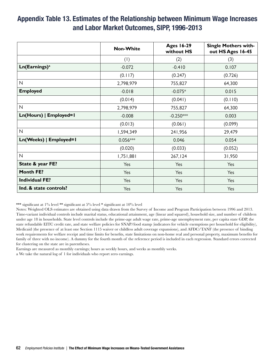#### Appendix Table 13. Estimates of the Relationship between Minimum Wage Increases and Labor Market Outcomes, SIPP, 1996-2013

|                           | <b>Non-White</b>                | <b>Ages 16-29</b><br>without HS | <b>Single Mothers with-</b><br>out HS Ages 16-45 |
|---------------------------|---------------------------------|---------------------------------|--------------------------------------------------|
|                           | $\left( \left  \right  \right)$ | (2)                             | (3)                                              |
| Ln(Earnings) <sup>a</sup> | $-0.072$                        | $-0.410$                        | 0.107                                            |
|                           | (0.117)                         | (0.247)                         | (0.726)                                          |
| $\mathsf{N}$              | 2,798,979                       | 755,827                         | 64,300                                           |
| <b>Employed</b>           | $-0.018$                        | $-0.075*$                       | 0.015                                            |
|                           | (0.014)                         | (0.041)                         | (0.110)                                          |
| $\overline{\mathsf{N}}$   | 2,798,979                       | 755,827                         | 64,300                                           |
| Ln(Hours)   Employed=1    | $-0.008$                        | $-0.250***$                     | 0.003                                            |
|                           | (0.013)                         | (0.061)                         | (0.099)                                          |
| $\mathsf{N}$              | 1,594,349                       | 241,956                         | 29,479                                           |
| Ln(Weeks)   Employed=1    | $0.056***$                      | 0.046                           | 0.054                                            |
|                           | (0.020)                         | (0.033)                         | (0.052)                                          |
| $\mathsf{N}$              | 1,751,881                       | 267,124                         | 31,950                                           |
| State & year FE?          | Yes                             | Yes                             | Yes                                              |
| <b>Month FE?</b>          | Yes                             | Yes                             | Yes                                              |
| <b>Individual FE?</b>     | Yes                             | Yes                             | Yes                                              |
| Ind. & state controls?    | Yes                             | Yes                             | Yes                                              |

\*\*\* significant at 1% level \*\* significant at 5% level \* significant at 10% level

Notes: Weighted OLS estimates are obtained using data drawn from the Survey of Income and Program Participation between 1996 and 2013. Time-variant individual controls include marital status, educational attainment, age (linear and squared), household size, and number of children under age 18 in households. State level controls include the prime-age adult wage rate, prime-age unemployment rate, per capita state GDP, the state refundable EITC credit rate, and state welfare policies for SNAP/food stamp (indicators for vehicle exemptions per household for eligibility), Medicaid (the presence of at least one Section 1115 waiver or childless adult coverage expansions), and AFDC/TANF (the presence of binding work requirements for welfare receipt and time limits for benefits, state limitations on non-home real and personal property, maximum benefits for family of three with no income). A dummy for the fourth month of the reference period is included in each regression. Standard errors corrected for clustering on the state are in parentheses.

Earnings are measured as monthly earnings; hours as weekly hours, and weeks as monthly weeks.

a We take the natural log of 1 for individuals who report zero earnings.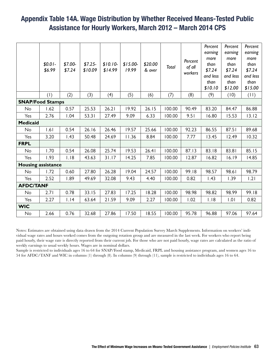#### Appendix Table 14A. Wage Distribution by Whether Received Means-Tested Public Assistance for Hourly Workers, March 2012 – March 2014 CPS

|                           | $$0.01-$<br>\$6.99 | $$7.00-$<br>\$7.24 | $$7.25-$<br>\$10.09 | $$10.10-$<br>\$14.99 | $$15.00-$<br>19.99 | \$20.00<br>& over | Total  | Percent<br>of all<br>workers | Percent<br>earning<br>more<br>than<br>\$7.24<br>and less<br>than<br>\$10.10 | Percent<br>earning<br>more<br>than<br>\$7.24<br>and less<br>than<br>\$12.00 | Percent<br>earning<br>more<br>than<br>\$7.24<br>and less<br>than<br>\$15.00 |
|---------------------------|--------------------|--------------------|---------------------|----------------------|--------------------|-------------------|--------|------------------------------|-----------------------------------------------------------------------------|-----------------------------------------------------------------------------|-----------------------------------------------------------------------------|
|                           | (1)                | (2)                | (3)                 | (4)                  | (5)                | (6)               | (7)    | (8)                          | (9)                                                                         | (10)                                                                        | (11)                                                                        |
| <b>SNAP/Food Stamps</b>   |                    |                    |                     |                      |                    |                   |        |                              |                                                                             |                                                                             |                                                                             |
| No                        | 1.62               | 0.57               | 25.53               | 26.21                | 19.92              | 26.15             | 100.00 | 90.49                        | 83.20                                                                       | 84.47                                                                       | 86.88                                                                       |
| Yes                       | 2.76               | 1.04               | 53.31               | 27.49                | 9.09               | 6.33              | 100.00 | 9.51                         | 16.80                                                                       | 15.53                                                                       | 13.12                                                                       |
| <b>Medicaid</b>           |                    |                    |                     |                      |                    |                   |        |                              |                                                                             |                                                                             |                                                                             |
| No                        | 1.61               | 0.54               | 26.16               | 26.46                | 19.57              | 25.66             | 100.00 | 92.23                        | 86.55                                                                       | 87.51                                                                       | 89.68                                                                       |
| Yes                       | 3.20               | 1.43               | 50.48               | 24.69                | 11.36              | 8.84              | 100.00 | 7.77                         | 13.45                                                                       | 12.49                                                                       | 10.32                                                                       |
| <b>FRPL</b>               |                    |                    |                     |                      |                    |                   |        |                              |                                                                             |                                                                             |                                                                             |
| No                        | 1.70               | 0.54               | 26.08               | 25.74                | 19.53              | 26.41             | 100.00 | 87.13                        | 83.18                                                                       | 83.81                                                                       | 85.15                                                                       |
| Yes                       | 1.93               | 1.18               | 43.63               | 31.17                | 14.25              | 7.85              | 100.00 | 12.87                        | 16.82                                                                       | 16.19                                                                       | 14.85                                                                       |
| <b>Housing assistance</b> |                    |                    |                     |                      |                    |                   |        |                              |                                                                             |                                                                             |                                                                             |
| No                        | 1.72               | 0.60               | 27.80               | 26.28                | 19.04              | 24.57             | 100.00 | 99.18                        | 98.57                                                                       | 98.61                                                                       | 98.79                                                                       |
| Yes                       | 2.52               | 1.89               | 49.69               | 32.08                | 9.43               | 4.40              | 100.00 | 0.82                         | 1.43                                                                        | 1.39                                                                        | 1.21                                                                        |
| <b>AFDC/TANF</b>          |                    |                    |                     |                      |                    |                   |        |                              |                                                                             |                                                                             |                                                                             |
| No                        | 2.71               | 0.78               | 33.15               | 27.83                | 17.25              | 18.28             | 100.00 | 98.98                        | 98.82                                                                       | 98.99                                                                       | 99.18                                                                       |
| Yes                       | 2.27               | 1.14               | 63.64               | 21.59                | 9.09               | 2.27              | 100.00 | 1.02                         | 1.18                                                                        | 0.1                                                                         | 0.82                                                                        |
| <b>WIC</b>                |                    |                    |                     |                      |                    |                   |        |                              |                                                                             |                                                                             |                                                                             |
| No                        | 2.66               | 0.76               | 32.68               | 27.86                | 17.50              | 18.55             | 100.00 | 95.78                        | 96.88                                                                       | 97.06                                                                       | 97.64                                                                       |

Notes: Estimates are obtained using data drawn from the 2014 Current Population Survey March Supplements. Information on workers' individual wage rates and hours worked comes from the outgoing rotation group and are measured in the last week. For workers who report being paid hourly, their wage rate is directly reported from their current job. For those who are not paid hourly, wage rates are calculated as the ratio of weekly earnings to usual weekly hours. Wages are in nominal dollars.

Sample is restricted to individuals ages 16 to 64 for SNAP/Food stamp, Medicaid, FRPL and housing assistance program, and women ages 16 to 54 for AFDC/TANF and WIC in columns (1) through (8). In columns (9) through (11), sample is restricted to individuals ages 16 to 64.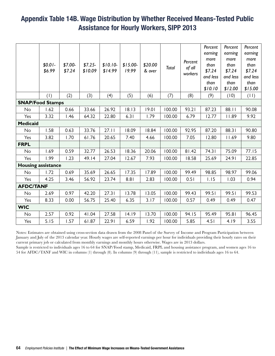#### Appendix Table 14B. Wage Distribution by Whether Received Means-Tested Public Assistance for Hourly Workers, SIPP 2013

|                           | $$0.01-$<br>\$6.99 | $$7.00-$<br>\$7.24 | \$7.25<br>\$10.09 | $$10.10-$<br>\$14.99 | $$15.00-$<br>19.99 | \$20.00<br>& over | Total  | Percent<br>of all<br>workers | Percent<br>earning<br>more<br>than<br>\$7.24<br>and less<br>than<br>\$10.10 | Percent<br>earning<br>more<br>than<br>\$7.24<br>and less<br>than<br>\$12.00 | Percent<br>earning<br>more<br>than<br>\$7.24<br>and less<br>than<br>\$15.00 |
|---------------------------|--------------------|--------------------|-------------------|----------------------|--------------------|-------------------|--------|------------------------------|-----------------------------------------------------------------------------|-----------------------------------------------------------------------------|-----------------------------------------------------------------------------|
|                           | (1)                | (2)                | (3)               | (4)                  | (5)                | (6)               | (7)    | (8)                          | (9)                                                                         | (10)                                                                        | (11)                                                                        |
| <b>SNAP/Food Stamps</b>   |                    |                    |                   |                      |                    |                   |        |                              |                                                                             |                                                                             |                                                                             |
| No                        | 1.62               | 0.66               | 33.66             | 26.92                | 18.13              | 19.01             | 100.00 | 93.21                        | 87.23                                                                       | 88.11                                                                       | 90.08                                                                       |
| Yes                       | 3.32               | 1.46               | 64.32             | 22.80                | 6.31               | 1.79              | 100.00 | 6.79                         | 12.77                                                                       | 11.89                                                                       | 9.92                                                                        |
| <b>Medicaid</b>           |                    |                    |                   |                      |                    |                   |        |                              |                                                                             |                                                                             |                                                                             |
| No                        | 1.58               | 0.63               | 33.76             | 27.11                | 18.09              | 18.84             | 100.00 | 92.95                        | 87.20                                                                       | 88.31                                                                       | 90.80                                                                       |
| Yes                       | 3.82               | 1.70               | 61.76             | 20.65                | 7.40               | 4.66              | 100.00 | 7.05                         | 12.80                                                                       | 11.69                                                                       | 9.80                                                                        |
| <b>FRPL</b>               |                    |                    |                   |                      |                    |                   |        |                              |                                                                             |                                                                             |                                                                             |
| No                        | 1.69               | 0.59               | 32.77             | 26.53                | 18.36              | 20.06             | 100.00 | 81.42                        | 74.31                                                                       | 75.09                                                                       | 77.15                                                                       |
| Yes                       | 1.99               | 1.23               | 49.14             | 27.04                | 12.67              | 7.93              | 100.00 | 18.58                        | 25.69                                                                       | 24.91                                                                       | 22.85                                                                       |
| <b>Housing assistance</b> |                    |                    |                   |                      |                    |                   |        |                              |                                                                             |                                                                             |                                                                             |
| No                        | 1.72               | 0.69               | 35.69             | 26.65                | 17.35              | 17.89             | 100.00 | 99.49                        | 98.85                                                                       | 98.97                                                                       | 99.06                                                                       |
| Yes                       | 4.25               | 3.46               | 56.92             | 23.74                | 8.81               | 2.83              | 100.00 | 0.51                         | 1.15                                                                        | 1.03                                                                        | 0.94                                                                        |
| <b>AFDC/TANF</b>          |                    |                    |                   |                      |                    |                   |        |                              |                                                                             |                                                                             |                                                                             |
| No                        | 2.69               | 0.97               | 42.20             | 27.31                | 13.78              | 13.05             | 100.00 | 99.43                        | 99.51                                                                       | 99.51                                                                       | 99.53                                                                       |
| Yes                       | 8.33               | 0.00               | 56.75             | 25.40                | 6.35               | 3.17              | 100.00 | 0.57                         | 0.49                                                                        | 0.49                                                                        | 0.47                                                                        |
| <b>WIC</b>                |                    |                    |                   |                      |                    |                   |        |                              |                                                                             |                                                                             |                                                                             |
| No                        | 2.57               | 0.92               | 41.04             | 27.58                | 14.19              | 13.70             | 100.00 | 94.15                        | 95.49                                                                       | 95.81                                                                       | 96.45                                                                       |
| Yes                       | 5.15               | 1.57               | 61.87             | 22.91                | 6.59               | 1.92              | 100.00 | 5.85                         | 4.51                                                                        | 4.19                                                                        | 3.55                                                                        |

Notes: Estimates are obtained using cross-section data drawn from the 2008 Panel of the Survey of Income and Program Participation between January and July of the 2013 calendar year. Hourly wages are self-reported earnings per hour for individuals providing their hourly rates on their current primary job or calculated from monthly earnings and monthly hours otherwise. Wages are in 2013 dollars.

Sample is restricted to individuals ages 16 to 64 for SNAP/Food stamp, Medicaid, FRPL and housing assistance program, and women ages 16 to 54 for AFDC/TANF and WIC in columns (1) through (8). In columns (9) through (11), sample is restricted to individuals ages 16 to 64.